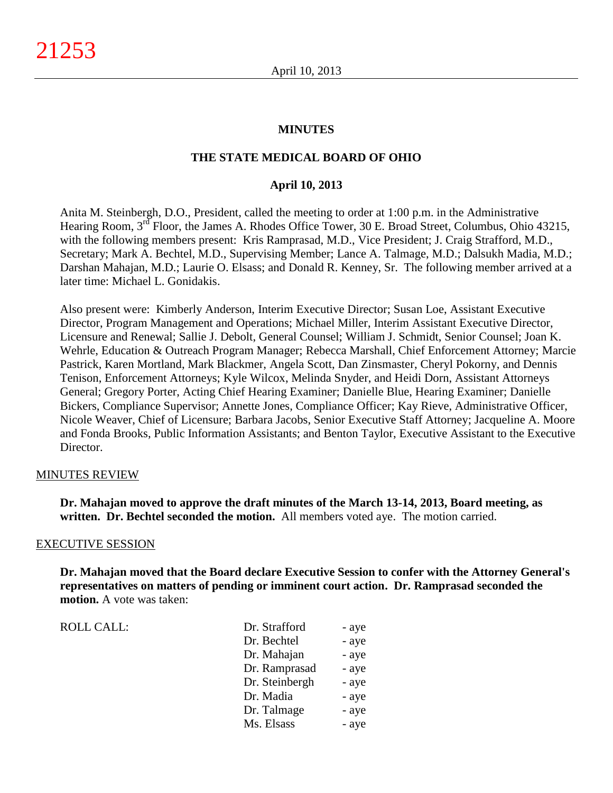## **MINUTES**

## **THE STATE MEDICAL BOARD OF OHIO**

### **April 10, 2013**

Anita M. Steinbergh, D.O., President, called the meeting to order at 1:00 p.m. in the Administrative Hearing Room, 3<sup>rd</sup> Floor, the James A. Rhodes Office Tower, 30 E. Broad Street, Columbus, Ohio 43215, with the following members present: Kris Ramprasad, M.D., Vice President; J. Craig Strafford, M.D., Secretary; Mark A. Bechtel, M.D., Supervising Member; Lance A. Talmage, M.D.; Dalsukh Madia, M.D.; Darshan Mahajan, M.D.; Laurie O. Elsass; and Donald R. Kenney, Sr. The following member arrived at a later time: Michael L. Gonidakis.

Also present were: Kimberly Anderson, Interim Executive Director; Susan Loe, Assistant Executive Director, Program Management and Operations; Michael Miller, Interim Assistant Executive Director, Licensure and Renewal; Sallie J. Debolt, General Counsel; William J. Schmidt, Senior Counsel; Joan K. Wehrle, Education & Outreach Program Manager; Rebecca Marshall, Chief Enforcement Attorney; Marcie Pastrick, Karen Mortland, Mark Blackmer, Angela Scott, Dan Zinsmaster, Cheryl Pokorny, and Dennis Tenison, Enforcement Attorneys; Kyle Wilcox, Melinda Snyder, and Heidi Dorn, Assistant Attorneys General; Gregory Porter, Acting Chief Hearing Examiner; Danielle Blue, Hearing Examiner; Danielle Bickers, Compliance Supervisor; Annette Jones, Compliance Officer; Kay Rieve, Administrative Officer, Nicole Weaver, Chief of Licensure; Barbara Jacobs, Senior Executive Staff Attorney; Jacqueline A. Moore and Fonda Brooks, Public Information Assistants; and Benton Taylor, Executive Assistant to the Executive Director.

#### MINUTES REVIEW

**Dr. Mahajan moved to approve the draft minutes of the March 13-14, 2013, Board meeting, as written. Dr. Bechtel seconded the motion.** All members voted aye. The motion carried.

#### EXECUTIVE SESSION

**Dr. Mahajan moved that the Board declare Executive Session to confer with the Attorney General's representatives on matters of pending or imminent court action. Dr. Ramprasad seconded the motion.** A vote was taken:

| <b>ROLL CALL:</b> | Dr. Strafford  | - aye |
|-------------------|----------------|-------|
|                   | Dr. Bechtel    | - aye |
|                   | Dr. Mahajan    | - aye |
|                   | Dr. Ramprasad  | - aye |
|                   | Dr. Steinbergh | - aye |
|                   | Dr. Madia      | - aye |
|                   | Dr. Talmage    | - aye |
|                   | Ms. Elsass     | - aye |
|                   |                |       |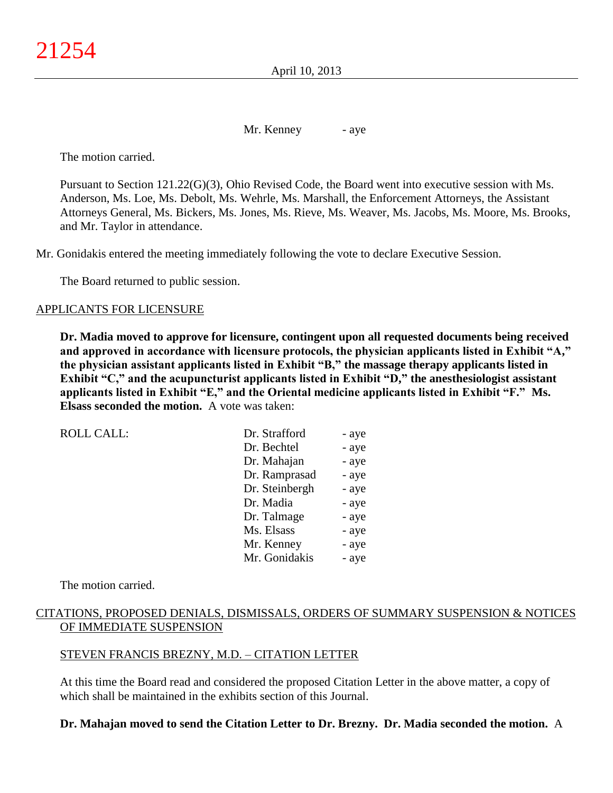April 10, 2013

Mr. Kenney - aye

The motion carried.

Pursuant to Section 121.22(G)(3), Ohio Revised Code, the Board went into executive session with Ms. Anderson, Ms. Loe, Ms. Debolt, Ms. Wehrle, Ms. Marshall, the Enforcement Attorneys, the Assistant Attorneys General, Ms. Bickers, Ms. Jones, Ms. Rieve, Ms. Weaver, Ms. Jacobs, Ms. Moore, Ms. Brooks, and Mr. Taylor in attendance.

Mr. Gonidakis entered the meeting immediately following the vote to declare Executive Session.

The Board returned to public session.

### APPLICANTS FOR LICENSURE

**Dr. Madia moved to approve for licensure, contingent upon all requested documents being received and approved in accordance with licensure protocols, the physician applicants listed in Exhibit "A," the physician assistant applicants listed in Exhibit "B," the massage therapy applicants listed in Exhibit "C," and the acupuncturist applicants listed in Exhibit "D," the anesthesiologist assistant applicants listed in Exhibit "E," and the Oriental medicine applicants listed in Exhibit "F." Ms. Elsass seconded the motion.** A vote was taken:

| <b>ROLL CALL:</b> | Dr. Strafford  | - aye |
|-------------------|----------------|-------|
|                   | Dr. Bechtel    | - aye |
|                   | Dr. Mahajan    | - aye |
|                   | Dr. Ramprasad  | - aye |
|                   | Dr. Steinbergh | - aye |
|                   | Dr. Madia      | - aye |
|                   | Dr. Talmage    | - aye |
|                   | Ms. Elsass     | - aye |
|                   | Mr. Kenney     | - aye |
|                   | Mr. Gonidakis  | - aye |
|                   |                |       |

The motion carried.

# CITATIONS, PROPOSED DENIALS, DISMISSALS, ORDERS OF SUMMARY SUSPENSION & NOTICES OF IMMEDIATE SUSPENSION

## STEVEN FRANCIS BREZNY, M.D. – CITATION LETTER

At this time the Board read and considered the proposed Citation Letter in the above matter, a copy of which shall be maintained in the exhibits section of this Journal.

## **Dr. Mahajan moved to send the Citation Letter to Dr. Brezny. Dr. Madia seconded the motion.** A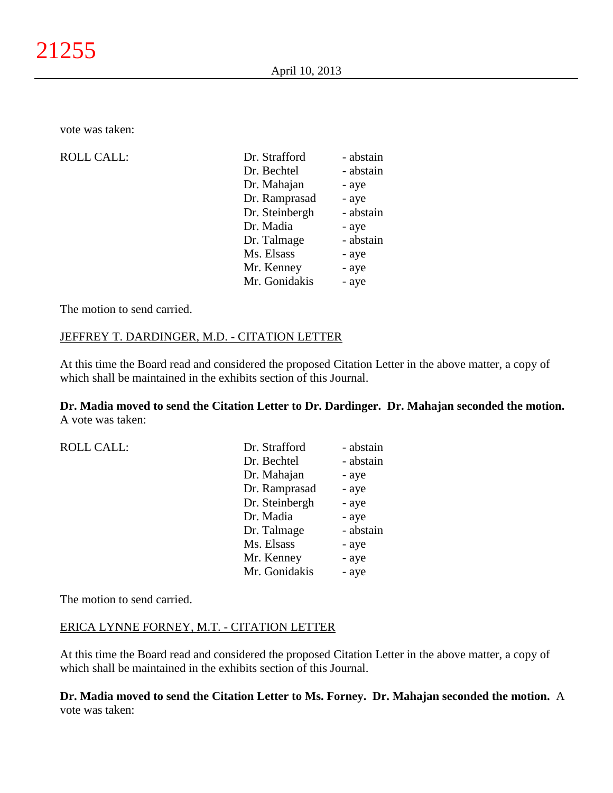vote was taken:

 $ROLL CALL$ :

| Dr. Strafford  | - abstain |
|----------------|-----------|
| Dr. Bechtel    | - abstain |
| Dr. Mahajan    | - aye     |
| Dr. Ramprasad  | - aye     |
| Dr. Steinbergh | - abstain |
| Dr. Madia      | - aye     |
| Dr. Talmage    | - abstain |
| Ms. Elsass     | - aye     |
| Mr. Kenney     | - aye     |
| Mr. Gonidakis  | - aye     |

The motion to send carried.

## JEFFREY T. DARDINGER, M.D. - CITATION LETTER

At this time the Board read and considered the proposed Citation Letter in the above matter, a copy of which shall be maintained in the exhibits section of this Journal.

**Dr. Madia moved to send the Citation Letter to Dr. Dardinger. Dr. Mahajan seconded the motion.** A vote was taken:

ROLL CALL:

| Dr. Strafford  | - abstain |
|----------------|-----------|
| Dr. Bechtel    | - abstain |
| Dr. Mahajan    | - aye     |
| Dr. Ramprasad  | - aye     |
| Dr. Steinbergh | - aye     |
| Dr. Madia      | - aye     |
| Dr. Talmage    | - abstain |
| Ms. Elsass     | - aye     |
| Mr. Kenney     | - aye     |
| Mr. Gonidakis  | - aye     |

The motion to send carried.

### ERICA LYNNE FORNEY, M.T. - CITATION LETTER

At this time the Board read and considered the proposed Citation Letter in the above matter, a copy of which shall be maintained in the exhibits section of this Journal.

**Dr. Madia moved to send the Citation Letter to Ms. Forney. Dr. Mahajan seconded the motion.** A vote was taken: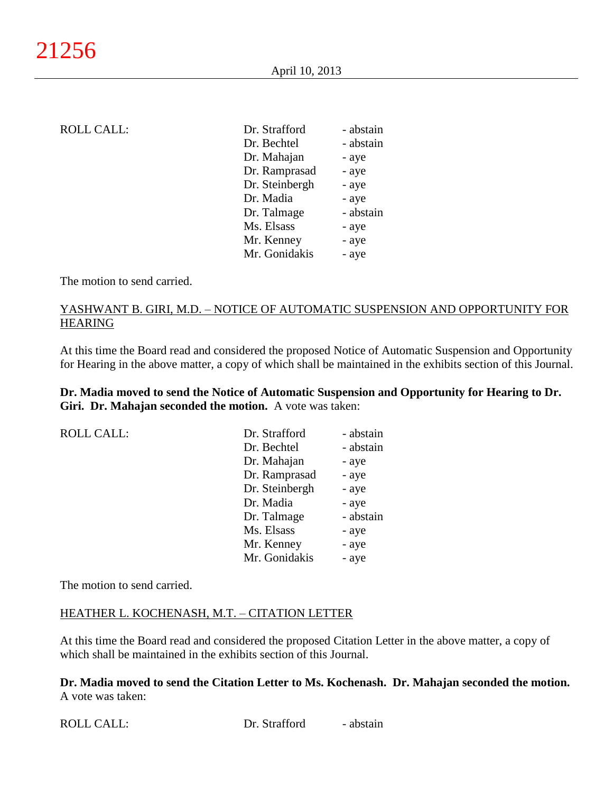| ROLL CALL: |
|------------|
|            |

| <b>ROLL CALL:</b> | Dr. Strafford  | - abstain |
|-------------------|----------------|-----------|
|                   | Dr. Bechtel    | - abstain |
|                   | Dr. Mahajan    | - aye     |
|                   | Dr. Ramprasad  | - aye     |
|                   | Dr. Steinbergh | - aye     |
|                   | Dr. Madia      | - aye     |
|                   | Dr. Talmage    | - abstain |
|                   | Ms. Elsass     | - aye     |
|                   | Mr. Kenney     | - aye     |
|                   | Mr. Gonidakis  | - aye     |
|                   |                |           |

The motion to send carried.

## YASHWANT B. GIRI, M.D. – NOTICE OF AUTOMATIC SUSPENSION AND OPPORTUNITY FOR HEARING

At this time the Board read and considered the proposed Notice of Automatic Suspension and Opportunity for Hearing in the above matter, a copy of which shall be maintained in the exhibits section of this Journal.

**Dr. Madia moved to send the Notice of Automatic Suspension and Opportunity for Hearing to Dr. Giri. Dr. Mahajan seconded the motion.** A vote was taken:

ROLL CALL:

| Dr. Strafford  | - abstain |
|----------------|-----------|
| Dr. Bechtel    | - abstain |
| Dr. Mahajan    | - aye     |
| Dr. Ramprasad  | - aye     |
| Dr. Steinbergh | - aye     |
| Dr. Madia      | - aye     |
| Dr. Talmage    | - abstain |
| Ms. Elsass     | - aye     |
| Mr. Kenney     | - aye     |
| Mr. Gonidakis  | - aye     |

The motion to send carried.

## HEATHER L. KOCHENASH, M.T. – CITATION LETTER

At this time the Board read and considered the proposed Citation Letter in the above matter, a copy of which shall be maintained in the exhibits section of this Journal.

**Dr. Madia moved to send the Citation Letter to Ms. Kochenash. Dr. Mahajan seconded the motion.** A vote was taken: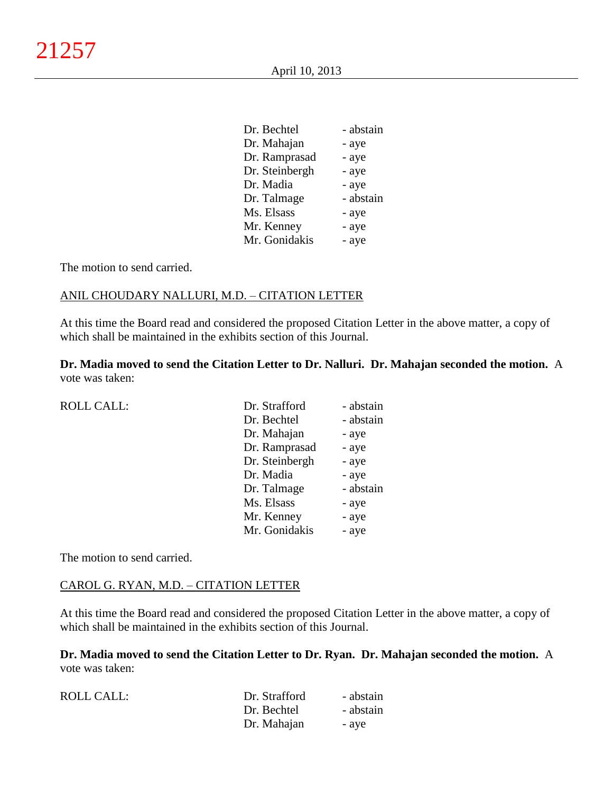| Dr. Bechtel    | - abstain |
|----------------|-----------|
| Dr. Mahajan    | - aye     |
| Dr. Ramprasad  | - aye     |
| Dr. Steinbergh | - aye     |
| Dr. Madia      | - aye     |
| Dr. Talmage    | - abstain |
| Ms. Elsass     | - aye     |
| Mr. Kenney     | - aye     |
| Mr. Gonidakis  | - aye     |

The motion to send carried.

### ANIL CHOUDARY NALLURI, M.D. – CITATION LETTER

At this time the Board read and considered the proposed Citation Letter in the above matter, a copy of which shall be maintained in the exhibits section of this Journal.

**Dr. Madia moved to send the Citation Letter to Dr. Nalluri. Dr. Mahajan seconded the motion.** A vote was taken:

| Dr. Strafford  | - abstain |
|----------------|-----------|
| Dr. Bechtel    | - abstain |
| Dr. Mahajan    | - aye     |
| Dr. Ramprasad  | - aye     |
| Dr. Steinbergh | - aye     |
| Dr. Madia      | - aye     |
| Dr. Talmage    | - abstain |
| Ms. Elsass     | - aye     |
| Mr. Kenney     | - aye     |
| Mr. Gonidakis  | - aye     |
|                |           |

The motion to send carried.

#### CAROL G. RYAN, M.D. – CITATION LETTER

At this time the Board read and considered the proposed Citation Letter in the above matter, a copy of which shall be maintained in the exhibits section of this Journal.

**Dr. Madia moved to send the Citation Letter to Dr. Ryan. Dr. Mahajan seconded the motion.** A vote was taken:

| ROLL CALL: | Dr. Strafford | - abstain |
|------------|---------------|-----------|
|            | Dr. Bechtel   | - abstain |
|            | Dr. Mahajan   | - ave     |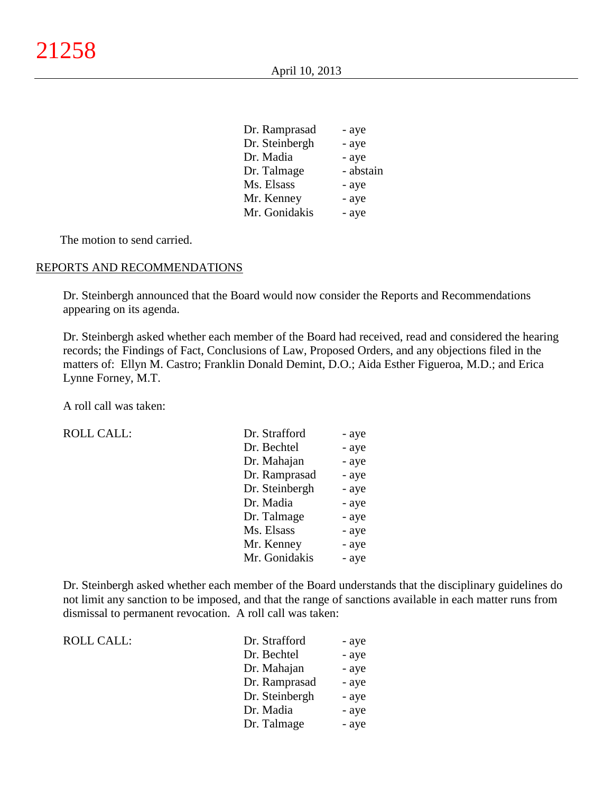| Dr. Ramprasad  | - aye     |
|----------------|-----------|
| Dr. Steinbergh | - aye     |
| Dr. Madia      | - aye     |
| Dr. Talmage    | - abstain |
| Ms. Elsass     | - aye     |
| Mr. Kenney     | - aye     |
| Mr. Gonidakis  | - aye     |

The motion to send carried.

#### REPORTS AND RECOMMENDATIONS

Dr. Steinbergh announced that the Board would now consider the Reports and Recommendations appearing on its agenda.

Dr. Steinbergh asked whether each member of the Board had received, read and considered the hearing records; the Findings of Fact, Conclusions of Law, Proposed Orders, and any objections filed in the matters of: Ellyn M. Castro; Franklin Donald Demint, D.O.; Aida Esther Figueroa, M.D.; and Erica Lynne Forney, M.T.

A roll call was taken:

ROLL CALL:

ROLL CALL:

| Dr. Strafford  | - aye |
|----------------|-------|
| Dr. Bechtel    | - aye |
| Dr. Mahajan    | - aye |
| Dr. Ramprasad  | - aye |
| Dr. Steinbergh | - aye |
| Dr. Madia      | - aye |
| Dr. Talmage    | - aye |
| Ms. Elsass     | - aye |
| Mr. Kenney     | - aye |
| Mr. Gonidakis  | - aye |

Dr. Steinbergh asked whether each member of the Board understands that the disciplinary guidelines do not limit any sanction to be imposed, and that the range of sanctions available in each matter runs from dismissal to permanent revocation. A roll call was taken:

| Dr. Strafford  | - aye |
|----------------|-------|
| Dr. Bechtel    | - aye |
| Dr. Mahajan    | - aye |
| Dr. Ramprasad  | - aye |
| Dr. Steinbergh | - aye |
| Dr. Madia      | - aye |
| Dr. Talmage    | - aye |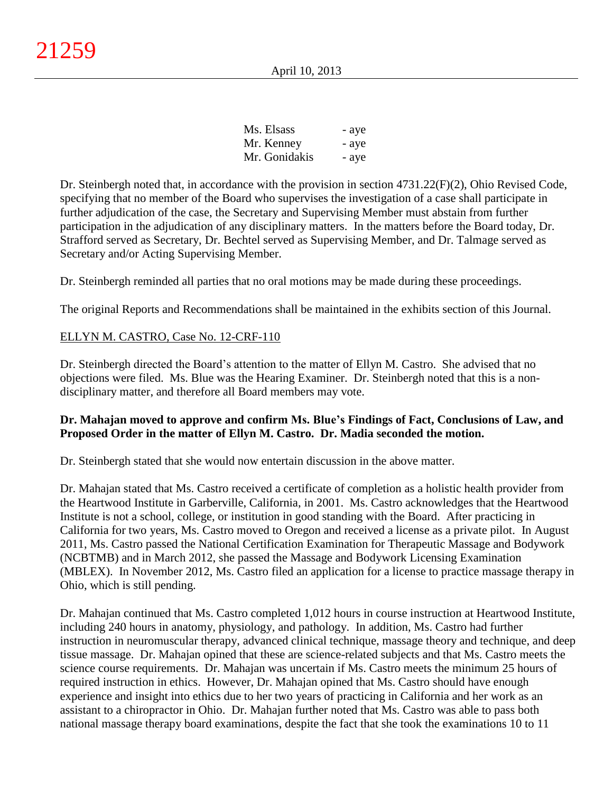| Ms. Elsass    | - aye |
|---------------|-------|
| Mr. Kenney    | - aye |
| Mr. Gonidakis | - aye |

Dr. Steinbergh noted that, in accordance with the provision in section 4731.22(F)(2), Ohio Revised Code, specifying that no member of the Board who supervises the investigation of a case shall participate in further adjudication of the case, the Secretary and Supervising Member must abstain from further participation in the adjudication of any disciplinary matters. In the matters before the Board today, Dr. Strafford served as Secretary, Dr. Bechtel served as Supervising Member, and Dr. Talmage served as Secretary and/or Acting Supervising Member.

Dr. Steinbergh reminded all parties that no oral motions may be made during these proceedings.

The original Reports and Recommendations shall be maintained in the exhibits section of this Journal.

# ELLYN M. CASTRO, Case No. 12-CRF-110

Dr. Steinbergh directed the Board's attention to the matter of Ellyn M. Castro. She advised that no objections were filed. Ms. Blue was the Hearing Examiner. Dr. Steinbergh noted that this is a nondisciplinary matter, and therefore all Board members may vote.

## **Dr. Mahajan moved to approve and confirm Ms. Blue's Findings of Fact, Conclusions of Law, and Proposed Order in the matter of Ellyn M. Castro. Dr. Madia seconded the motion.**

Dr. Steinbergh stated that she would now entertain discussion in the above matter.

Dr. Mahajan stated that Ms. Castro received a certificate of completion as a holistic health provider from the Heartwood Institute in Garberville, California, in 2001. Ms. Castro acknowledges that the Heartwood Institute is not a school, college, or institution in good standing with the Board. After practicing in California for two years, Ms. Castro moved to Oregon and received a license as a private pilot. In August 2011, Ms. Castro passed the National Certification Examination for Therapeutic Massage and Bodywork (NCBTMB) and in March 2012, she passed the Massage and Bodywork Licensing Examination (MBLEX). In November 2012, Ms. Castro filed an application for a license to practice massage therapy in Ohio, which is still pending.

Dr. Mahajan continued that Ms. Castro completed 1,012 hours in course instruction at Heartwood Institute, including 240 hours in anatomy, physiology, and pathology. In addition, Ms. Castro had further instruction in neuromuscular therapy, advanced clinical technique, massage theory and technique, and deep tissue massage. Dr. Mahajan opined that these are science-related subjects and that Ms. Castro meets the science course requirements. Dr. Mahajan was uncertain if Ms. Castro meets the minimum 25 hours of required instruction in ethics. However, Dr. Mahajan opined that Ms. Castro should have enough experience and insight into ethics due to her two years of practicing in California and her work as an assistant to a chiropractor in Ohio. Dr. Mahajan further noted that Ms. Castro was able to pass both national massage therapy board examinations, despite the fact that she took the examinations 10 to 11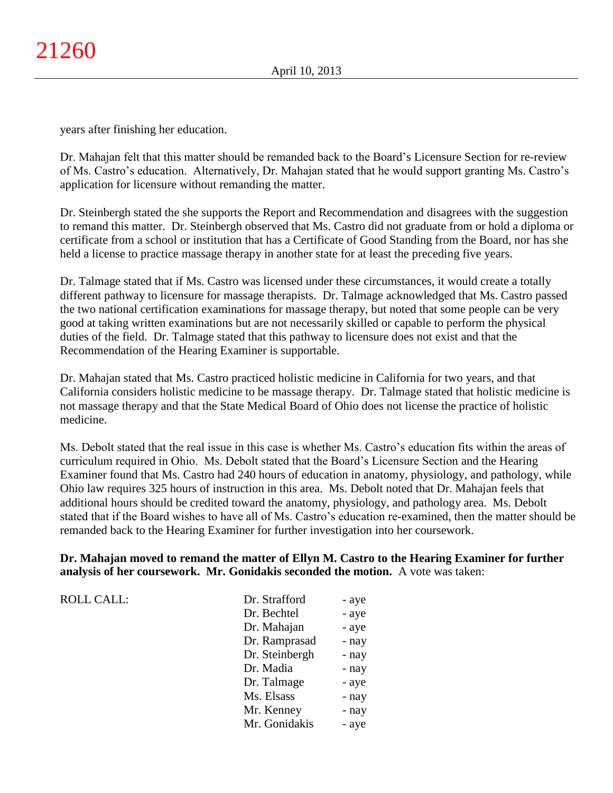years after finishing her education.

Dr. Mahajan felt that this matter should be remanded back to the Board's Licensure Section for re-review of Ms. Castro's education. Alternatively, Dr. Mahajan stated that he would support granting Ms. Castro's application for licensure without remanding the matter.

Dr. Steinbergh stated the she supports the Report and Recommendation and disagrees with the suggestion to remand this matter. Dr. Steinbergh observed that Ms. Castro did not graduate from or hold a diploma or certificate from a school or institution that has a Certificate of Good Standing from the Board, nor has she held a license to practice massage therapy in another state for at least the preceding five years.

Dr. Talmage stated that if Ms. Castro was licensed under these circumstances, it would create a totally different pathway to licensure for massage therapists. Dr. Talmage acknowledged that Ms. Castro passed the two national certification examinations for massage therapy, but noted that some people can be very good at taking written examinations but are not necessarily skilled or capable to perform the physical duties of the field. Dr. Talmage stated that this pathway to licensure does not exist and that the Recommendation of the Hearing Examiner is supportable.

Dr. Mahajan stated that Ms. Castro practiced holistic medicine in California for two years, and that California considers holistic medicine to be massage therapy. Dr. Talmage stated that holistic medicine is not massage therapy and that the State Medical Board of Ohio does not license the practice of holistic medicine.

Ms. Debolt stated that the real issue in this case is whether Ms. Castro's education fits within the areas of curriculum required in Ohio. Ms. Debolt stated that the Board's Licensure Section and the Hearing Examiner found that Ms. Castro had 240 hours of education in anatomy, physiology, and pathology, while Ohio law requires 325 hours of instruction in this area. Ms. Debolt noted that Dr. Mahajan feels that additional hours should be credited toward the anatomy, physiology, and pathology area. Ms. Debolt stated that if the Board wishes to have all of Ms. Castro's education re-examined, then the matter should be remanded back to the Hearing Examiner for further investigation into her coursework.

## **Dr. Mahajan moved to remand the matter of Ellyn M. Castro to the Hearing Examiner for further analysis of her coursework. Mr. Gonidakis seconded the motion.** A vote was taken:

| <b>ROLL CALL:</b> | Dr. Strafford  | - aye |
|-------------------|----------------|-------|
|                   | Dr. Bechtel    | - aye |
|                   | Dr. Mahajan    | - aye |
|                   | Dr. Ramprasad  | - nay |
|                   | Dr. Steinbergh | - nay |
|                   | Dr. Madia      | - nay |
|                   | Dr. Talmage    | - aye |
|                   | Ms. Elsass     | - nay |
|                   | Mr. Kenney     | - nay |
|                   | Mr. Gonidakis  | - aye |
|                   |                |       |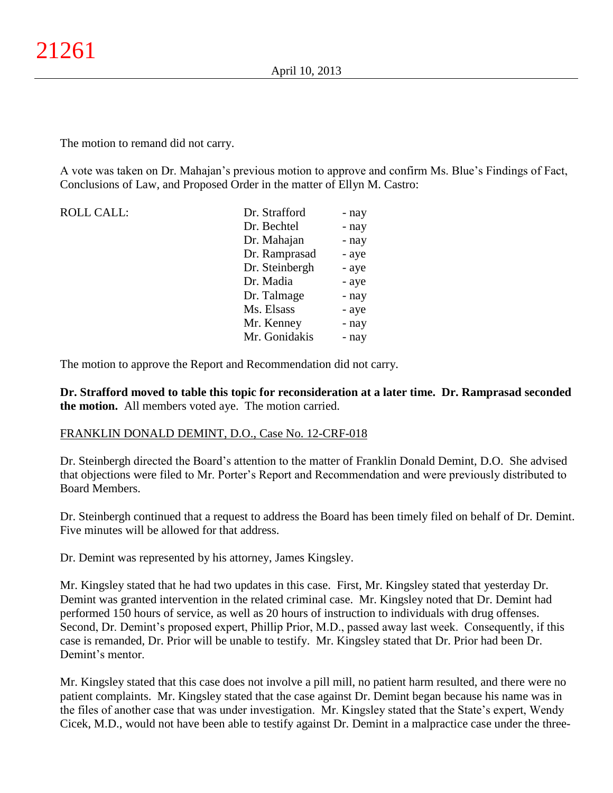The motion to remand did not carry.

A vote was taken on Dr. Mahajan's previous motion to approve and confirm Ms. Blue's Findings of Fact, Conclusions of Law, and Proposed Order in the matter of Ellyn M. Castro:

| <b>ROLL CALL:</b> | Dr. Strafford  | - nay |
|-------------------|----------------|-------|
|                   | Dr. Bechtel    | - nay |
|                   | Dr. Mahajan    | - nay |
|                   | Dr. Ramprasad  | - aye |
|                   | Dr. Steinbergh | - aye |
|                   | Dr. Madia      | - aye |
|                   | Dr. Talmage    | - nay |
|                   | Ms. Elsass     | - aye |
|                   | Mr. Kenney     | - nay |
|                   | Mr. Gonidakis  | - nav |

The motion to approve the Report and Recommendation did not carry.

**Dr. Strafford moved to table this topic for reconsideration at a later time. Dr. Ramprasad seconded the motion.** All members voted aye. The motion carried.

## FRANKLIN DONALD DEMINT, D.O., Case No. 12-CRF-018

Dr. Steinbergh directed the Board's attention to the matter of Franklin Donald Demint, D.O. She advised that objections were filed to Mr. Porter's Report and Recommendation and were previously distributed to Board Members.

Dr. Steinbergh continued that a request to address the Board has been timely filed on behalf of Dr. Demint. Five minutes will be allowed for that address.

Dr. Demint was represented by his attorney, James Kingsley.

Mr. Kingsley stated that he had two updates in this case. First, Mr. Kingsley stated that yesterday Dr. Demint was granted intervention in the related criminal case. Mr. Kingsley noted that Dr. Demint had performed 150 hours of service, as well as 20 hours of instruction to individuals with drug offenses. Second, Dr. Demint's proposed expert, Phillip Prior, M.D., passed away last week. Consequently, if this case is remanded, Dr. Prior will be unable to testify. Mr. Kingsley stated that Dr. Prior had been Dr. Demint's mentor.

Mr. Kingsley stated that this case does not involve a pill mill, no patient harm resulted, and there were no patient complaints. Mr. Kingsley stated that the case against Dr. Demint began because his name was in the files of another case that was under investigation. Mr. Kingsley stated that the State's expert, Wendy Cicek, M.D., would not have been able to testify against Dr. Demint in a malpractice case under the three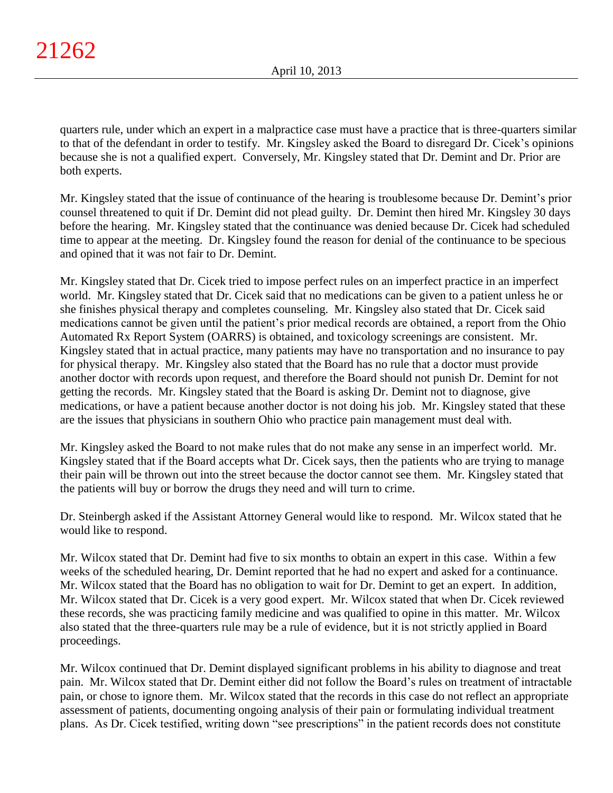quarters rule, under which an expert in a malpractice case must have a practice that is three-quarters similar to that of the defendant in order to testify. Mr. Kingsley asked the Board to disregard Dr. Cicek's opinions because she is not a qualified expert. Conversely, Mr. Kingsley stated that Dr. Demint and Dr. Prior are both experts.

Mr. Kingsley stated that the issue of continuance of the hearing is troublesome because Dr. Demint's prior counsel threatened to quit if Dr. Demint did not plead guilty. Dr. Demint then hired Mr. Kingsley 30 days before the hearing. Mr. Kingsley stated that the continuance was denied because Dr. Cicek had scheduled time to appear at the meeting. Dr. Kingsley found the reason for denial of the continuance to be specious and opined that it was not fair to Dr. Demint.

Mr. Kingsley stated that Dr. Cicek tried to impose perfect rules on an imperfect practice in an imperfect world. Mr. Kingsley stated that Dr. Cicek said that no medications can be given to a patient unless he or she finishes physical therapy and completes counseling. Mr. Kingsley also stated that Dr. Cicek said medications cannot be given until the patient's prior medical records are obtained, a report from the Ohio Automated Rx Report System (OARRS) is obtained, and toxicology screenings are consistent. Mr. Kingsley stated that in actual practice, many patients may have no transportation and no insurance to pay for physical therapy. Mr. Kingsley also stated that the Board has no rule that a doctor must provide another doctor with records upon request, and therefore the Board should not punish Dr. Demint for not getting the records. Mr. Kingsley stated that the Board is asking Dr. Demint not to diagnose, give medications, or have a patient because another doctor is not doing his job. Mr. Kingsley stated that these are the issues that physicians in southern Ohio who practice pain management must deal with.

Mr. Kingsley asked the Board to not make rules that do not make any sense in an imperfect world. Mr. Kingsley stated that if the Board accepts what Dr. Cicek says, then the patients who are trying to manage their pain will be thrown out into the street because the doctor cannot see them. Mr. Kingsley stated that the patients will buy or borrow the drugs they need and will turn to crime.

Dr. Steinbergh asked if the Assistant Attorney General would like to respond. Mr. Wilcox stated that he would like to respond.

Mr. Wilcox stated that Dr. Demint had five to six months to obtain an expert in this case. Within a few weeks of the scheduled hearing, Dr. Demint reported that he had no expert and asked for a continuance. Mr. Wilcox stated that the Board has no obligation to wait for Dr. Demint to get an expert. In addition, Mr. Wilcox stated that Dr. Cicek is a very good expert. Mr. Wilcox stated that when Dr. Cicek reviewed these records, she was practicing family medicine and was qualified to opine in this matter. Mr. Wilcox also stated that the three-quarters rule may be a rule of evidence, but it is not strictly applied in Board proceedings.

Mr. Wilcox continued that Dr. Demint displayed significant problems in his ability to diagnose and treat pain. Mr. Wilcox stated that Dr. Demint either did not follow the Board's rules on treatment of intractable pain, or chose to ignore them. Mr. Wilcox stated that the records in this case do not reflect an appropriate assessment of patients, documenting ongoing analysis of their pain or formulating individual treatment plans. As Dr. Cicek testified, writing down "see prescriptions" in the patient records does not constitute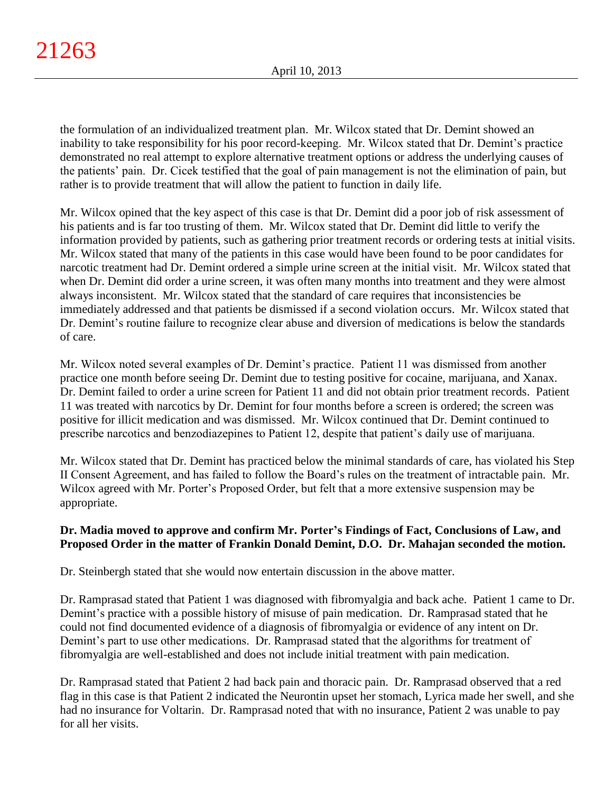the formulation of an individualized treatment plan. Mr. Wilcox stated that Dr. Demint showed an inability to take responsibility for his poor record-keeping. Mr. Wilcox stated that Dr. Demint's practice demonstrated no real attempt to explore alternative treatment options or address the underlying causes of the patients' pain. Dr. Cicek testified that the goal of pain management is not the elimination of pain, but rather is to provide treatment that will allow the patient to function in daily life.

Mr. Wilcox opined that the key aspect of this case is that Dr. Demint did a poor job of risk assessment of his patients and is far too trusting of them. Mr. Wilcox stated that Dr. Demint did little to verify the information provided by patients, such as gathering prior treatment records or ordering tests at initial visits. Mr. Wilcox stated that many of the patients in this case would have been found to be poor candidates for narcotic treatment had Dr. Demint ordered a simple urine screen at the initial visit. Mr. Wilcox stated that when Dr. Demint did order a urine screen, it was often many months into treatment and they were almost always inconsistent. Mr. Wilcox stated that the standard of care requires that inconsistencies be immediately addressed and that patients be dismissed if a second violation occurs. Mr. Wilcox stated that Dr. Demint's routine failure to recognize clear abuse and diversion of medications is below the standards of care.

Mr. Wilcox noted several examples of Dr. Demint's practice. Patient 11 was dismissed from another practice one month before seeing Dr. Demint due to testing positive for cocaine, marijuana, and Xanax. Dr. Demint failed to order a urine screen for Patient 11 and did not obtain prior treatment records. Patient 11 was treated with narcotics by Dr. Demint for four months before a screen is ordered; the screen was positive for illicit medication and was dismissed. Mr. Wilcox continued that Dr. Demint continued to prescribe narcotics and benzodiazepines to Patient 12, despite that patient's daily use of marijuana.

Mr. Wilcox stated that Dr. Demint has practiced below the minimal standards of care, has violated his Step II Consent Agreement, and has failed to follow the Board's rules on the treatment of intractable pain. Mr. Wilcox agreed with Mr. Porter's Proposed Order, but felt that a more extensive suspension may be appropriate.

# **Dr. Madia moved to approve and confirm Mr. Porter's Findings of Fact, Conclusions of Law, and Proposed Order in the matter of Frankin Donald Demint, D.O. Dr. Mahajan seconded the motion.**

Dr. Steinbergh stated that she would now entertain discussion in the above matter.

Dr. Ramprasad stated that Patient 1 was diagnosed with fibromyalgia and back ache. Patient 1 came to Dr. Demint's practice with a possible history of misuse of pain medication. Dr. Ramprasad stated that he could not find documented evidence of a diagnosis of fibromyalgia or evidence of any intent on Dr. Demint's part to use other medications. Dr. Ramprasad stated that the algorithms for treatment of fibromyalgia are well-established and does not include initial treatment with pain medication.

Dr. Ramprasad stated that Patient 2 had back pain and thoracic pain. Dr. Ramprasad observed that a red flag in this case is that Patient 2 indicated the Neurontin upset her stomach, Lyrica made her swell, and she had no insurance for Voltarin. Dr. Ramprasad noted that with no insurance, Patient 2 was unable to pay for all her visits.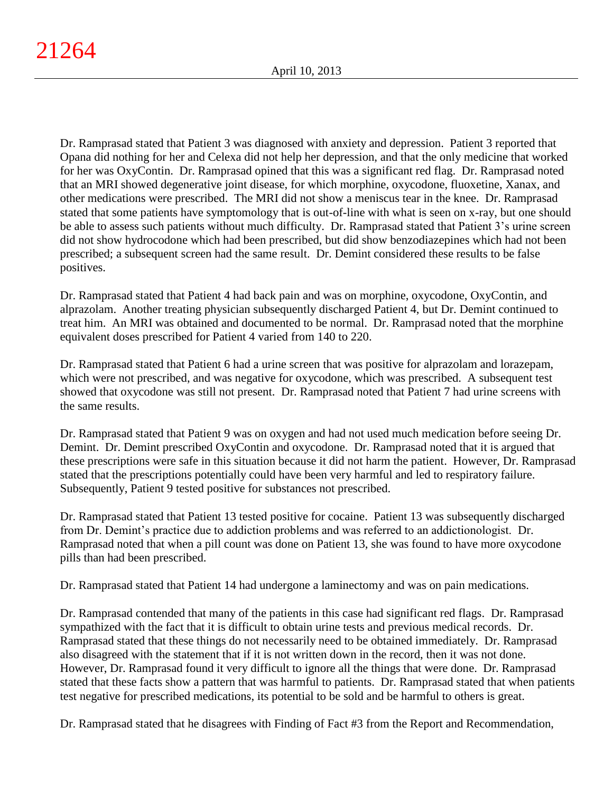Dr. Ramprasad stated that Patient 3 was diagnosed with anxiety and depression. Patient 3 reported that Opana did nothing for her and Celexa did not help her depression, and that the only medicine that worked for her was OxyContin. Dr. Ramprasad opined that this was a significant red flag. Dr. Ramprasad noted that an MRI showed degenerative joint disease, for which morphine, oxycodone, fluoxetine, Xanax, and other medications were prescribed. The MRI did not show a meniscus tear in the knee. Dr. Ramprasad stated that some patients have symptomology that is out-of-line with what is seen on x-ray, but one should be able to assess such patients without much difficulty. Dr. Ramprasad stated that Patient 3's urine screen did not show hydrocodone which had been prescribed, but did show benzodiazepines which had not been prescribed; a subsequent screen had the same result. Dr. Demint considered these results to be false positives.

Dr. Ramprasad stated that Patient 4 had back pain and was on morphine, oxycodone, OxyContin, and alprazolam. Another treating physician subsequently discharged Patient 4, but Dr. Demint continued to treat him. An MRI was obtained and documented to be normal. Dr. Ramprasad noted that the morphine equivalent doses prescribed for Patient 4 varied from 140 to 220.

Dr. Ramprasad stated that Patient 6 had a urine screen that was positive for alprazolam and lorazepam, which were not prescribed, and was negative for oxycodone, which was prescribed. A subsequent test showed that oxycodone was still not present. Dr. Ramprasad noted that Patient 7 had urine screens with the same results.

Dr. Ramprasad stated that Patient 9 was on oxygen and had not used much medication before seeing Dr. Demint. Dr. Demint prescribed OxyContin and oxycodone. Dr. Ramprasad noted that it is argued that these prescriptions were safe in this situation because it did not harm the patient. However, Dr. Ramprasad stated that the prescriptions potentially could have been very harmful and led to respiratory failure. Subsequently, Patient 9 tested positive for substances not prescribed.

Dr. Ramprasad stated that Patient 13 tested positive for cocaine. Patient 13 was subsequently discharged from Dr. Demint's practice due to addiction problems and was referred to an addictionologist. Dr. Ramprasad noted that when a pill count was done on Patient 13, she was found to have more oxycodone pills than had been prescribed.

Dr. Ramprasad stated that Patient 14 had undergone a laminectomy and was on pain medications.

Dr. Ramprasad contended that many of the patients in this case had significant red flags. Dr. Ramprasad sympathized with the fact that it is difficult to obtain urine tests and previous medical records. Dr. Ramprasad stated that these things do not necessarily need to be obtained immediately. Dr. Ramprasad also disagreed with the statement that if it is not written down in the record, then it was not done. However, Dr. Ramprasad found it very difficult to ignore all the things that were done. Dr. Ramprasad stated that these facts show a pattern that was harmful to patients. Dr. Ramprasad stated that when patients test negative for prescribed medications, its potential to be sold and be harmful to others is great.

Dr. Ramprasad stated that he disagrees with Finding of Fact #3 from the Report and Recommendation,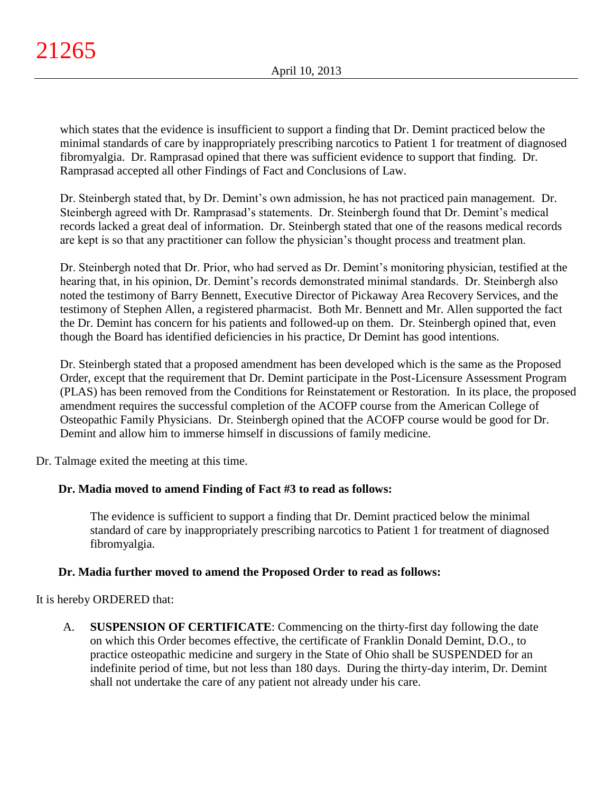which states that the evidence is insufficient to support a finding that Dr. Demint practiced below the minimal standards of care by inappropriately prescribing narcotics to Patient 1 for treatment of diagnosed fibromyalgia. Dr. Ramprasad opined that there was sufficient evidence to support that finding. Dr. Ramprasad accepted all other Findings of Fact and Conclusions of Law.

Dr. Steinbergh stated that, by Dr. Demint's own admission, he has not practiced pain management. Dr. Steinbergh agreed with Dr. Ramprasad's statements. Dr. Steinbergh found that Dr. Demint's medical records lacked a great deal of information. Dr. Steinbergh stated that one of the reasons medical records are kept is so that any practitioner can follow the physician's thought process and treatment plan.

Dr. Steinbergh noted that Dr. Prior, who had served as Dr. Demint's monitoring physician, testified at the hearing that, in his opinion, Dr. Demint's records demonstrated minimal standards. Dr. Steinbergh also noted the testimony of Barry Bennett, Executive Director of Pickaway Area Recovery Services, and the testimony of Stephen Allen, a registered pharmacist. Both Mr. Bennett and Mr. Allen supported the fact the Dr. Demint has concern for his patients and followed-up on them. Dr. Steinbergh opined that, even though the Board has identified deficiencies in his practice, Dr Demint has good intentions.

Dr. Steinbergh stated that a proposed amendment has been developed which is the same as the Proposed Order, except that the requirement that Dr. Demint participate in the Post-Licensure Assessment Program (PLAS) has been removed from the Conditions for Reinstatement or Restoration. In its place, the proposed amendment requires the successful completion of the ACOFP course from the American College of Osteopathic Family Physicians. Dr. Steinbergh opined that the ACOFP course would be good for Dr. Demint and allow him to immerse himself in discussions of family medicine.

Dr. Talmage exited the meeting at this time.

# **Dr. Madia moved to amend Finding of Fact #3 to read as follows:**

The evidence is sufficient to support a finding that Dr. Demint practiced below the minimal standard of care by inappropriately prescribing narcotics to Patient 1 for treatment of diagnosed fibromyalgia.

# **Dr. Madia further moved to amend the Proposed Order to read as follows:**

It is hereby ORDERED that:

A. **SUSPENSION OF CERTIFICATE**: Commencing on the thirty-first day following the date on which this Order becomes effective, the certificate of Franklin Donald Demint, D.O., to practice osteopathic medicine and surgery in the State of Ohio shall be SUSPENDED for an indefinite period of time, but not less than 180 days. During the thirty-day interim, Dr. Demint shall not undertake the care of any patient not already under his care.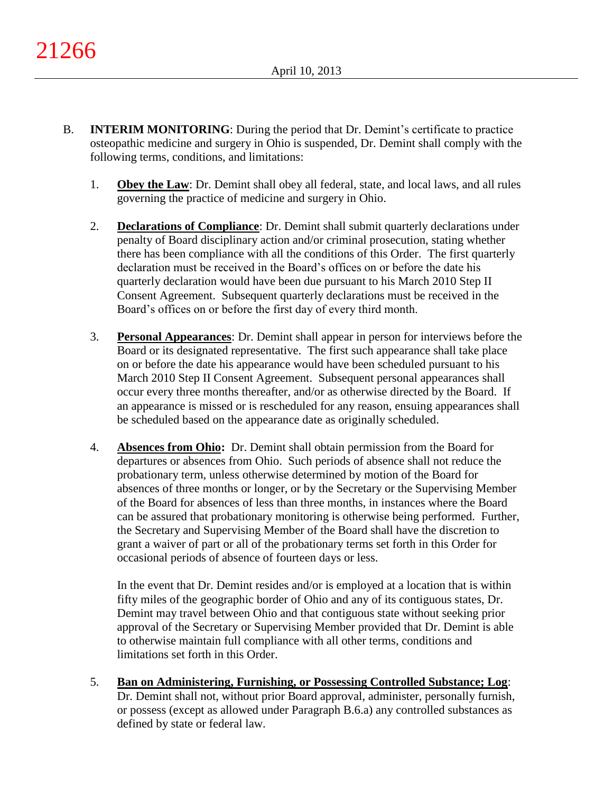- B. **INTERIM MONITORING**: During the period that Dr. Demint's certificate to practice osteopathic medicine and surgery in Ohio is suspended, Dr. Demint shall comply with the following terms, conditions, and limitations:
	- 1. **Obey the Law**: Dr. Demint shall obey all federal, state, and local laws, and all rules governing the practice of medicine and surgery in Ohio.
	- 2. **Declarations of Compliance**: Dr. Demint shall submit quarterly declarations under penalty of Board disciplinary action and/or criminal prosecution, stating whether there has been compliance with all the conditions of this Order. The first quarterly declaration must be received in the Board's offices on or before the date his quarterly declaration would have been due pursuant to his March 2010 Step II Consent Agreement. Subsequent quarterly declarations must be received in the Board's offices on or before the first day of every third month.
	- 3. **Personal Appearances**: Dr. Demint shall appear in person for interviews before the Board or its designated representative. The first such appearance shall take place on or before the date his appearance would have been scheduled pursuant to his March 2010 Step II Consent Agreement. Subsequent personal appearances shall occur every three months thereafter, and/or as otherwise directed by the Board. If an appearance is missed or is rescheduled for any reason, ensuing appearances shall be scheduled based on the appearance date as originally scheduled.
	- 4. **Absences from Ohio:** Dr. Demint shall obtain permission from the Board for departures or absences from Ohio. Such periods of absence shall not reduce the probationary term, unless otherwise determined by motion of the Board for absences of three months or longer, or by the Secretary or the Supervising Member of the Board for absences of less than three months, in instances where the Board can be assured that probationary monitoring is otherwise being performed. Further, the Secretary and Supervising Member of the Board shall have the discretion to grant a waiver of part or all of the probationary terms set forth in this Order for occasional periods of absence of fourteen days or less.

In the event that Dr. Demint resides and/or is employed at a location that is within fifty miles of the geographic border of Ohio and any of its contiguous states, Dr. Demint may travel between Ohio and that contiguous state without seeking prior approval of the Secretary or Supervising Member provided that Dr. Demint is able to otherwise maintain full compliance with all other terms, conditions and limitations set forth in this Order.

5. **Ban on Administering, Furnishing, or Possessing Controlled Substance; Log**: Dr. Demint shall not, without prior Board approval, administer, personally furnish, or possess (except as allowed under Paragraph B.6.a) any controlled substances as defined by state or federal law.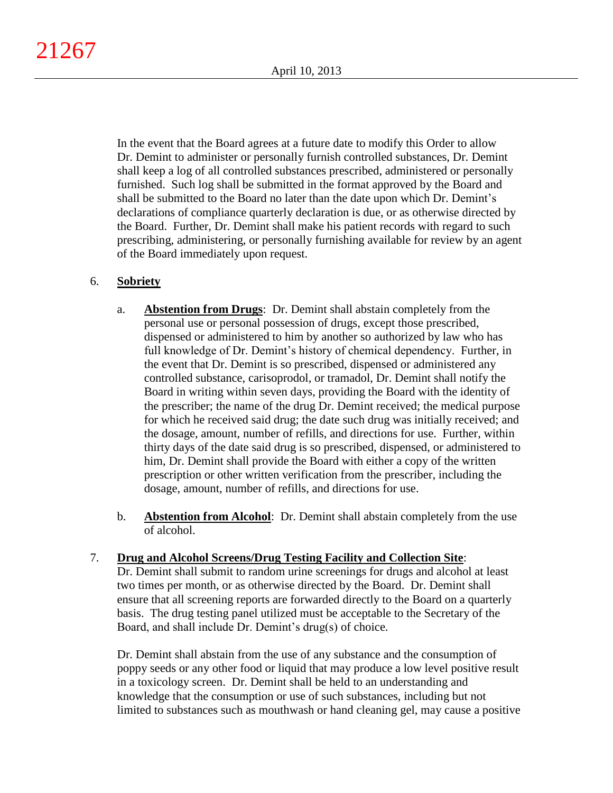In the event that the Board agrees at a future date to modify this Order to allow Dr. Demint to administer or personally furnish controlled substances, Dr. Demint shall keep a log of all controlled substances prescribed, administered or personally furnished. Such log shall be submitted in the format approved by the Board and shall be submitted to the Board no later than the date upon which Dr. Demint's declarations of compliance quarterly declaration is due, or as otherwise directed by the Board. Further, Dr. Demint shall make his patient records with regard to such prescribing, administering, or personally furnishing available for review by an agent of the Board immediately upon request.

## 6. **Sobriety**

- a. **Abstention from Drugs**: Dr. Demint shall abstain completely from the personal use or personal possession of drugs, except those prescribed, dispensed or administered to him by another so authorized by law who has full knowledge of Dr. Demint's history of chemical dependency. Further, in the event that Dr. Demint is so prescribed, dispensed or administered any controlled substance, carisoprodol, or tramadol, Dr. Demint shall notify the Board in writing within seven days, providing the Board with the identity of the prescriber; the name of the drug Dr. Demint received; the medical purpose for which he received said drug; the date such drug was initially received; and the dosage, amount, number of refills, and directions for use. Further, within thirty days of the date said drug is so prescribed, dispensed, or administered to him, Dr. Demint shall provide the Board with either a copy of the written prescription or other written verification from the prescriber, including the dosage, amount, number of refills, and directions for use.
- b. **Abstention from Alcohol**: Dr. Demint shall abstain completely from the use of alcohol.
- 7. **Drug and Alcohol Screens/Drug Testing Facility and Collection Site**: Dr. Demint shall submit to random urine screenings for drugs and alcohol at least two times per month, or as otherwise directed by the Board. Dr. Demint shall ensure that all screening reports are forwarded directly to the Board on a quarterly basis. The drug testing panel utilized must be acceptable to the Secretary of the Board, and shall include Dr. Demint's drug(s) of choice.

Dr. Demint shall abstain from the use of any substance and the consumption of poppy seeds or any other food or liquid that may produce a low level positive result in a toxicology screen. Dr. Demint shall be held to an understanding and knowledge that the consumption or use of such substances, including but not limited to substances such as mouthwash or hand cleaning gel, may cause a positive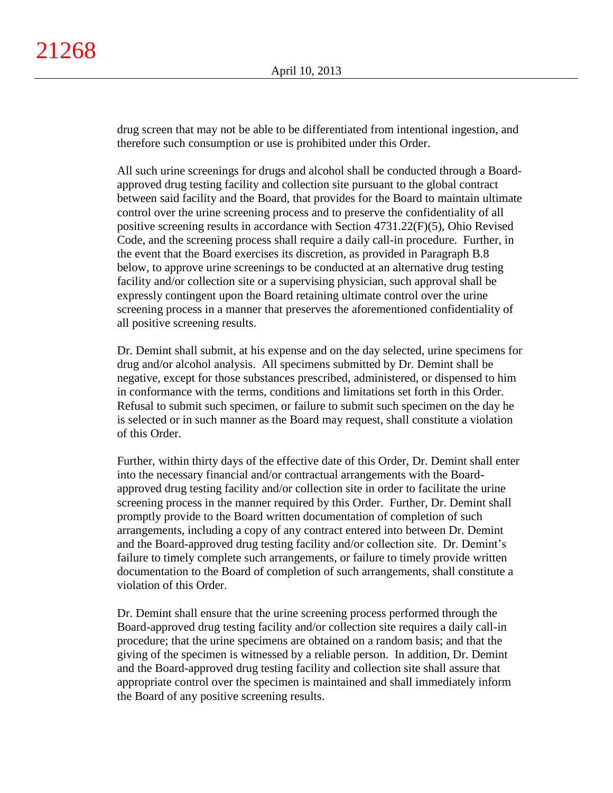drug screen that may not be able to be differentiated from intentional ingestion, and therefore such consumption or use is prohibited under this Order.

All such urine screenings for drugs and alcohol shall be conducted through a Boardapproved drug testing facility and collection site pursuant to the global contract between said facility and the Board, that provides for the Board to maintain ultimate control over the urine screening process and to preserve the confidentiality of all positive screening results in accordance with Section 4731.22(F)(5), Ohio Revised Code, and the screening process shall require a daily call-in procedure. Further, in the event that the Board exercises its discretion, as provided in Paragraph B.8 below, to approve urine screenings to be conducted at an alternative drug testing facility and/or collection site or a supervising physician, such approval shall be expressly contingent upon the Board retaining ultimate control over the urine screening process in a manner that preserves the aforementioned confidentiality of all positive screening results.

Dr. Demint shall submit, at his expense and on the day selected, urine specimens for drug and/or alcohol analysis. All specimens submitted by Dr. Demint shall be negative, except for those substances prescribed, administered, or dispensed to him in conformance with the terms, conditions and limitations set forth in this Order. Refusal to submit such specimen, or failure to submit such specimen on the day he is selected or in such manner as the Board may request, shall constitute a violation of this Order.

Further, within thirty days of the effective date of this Order, Dr. Demint shall enter into the necessary financial and/or contractual arrangements with the Boardapproved drug testing facility and/or collection site in order to facilitate the urine screening process in the manner required by this Order. Further, Dr. Demint shall promptly provide to the Board written documentation of completion of such arrangements, including a copy of any contract entered into between Dr. Demint and the Board-approved drug testing facility and/or collection site. Dr. Demint's failure to timely complete such arrangements, or failure to timely provide written documentation to the Board of completion of such arrangements, shall constitute a violation of this Order.

Dr. Demint shall ensure that the urine screening process performed through the Board-approved drug testing facility and/or collection site requires a daily call-in procedure; that the urine specimens are obtained on a random basis; and that the giving of the specimen is witnessed by a reliable person. In addition, Dr. Demint and the Board-approved drug testing facility and collection site shall assure that appropriate control over the specimen is maintained and shall immediately inform the Board of any positive screening results.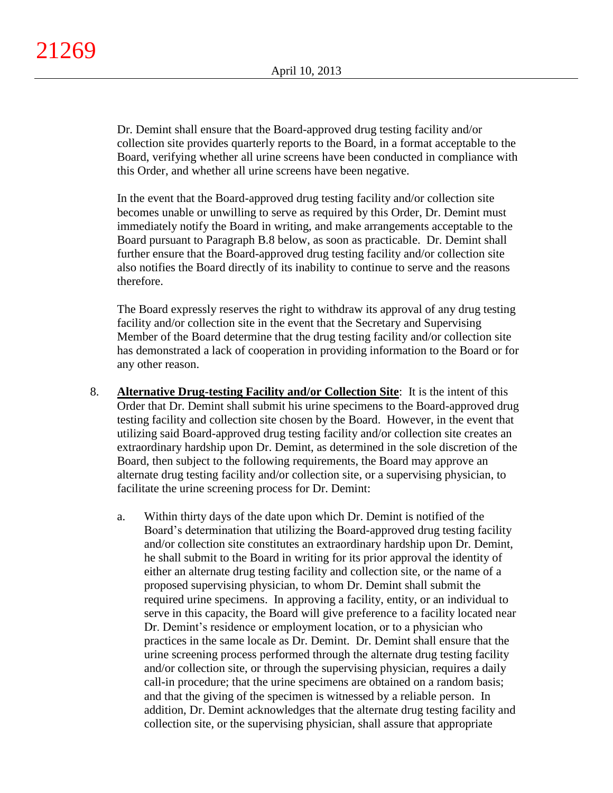Dr. Demint shall ensure that the Board-approved drug testing facility and/or collection site provides quarterly reports to the Board, in a format acceptable to the Board, verifying whether all urine screens have been conducted in compliance with this Order, and whether all urine screens have been negative.

In the event that the Board-approved drug testing facility and/or collection site becomes unable or unwilling to serve as required by this Order, Dr. Demint must immediately notify the Board in writing, and make arrangements acceptable to the Board pursuant to Paragraph B.8 below, as soon as practicable. Dr. Demint shall further ensure that the Board-approved drug testing facility and/or collection site also notifies the Board directly of its inability to continue to serve and the reasons therefore.

The Board expressly reserves the right to withdraw its approval of any drug testing facility and/or collection site in the event that the Secretary and Supervising Member of the Board determine that the drug testing facility and/or collection site has demonstrated a lack of cooperation in providing information to the Board or for any other reason.

- 8. **Alternative Drug-testing Facility and/or Collection Site**:It is the intent of this Order that Dr. Demint shall submit his urine specimens to the Board-approved drug testing facility and collection site chosen by the Board. However, in the event that utilizing said Board-approved drug testing facility and/or collection site creates an extraordinary hardship upon Dr. Demint, as determined in the sole discretion of the Board, then subject to the following requirements, the Board may approve an alternate drug testing facility and/or collection site, or a supervising physician, to facilitate the urine screening process for Dr. Demint:
	- a. Within thirty days of the date upon which Dr. Demint is notified of the Board's determination that utilizing the Board-approved drug testing facility and/or collection site constitutes an extraordinary hardship upon Dr. Demint, he shall submit to the Board in writing for its prior approval the identity of either an alternate drug testing facility and collection site, or the name of a proposed supervising physician, to whom Dr. Demint shall submit the required urine specimens. In approving a facility, entity, or an individual to serve in this capacity, the Board will give preference to a facility located near Dr. Demint's residence or employment location, or to a physician who practices in the same locale as Dr. Demint. Dr. Demint shall ensure that the urine screening process performed through the alternate drug testing facility and/or collection site, or through the supervising physician, requires a daily call-in procedure; that the urine specimens are obtained on a random basis; and that the giving of the specimen is witnessed by a reliable person. In addition, Dr. Demint acknowledges that the alternate drug testing facility and collection site, or the supervising physician, shall assure that appropriate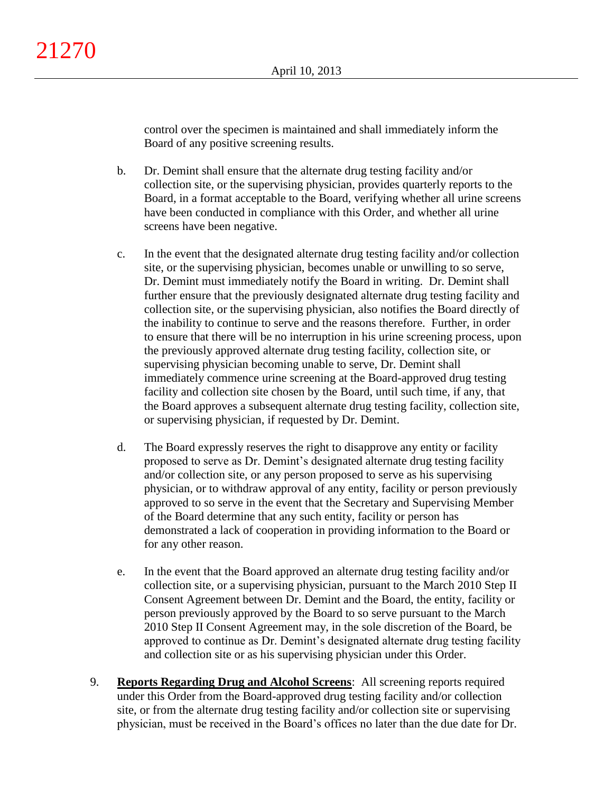control over the specimen is maintained and shall immediately inform the Board of any positive screening results.

- b. Dr. Demint shall ensure that the alternate drug testing facility and/or collection site, or the supervising physician, provides quarterly reports to the Board, in a format acceptable to the Board, verifying whether all urine screens have been conducted in compliance with this Order, and whether all urine screens have been negative.
- c. In the event that the designated alternate drug testing facility and/or collection site, or the supervising physician, becomes unable or unwilling to so serve, Dr. Demint must immediately notify the Board in writing. Dr. Demint shall further ensure that the previously designated alternate drug testing facility and collection site, or the supervising physician, also notifies the Board directly of the inability to continue to serve and the reasons therefore. Further, in order to ensure that there will be no interruption in his urine screening process, upon the previously approved alternate drug testing facility, collection site, or supervising physician becoming unable to serve, Dr. Demint shall immediately commence urine screening at the Board-approved drug testing facility and collection site chosen by the Board, until such time, if any, that the Board approves a subsequent alternate drug testing facility, collection site, or supervising physician, if requested by Dr. Demint.
- d. The Board expressly reserves the right to disapprove any entity or facility proposed to serve as Dr. Demint's designated alternate drug testing facility and/or collection site, or any person proposed to serve as his supervising physician, or to withdraw approval of any entity, facility or person previously approved to so serve in the event that the Secretary and Supervising Member of the Board determine that any such entity, facility or person has demonstrated a lack of cooperation in providing information to the Board or for any other reason.
- e. In the event that the Board approved an alternate drug testing facility and/or collection site, or a supervising physician, pursuant to the March 2010 Step II Consent Agreement between Dr. Demint and the Board, the entity, facility or person previously approved by the Board to so serve pursuant to the March 2010 Step II Consent Agreement may, in the sole discretion of the Board, be approved to continue as Dr. Demint's designated alternate drug testing facility and collection site or as his supervising physician under this Order.
- 9. **Reports Regarding Drug and Alcohol Screens**: All screening reports required under this Order from the Board-approved drug testing facility and/or collection site, or from the alternate drug testing facility and/or collection site or supervising physician, must be received in the Board's offices no later than the due date for Dr.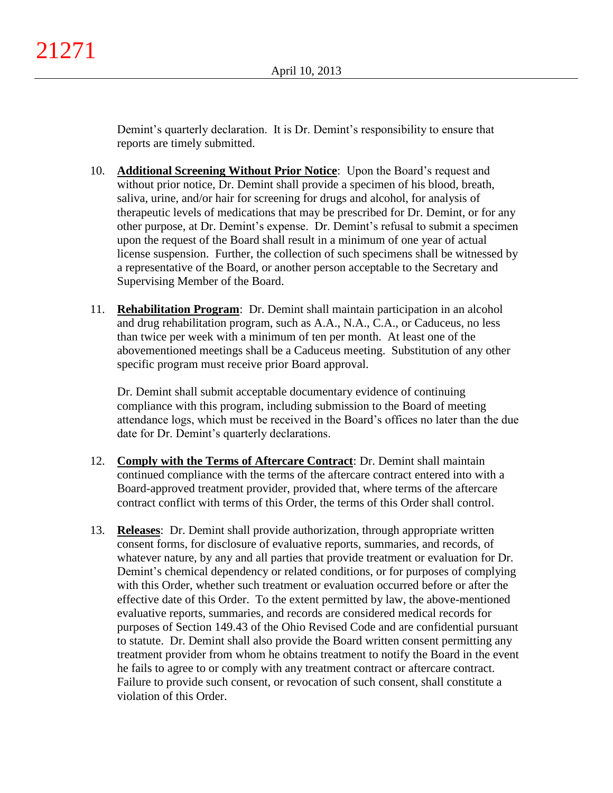Demint's quarterly declaration. It is Dr. Demint's responsibility to ensure that reports are timely submitted.

- 10. **Additional Screening Without Prior Notice**: Upon the Board's request and without prior notice, Dr. Demint shall provide a specimen of his blood, breath, saliva, urine, and/or hair for screening for drugs and alcohol, for analysis of therapeutic levels of medications that may be prescribed for Dr. Demint, or for any other purpose, at Dr. Demint's expense. Dr. Demint's refusal to submit a specimen upon the request of the Board shall result in a minimum of one year of actual license suspension. Further, the collection of such specimens shall be witnessed by a representative of the Board, or another person acceptable to the Secretary and Supervising Member of the Board.
- 11. **Rehabilitation Program**: Dr. Demint shall maintain participation in an alcohol and drug rehabilitation program, such as A.A., N.A., C.A., or Caduceus, no less than twice per week with a minimum of ten per month. At least one of the abovementioned meetings shall be a Caduceus meeting. Substitution of any other specific program must receive prior Board approval.

Dr. Demint shall submit acceptable documentary evidence of continuing compliance with this program, including submission to the Board of meeting attendance logs, which must be received in the Board's offices no later than the due date for Dr. Demint's quarterly declarations.

- 12. **Comply with the Terms of Aftercare Contract**: Dr. Demint shall maintain continued compliance with the terms of the aftercare contract entered into with a Board-approved treatment provider, provided that, where terms of the aftercare contract conflict with terms of this Order, the terms of this Order shall control.
- 13. **Releases**: Dr. Demint shall provide authorization, through appropriate written consent forms, for disclosure of evaluative reports, summaries, and records, of whatever nature, by any and all parties that provide treatment or evaluation for Dr. Demint's chemical dependency or related conditions, or for purposes of complying with this Order, whether such treatment or evaluation occurred before or after the effective date of this Order. To the extent permitted by law, the above-mentioned evaluative reports, summaries, and records are considered medical records for purposes of Section 149.43 of the Ohio Revised Code and are confidential pursuant to statute. Dr. Demint shall also provide the Board written consent permitting any treatment provider from whom he obtains treatment to notify the Board in the event he fails to agree to or comply with any treatment contract or aftercare contract. Failure to provide such consent, or revocation of such consent, shall constitute a violation of this Order.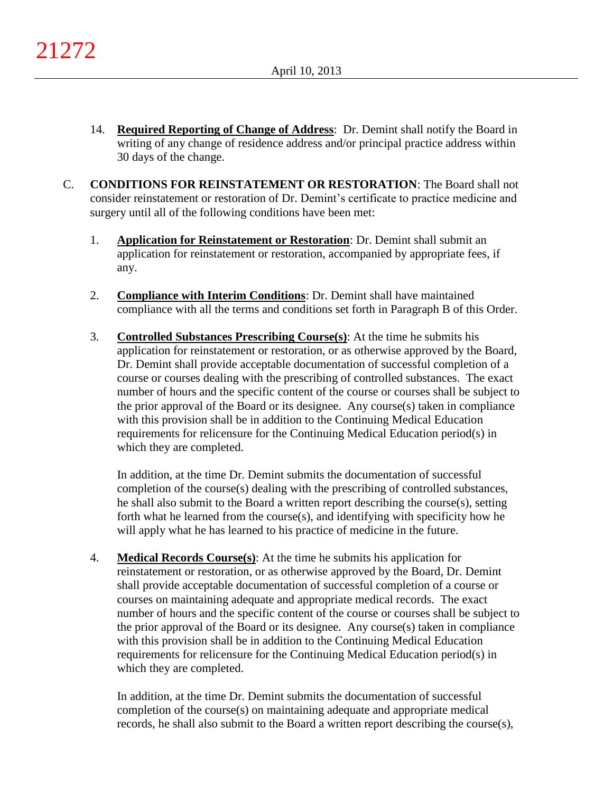- 14. **Required Reporting of Change of Address**: Dr. Demint shall notify the Board in writing of any change of residence address and/or principal practice address within 30 days of the change.
- C. **CONDITIONS FOR REINSTATEMENT OR RESTORATION**: The Board shall not consider reinstatement or restoration of Dr. Demint's certificate to practice medicine and surgery until all of the following conditions have been met:
	- 1. **Application for Reinstatement or Restoration**: Dr. Demint shall submit an application for reinstatement or restoration, accompanied by appropriate fees, if any.
	- 2. **Compliance with Interim Conditions**: Dr. Demint shall have maintained compliance with all the terms and conditions set forth in Paragraph B of this Order.
	- 3. **Controlled Substances Prescribing Course(s)**: At the time he submits his application for reinstatement or restoration, or as otherwise approved by the Board, Dr. Demint shall provide acceptable documentation of successful completion of a course or courses dealing with the prescribing of controlled substances. The exact number of hours and the specific content of the course or courses shall be subject to the prior approval of the Board or its designee. Any course(s) taken in compliance with this provision shall be in addition to the Continuing Medical Education requirements for relicensure for the Continuing Medical Education period(s) in which they are completed.

In addition, at the time Dr. Demint submits the documentation of successful completion of the course(s) dealing with the prescribing of controlled substances, he shall also submit to the Board a written report describing the course(s), setting forth what he learned from the course(s), and identifying with specificity how he will apply what he has learned to his practice of medicine in the future.

4. **Medical Records Course(s)**: At the time he submits his application for reinstatement or restoration, or as otherwise approved by the Board, Dr. Demint shall provide acceptable documentation of successful completion of a course or courses on maintaining adequate and appropriate medical records. The exact number of hours and the specific content of the course or courses shall be subject to the prior approval of the Board or its designee. Any course(s) taken in compliance with this provision shall be in addition to the Continuing Medical Education requirements for relicensure for the Continuing Medical Education period(s) in which they are completed.

In addition, at the time Dr. Demint submits the documentation of successful completion of the course(s) on maintaining adequate and appropriate medical records, he shall also submit to the Board a written report describing the course(s),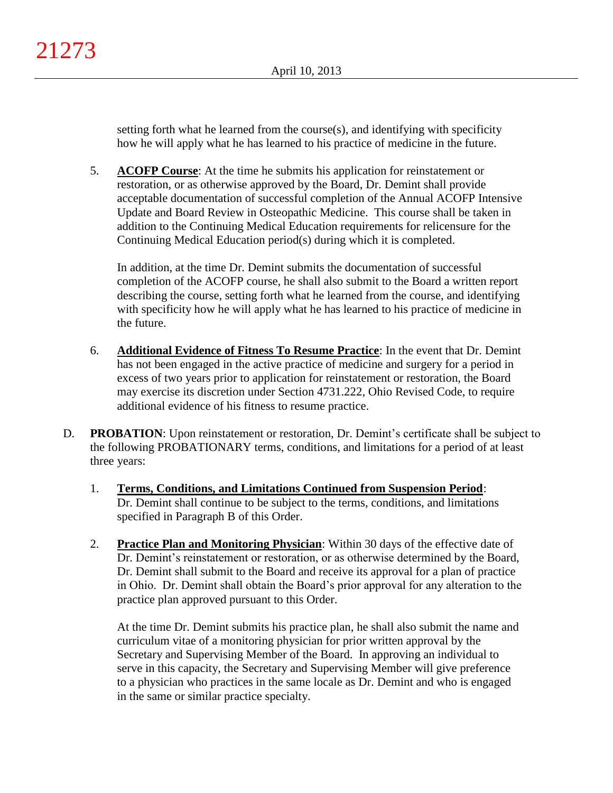setting forth what he learned from the course(s), and identifying with specificity how he will apply what he has learned to his practice of medicine in the future.

5. **ACOFP Course**: At the time he submits his application for reinstatement or restoration, or as otherwise approved by the Board, Dr. Demint shall provide acceptable documentation of successful completion of the Annual ACOFP Intensive Update and Board Review in Osteopathic Medicine. This course shall be taken in addition to the Continuing Medical Education requirements for relicensure for the Continuing Medical Education period(s) during which it is completed.

In addition, at the time Dr. Demint submits the documentation of successful completion of the ACOFP course, he shall also submit to the Board a written report describing the course, setting forth what he learned from the course, and identifying with specificity how he will apply what he has learned to his practice of medicine in the future.

- 6. **Additional Evidence of Fitness To Resume Practice**: In the event that Dr. Demint has not been engaged in the active practice of medicine and surgery for a period in excess of two years prior to application for reinstatement or restoration, the Board may exercise its discretion under Section 4731.222, Ohio Revised Code, to require additional evidence of his fitness to resume practice.
- D. **PROBATION**: Upon reinstatement or restoration, Dr. Demint's certificate shall be subject to the following PROBATIONARY terms, conditions, and limitations for a period of at least three years:
	- 1. **Terms, Conditions, and Limitations Continued from Suspension Period**: Dr. Demint shall continue to be subject to the terms, conditions, and limitations specified in Paragraph B of this Order.
	- 2. **Practice Plan and Monitoring Physician**: Within 30 days of the effective date of Dr. Demint's reinstatement or restoration, or as otherwise determined by the Board, Dr. Demint shall submit to the Board and receive its approval for a plan of practice in Ohio. Dr. Demint shall obtain the Board's prior approval for any alteration to the practice plan approved pursuant to this Order.

At the time Dr. Demint submits his practice plan, he shall also submit the name and curriculum vitae of a monitoring physician for prior written approval by the Secretary and Supervising Member of the Board. In approving an individual to serve in this capacity, the Secretary and Supervising Member will give preference to a physician who practices in the same locale as Dr. Demint and who is engaged in the same or similar practice specialty.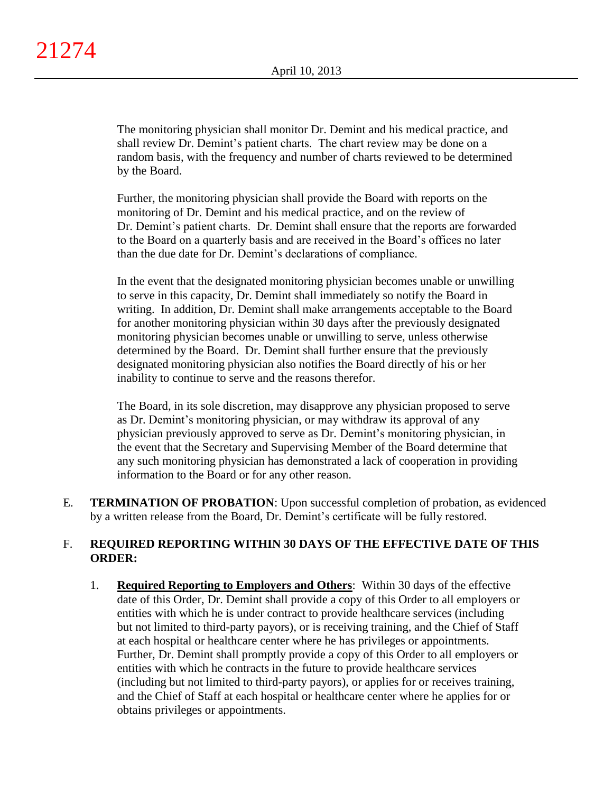The monitoring physician shall monitor Dr. Demint and his medical practice, and shall review Dr. Demint's patient charts. The chart review may be done on a random basis, with the frequency and number of charts reviewed to be determined by the Board.

Further, the monitoring physician shall provide the Board with reports on the monitoring of Dr. Demint and his medical practice, and on the review of Dr. Demint's patient charts. Dr. Demint shall ensure that the reports are forwarded to the Board on a quarterly basis and are received in the Board's offices no later than the due date for Dr. Demint's declarations of compliance.

In the event that the designated monitoring physician becomes unable or unwilling to serve in this capacity, Dr. Demint shall immediately so notify the Board in writing. In addition, Dr. Demint shall make arrangements acceptable to the Board for another monitoring physician within 30 days after the previously designated monitoring physician becomes unable or unwilling to serve, unless otherwise determined by the Board. Dr. Demint shall further ensure that the previously designated monitoring physician also notifies the Board directly of his or her inability to continue to serve and the reasons therefor.

The Board, in its sole discretion, may disapprove any physician proposed to serve as Dr. Demint's monitoring physician, or may withdraw its approval of any physician previously approved to serve as Dr. Demint's monitoring physician, in the event that the Secretary and Supervising Member of the Board determine that any such monitoring physician has demonstrated a lack of cooperation in providing information to the Board or for any other reason.

E. **TERMINATION OF PROBATION**: Upon successful completion of probation, as evidenced by a written release from the Board, Dr. Demint's certificate will be fully restored.

# F. **REQUIRED REPORTING WITHIN 30 DAYS OF THE EFFECTIVE DATE OF THIS ORDER:**

1. **Required Reporting to Employers and Others**: Within 30 days of the effective date of this Order, Dr. Demint shall provide a copy of this Order to all employers or entities with which he is under contract to provide healthcare services (including but not limited to third-party payors), or is receiving training, and the Chief of Staff at each hospital or healthcare center where he has privileges or appointments. Further, Dr. Demint shall promptly provide a copy of this Order to all employers or entities with which he contracts in the future to provide healthcare services (including but not limited to third-party payors), or applies for or receives training, and the Chief of Staff at each hospital or healthcare center where he applies for or obtains privileges or appointments.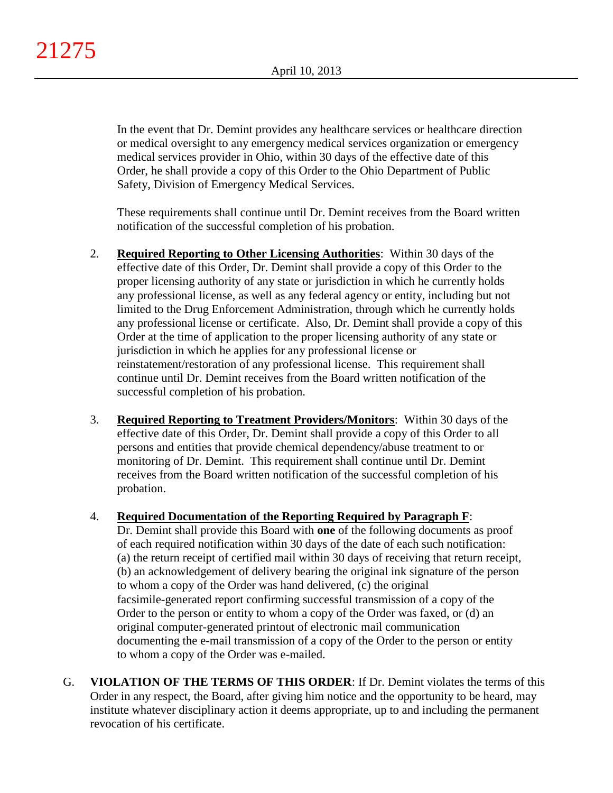In the event that Dr. Demint provides any healthcare services or healthcare direction or medical oversight to any emergency medical services organization or emergency medical services provider in Ohio, within 30 days of the effective date of this Order, he shall provide a copy of this Order to the Ohio Department of Public Safety, Division of Emergency Medical Services.

These requirements shall continue until Dr. Demint receives from the Board written notification of the successful completion of his probation.

- 2. **Required Reporting to Other Licensing Authorities**: Within 30 days of the effective date of this Order, Dr. Demint shall provide a copy of this Order to the proper licensing authority of any state or jurisdiction in which he currently holds any professional license, as well as any federal agency or entity, including but not limited to the Drug Enforcement Administration, through which he currently holds any professional license or certificate. Also, Dr. Demint shall provide a copy of this Order at the time of application to the proper licensing authority of any state or jurisdiction in which he applies for any professional license or reinstatement/restoration of any professional license. This requirement shall continue until Dr. Demint receives from the Board written notification of the successful completion of his probation.
- 3. **Required Reporting to Treatment Providers/Monitors**: Within 30 days of the effective date of this Order, Dr. Demint shall provide a copy of this Order to all persons and entities that provide chemical dependency/abuse treatment to or monitoring of Dr. Demint. This requirement shall continue until Dr. Demint receives from the Board written notification of the successful completion of his probation.

## 4. **Required Documentation of the Reporting Required by Paragraph F**:

Dr. Demint shall provide this Board with **one** of the following documents as proof of each required notification within 30 days of the date of each such notification: (a) the return receipt of certified mail within 30 days of receiving that return receipt, (b) an acknowledgement of delivery bearing the original ink signature of the person to whom a copy of the Order was hand delivered, (c) the original facsimile-generated report confirming successful transmission of a copy of the Order to the person or entity to whom a copy of the Order was faxed, or (d) an original computer-generated printout of electronic mail communication documenting the e-mail transmission of a copy of the Order to the person or entity to whom a copy of the Order was e-mailed.

G. **VIOLATION OF THE TERMS OF THIS ORDER**: If Dr. Demint violates the terms of this Order in any respect, the Board, after giving him notice and the opportunity to be heard, may institute whatever disciplinary action it deems appropriate, up to and including the permanent revocation of his certificate.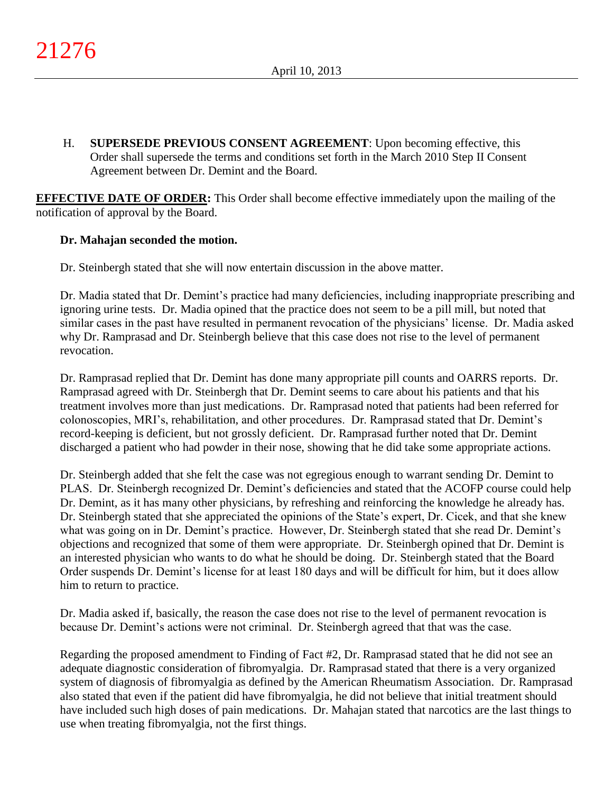H. **SUPERSEDE PREVIOUS CONSENT AGREEMENT**: Upon becoming effective, this Order shall supersede the terms and conditions set forth in the March 2010 Step II Consent Agreement between Dr. Demint and the Board.

**EFFECTIVE DATE OF ORDER:** This Order shall become effective immediately upon the mailing of the notification of approval by the Board.

# **Dr. Mahajan seconded the motion.**

Dr. Steinbergh stated that she will now entertain discussion in the above matter.

Dr. Madia stated that Dr. Demint's practice had many deficiencies, including inappropriate prescribing and ignoring urine tests. Dr. Madia opined that the practice does not seem to be a pill mill, but noted that similar cases in the past have resulted in permanent revocation of the physicians' license. Dr. Madia asked why Dr. Ramprasad and Dr. Steinbergh believe that this case does not rise to the level of permanent revocation.

Dr. Ramprasad replied that Dr. Demint has done many appropriate pill counts and OARRS reports. Dr. Ramprasad agreed with Dr. Steinbergh that Dr. Demint seems to care about his patients and that his treatment involves more than just medications. Dr. Ramprasad noted that patients had been referred for colonoscopies, MRI's, rehabilitation, and other procedures. Dr. Ramprasad stated that Dr. Demint's record-keeping is deficient, but not grossly deficient. Dr. Ramprasad further noted that Dr. Demint discharged a patient who had powder in their nose, showing that he did take some appropriate actions.

Dr. Steinbergh added that she felt the case was not egregious enough to warrant sending Dr. Demint to PLAS. Dr. Steinbergh recognized Dr. Demint's deficiencies and stated that the ACOFP course could help Dr. Demint, as it has many other physicians, by refreshing and reinforcing the knowledge he already has. Dr. Steinbergh stated that she appreciated the opinions of the State's expert, Dr. Cicek, and that she knew what was going on in Dr. Demint's practice. However, Dr. Steinbergh stated that she read Dr. Demint's objections and recognized that some of them were appropriate. Dr. Steinbergh opined that Dr. Demint is an interested physician who wants to do what he should be doing. Dr. Steinbergh stated that the Board Order suspends Dr. Demint's license for at least 180 days and will be difficult for him, but it does allow him to return to practice.

Dr. Madia asked if, basically, the reason the case does not rise to the level of permanent revocation is because Dr. Demint's actions were not criminal. Dr. Steinbergh agreed that that was the case.

Regarding the proposed amendment to Finding of Fact #2, Dr. Ramprasad stated that he did not see an adequate diagnostic consideration of fibromyalgia. Dr. Ramprasad stated that there is a very organized system of diagnosis of fibromyalgia as defined by the American Rheumatism Association. Dr. Ramprasad also stated that even if the patient did have fibromyalgia, he did not believe that initial treatment should have included such high doses of pain medications. Dr. Mahajan stated that narcotics are the last things to use when treating fibromyalgia, not the first things.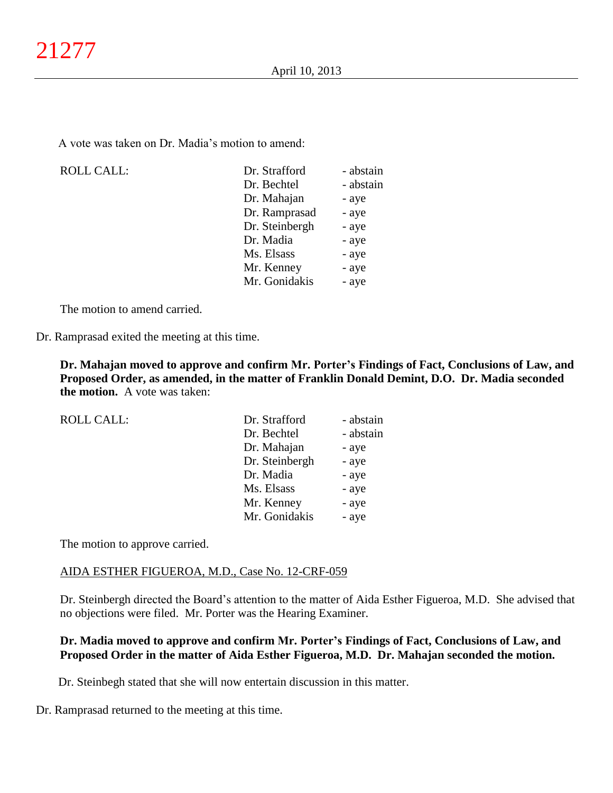A vote was taken on Dr. Madia's motion to amend:

| <b>ROLL CALL:</b> | Dr. Strafford  | - abstain |
|-------------------|----------------|-----------|
|                   | Dr. Bechtel    | - abstain |
|                   | Dr. Mahajan    | - aye     |
|                   | Dr. Ramprasad  | - aye     |
|                   | Dr. Steinbergh | - aye     |
|                   | Dr. Madia      | - aye     |
|                   | Ms. Elsass     | - aye     |
|                   | Mr. Kenney     | - aye     |
|                   | Mr. Gonidakis  | - aye     |
|                   |                |           |

The motion to amend carried.

Dr. Ramprasad exited the meeting at this time.

**Dr. Mahajan moved to approve and confirm Mr. Porter's Findings of Fact, Conclusions of Law, and Proposed Order, as amended, in the matter of Franklin Donald Demint, D.O. Dr. Madia seconded the motion.** A vote was taken:

| <b>ROLL CALL:</b> | Dr. Strafford  | - abstain |
|-------------------|----------------|-----------|
|                   | Dr. Bechtel    | - abstain |
|                   | Dr. Mahajan    | - aye     |
|                   | Dr. Steinbergh | - aye     |
|                   | Dr. Madia      | - aye     |
|                   | Ms. Elsass     | - aye     |
|                   | Mr. Kenney     | - aye     |
|                   | Mr. Gonidakis  | - aye     |

The motion to approve carried.

### AIDA ESTHER FIGUEROA, M.D., Case No. 12-CRF-059

Dr. Steinbergh directed the Board's attention to the matter of Aida Esther Figueroa, M.D. She advised that no objections were filed. Mr. Porter was the Hearing Examiner.

## **Dr. Madia moved to approve and confirm Mr. Porter's Findings of Fact, Conclusions of Law, and Proposed Order in the matter of Aida Esther Figueroa, M.D. Dr. Mahajan seconded the motion.**

Dr. Steinbegh stated that she will now entertain discussion in this matter.

Dr. Ramprasad returned to the meeting at this time.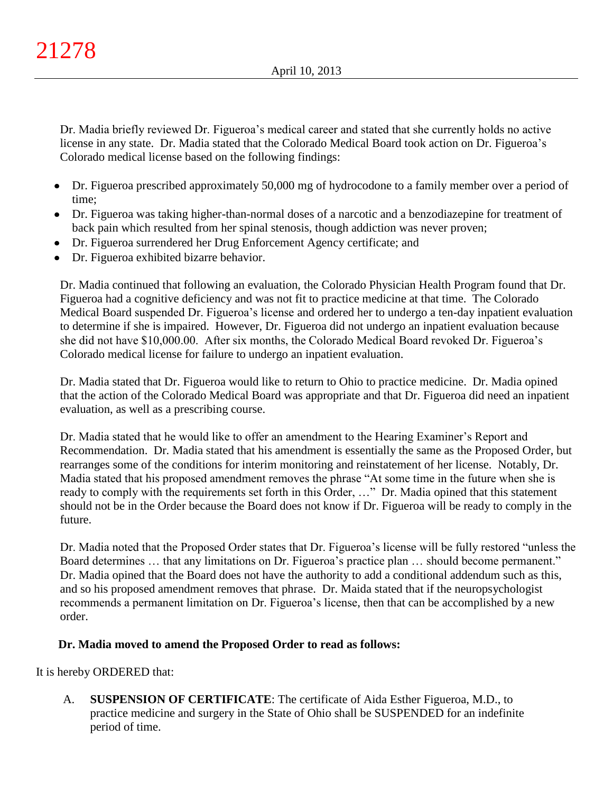Dr. Madia briefly reviewed Dr. Figueroa's medical career and stated that she currently holds no active license in any state. Dr. Madia stated that the Colorado Medical Board took action on Dr. Figueroa's Colorado medical license based on the following findings:

- Dr. Figueroa prescribed approximately 50,000 mg of hydrocodone to a family member over a period of time;
- Dr. Figueroa was taking higher-than-normal doses of a narcotic and a benzodiazepine for treatment of back pain which resulted from her spinal stenosis, though addiction was never proven;
- Dr. Figueroa surrendered her Drug Enforcement Agency certificate; and
- Dr. Figueroa exhibited bizarre behavior.

Dr. Madia continued that following an evaluation, the Colorado Physician Health Program found that Dr. Figueroa had a cognitive deficiency and was not fit to practice medicine at that time. The Colorado Medical Board suspended Dr. Figueroa's license and ordered her to undergo a ten-day inpatient evaluation to determine if she is impaired. However, Dr. Figueroa did not undergo an inpatient evaluation because she did not have \$10,000.00. After six months, the Colorado Medical Board revoked Dr. Figueroa's Colorado medical license for failure to undergo an inpatient evaluation.

Dr. Madia stated that Dr. Figueroa would like to return to Ohio to practice medicine. Dr. Madia opined that the action of the Colorado Medical Board was appropriate and that Dr. Figueroa did need an inpatient evaluation, as well as a prescribing course.

Dr. Madia stated that he would like to offer an amendment to the Hearing Examiner's Report and Recommendation. Dr. Madia stated that his amendment is essentially the same as the Proposed Order, but rearranges some of the conditions for interim monitoring and reinstatement of her license. Notably, Dr. Madia stated that his proposed amendment removes the phrase "At some time in the future when she is ready to comply with the requirements set forth in this Order, …" Dr. Madia opined that this statement should not be in the Order because the Board does not know if Dr. Figueroa will be ready to comply in the future.

Dr. Madia noted that the Proposed Order states that Dr. Figueroa's license will be fully restored "unless the Board determines … that any limitations on Dr. Figueroa's practice plan … should become permanent." Dr. Madia opined that the Board does not have the authority to add a conditional addendum such as this, and so his proposed amendment removes that phrase. Dr. Maida stated that if the neuropsychologist recommends a permanent limitation on Dr. Figueroa's license, then that can be accomplished by a new order.

# **Dr. Madia moved to amend the Proposed Order to read as follows:**

It is hereby ORDERED that:

A. **SUSPENSION OF CERTIFICATE**: The certificate of Aida Esther Figueroa, M.D., to practice medicine and surgery in the State of Ohio shall be SUSPENDED for an indefinite period of time.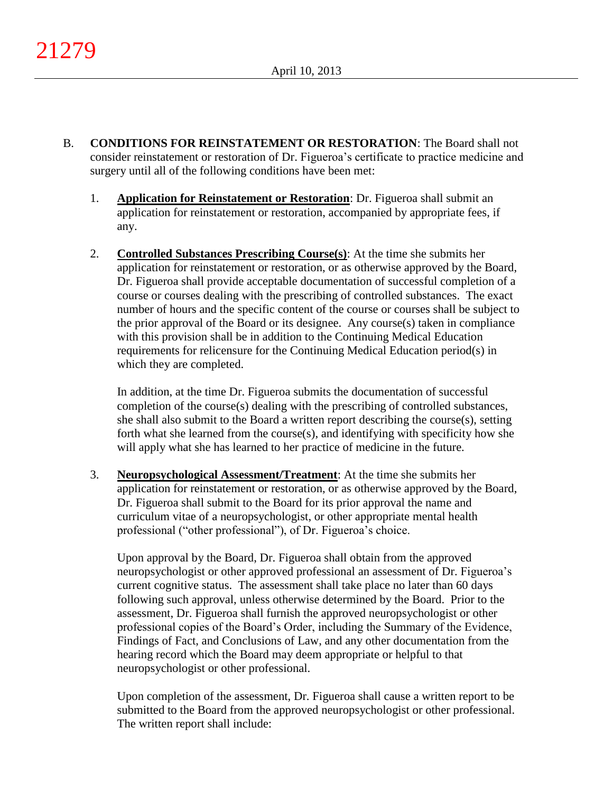- B. **CONDITIONS FOR REINSTATEMENT OR RESTORATION**: The Board shall not consider reinstatement or restoration of Dr. Figueroa's certificate to practice medicine and surgery until all of the following conditions have been met:
	- 1. **Application for Reinstatement or Restoration**: Dr. Figueroa shall submit an application for reinstatement or restoration, accompanied by appropriate fees, if any.
	- 2. **Controlled Substances Prescribing Course(s)**: At the time she submits her application for reinstatement or restoration, or as otherwise approved by the Board, Dr. Figueroa shall provide acceptable documentation of successful completion of a course or courses dealing with the prescribing of controlled substances. The exact number of hours and the specific content of the course or courses shall be subject to the prior approval of the Board or its designee. Any course(s) taken in compliance with this provision shall be in addition to the Continuing Medical Education requirements for relicensure for the Continuing Medical Education period(s) in which they are completed.

In addition, at the time Dr. Figueroa submits the documentation of successful completion of the course(s) dealing with the prescribing of controlled substances, she shall also submit to the Board a written report describing the course(s), setting forth what she learned from the course(s), and identifying with specificity how she will apply what she has learned to her practice of medicine in the future.

3. **Neuropsychological Assessment/Treatment**: At the time she submits her application for reinstatement or restoration, or as otherwise approved by the Board, Dr. Figueroa shall submit to the Board for its prior approval the name and curriculum vitae of a neuropsychologist, or other appropriate mental health professional ("other professional"), of Dr. Figueroa's choice.

Upon approval by the Board, Dr. Figueroa shall obtain from the approved neuropsychologist or other approved professional an assessment of Dr. Figueroa's current cognitive status. The assessment shall take place no later than 60 days following such approval, unless otherwise determined by the Board. Prior to the assessment, Dr. Figueroa shall furnish the approved neuropsychologist or other professional copies of the Board's Order, including the Summary of the Evidence, Findings of Fact, and Conclusions of Law, and any other documentation from the hearing record which the Board may deem appropriate or helpful to that neuropsychologist or other professional.

Upon completion of the assessment, Dr. Figueroa shall cause a written report to be submitted to the Board from the approved neuropsychologist or other professional. The written report shall include: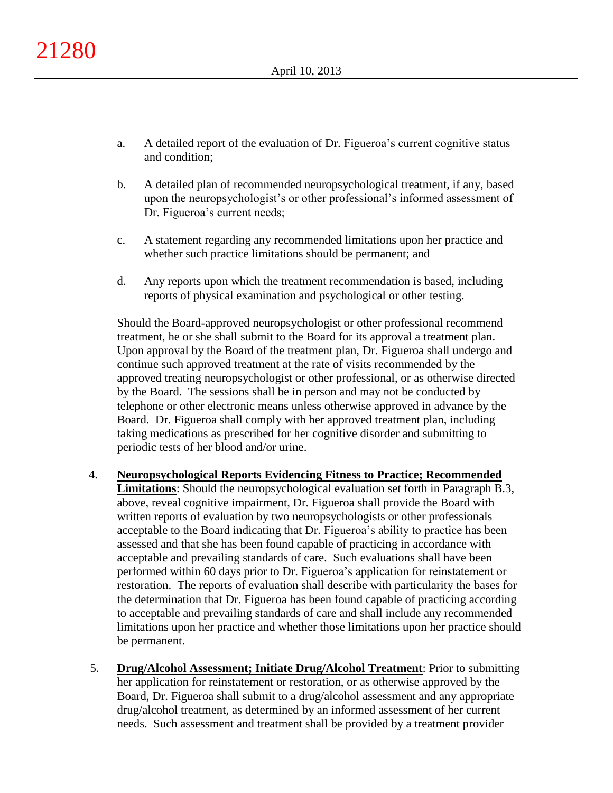- a. A detailed report of the evaluation of Dr. Figueroa's current cognitive status and condition;
- b. A detailed plan of recommended neuropsychological treatment, if any, based upon the neuropsychologist's or other professional's informed assessment of Dr. Figueroa's current needs;
- c. A statement regarding any recommended limitations upon her practice and whether such practice limitations should be permanent; and
- d. Any reports upon which the treatment recommendation is based, including reports of physical examination and psychological or other testing.

Should the Board-approved neuropsychologist or other professional recommend treatment, he or she shall submit to the Board for its approval a treatment plan. Upon approval by the Board of the treatment plan, Dr. Figueroa shall undergo and continue such approved treatment at the rate of visits recommended by the approved treating neuropsychologist or other professional, or as otherwise directed by the Board. The sessions shall be in person and may not be conducted by telephone or other electronic means unless otherwise approved in advance by the Board. Dr. Figueroa shall comply with her approved treatment plan, including taking medications as prescribed for her cognitive disorder and submitting to periodic tests of her blood and/or urine.

- 4. **Neuropsychological Reports Evidencing Fitness to Practice; Recommended Limitations**: Should the neuropsychological evaluation set forth in Paragraph B.3, above, reveal cognitive impairment, Dr. Figueroa shall provide the Board with written reports of evaluation by two neuropsychologists or other professionals acceptable to the Board indicating that Dr. Figueroa's ability to practice has been assessed and that she has been found capable of practicing in accordance with acceptable and prevailing standards of care. Such evaluations shall have been performed within 60 days prior to Dr. Figueroa's application for reinstatement or restoration. The reports of evaluation shall describe with particularity the bases for the determination that Dr. Figueroa has been found capable of practicing according to acceptable and prevailing standards of care and shall include any recommended limitations upon her practice and whether those limitations upon her practice should be permanent.
- 5. **Drug/Alcohol Assessment; Initiate Drug/Alcohol Treatment**: Prior to submitting her application for reinstatement or restoration, or as otherwise approved by the Board, Dr. Figueroa shall submit to a drug/alcohol assessment and any appropriate drug/alcohol treatment, as determined by an informed assessment of her current needs. Such assessment and treatment shall be provided by a treatment provider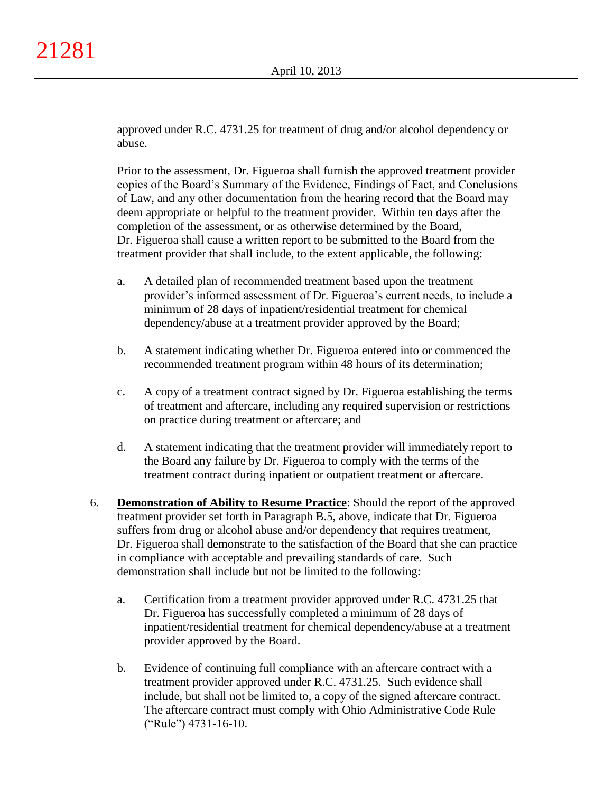approved under R.C. 4731.25 for treatment of drug and/or alcohol dependency or abuse.

Prior to the assessment, Dr. Figueroa shall furnish the approved treatment provider copies of the Board's Summary of the Evidence, Findings of Fact, and Conclusions of Law, and any other documentation from the hearing record that the Board may deem appropriate or helpful to the treatment provider. Within ten days after the completion of the assessment, or as otherwise determined by the Board, Dr. Figueroa shall cause a written report to be submitted to the Board from the treatment provider that shall include, to the extent applicable, the following:

- a. A detailed plan of recommended treatment based upon the treatment provider's informed assessment of Dr. Figueroa's current needs, to include a minimum of 28 days of inpatient/residential treatment for chemical dependency/abuse at a treatment provider approved by the Board;
- b. A statement indicating whether Dr. Figueroa entered into or commenced the recommended treatment program within 48 hours of its determination;
- c. A copy of a treatment contract signed by Dr. Figueroa establishing the terms of treatment and aftercare, including any required supervision or restrictions on practice during treatment or aftercare; and
- d. A statement indicating that the treatment provider will immediately report to the Board any failure by Dr. Figueroa to comply with the terms of the treatment contract during inpatient or outpatient treatment or aftercare.
- 6. **Demonstration of Ability to Resume Practice**: Should the report of the approved treatment provider set forth in Paragraph B.5, above, indicate that Dr. Figueroa suffers from drug or alcohol abuse and/or dependency that requires treatment, Dr. Figueroa shall demonstrate to the satisfaction of the Board that she can practice in compliance with acceptable and prevailing standards of care. Such demonstration shall include but not be limited to the following:
	- a. Certification from a treatment provider approved under R.C. 4731.25 that Dr. Figueroa has successfully completed a minimum of 28 days of inpatient/residential treatment for chemical dependency/abuse at a treatment provider approved by the Board.
	- b. Evidence of continuing full compliance with an aftercare contract with a treatment provider approved under R.C. 4731.25. Such evidence shall include, but shall not be limited to, a copy of the signed aftercare contract. The aftercare contract must comply with Ohio Administrative Code Rule ("Rule") 4731-16-10.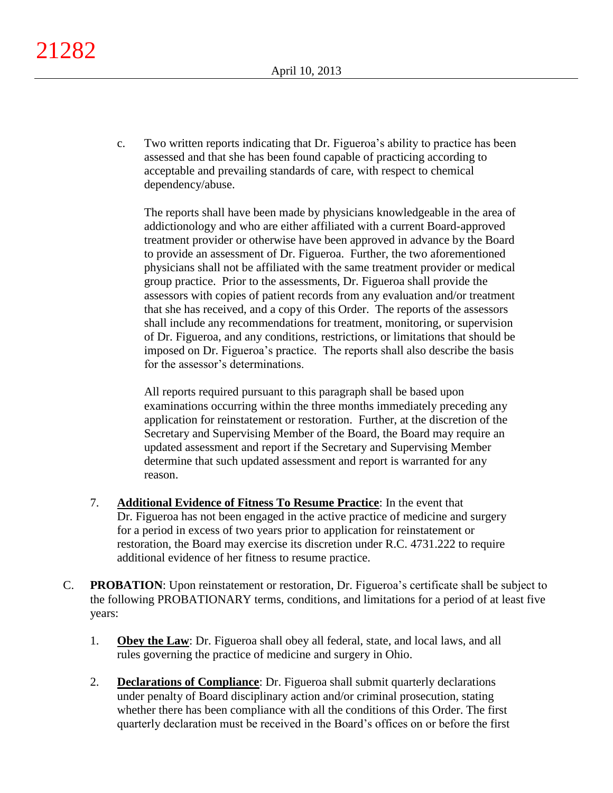21282

c. Two written reports indicating that Dr. Figueroa's ability to practice has been assessed and that she has been found capable of practicing according to acceptable and prevailing standards of care, with respect to chemical dependency/abuse.

The reports shall have been made by physicians knowledgeable in the area of addictionology and who are either affiliated with a current Board-approved treatment provider or otherwise have been approved in advance by the Board to provide an assessment of Dr. Figueroa. Further, the two aforementioned physicians shall not be affiliated with the same treatment provider or medical group practice. Prior to the assessments, Dr. Figueroa shall provide the assessors with copies of patient records from any evaluation and/or treatment that she has received, and a copy of this Order. The reports of the assessors shall include any recommendations for treatment, monitoring, or supervision of Dr. Figueroa, and any conditions, restrictions, or limitations that should be imposed on Dr. Figueroa's practice. The reports shall also describe the basis for the assessor's determinations.

All reports required pursuant to this paragraph shall be based upon examinations occurring within the three months immediately preceding any application for reinstatement or restoration. Further, at the discretion of the Secretary and Supervising Member of the Board, the Board may require an updated assessment and report if the Secretary and Supervising Member determine that such updated assessment and report is warranted for any reason.

- 7. **Additional Evidence of Fitness To Resume Practice**: In the event that Dr. Figueroa has not been engaged in the active practice of medicine and surgery for a period in excess of two years prior to application for reinstatement or restoration, the Board may exercise its discretion under R.C. 4731.222 to require additional evidence of her fitness to resume practice.
- C. **PROBATION**: Upon reinstatement or restoration, Dr. Figueroa's certificate shall be subject to the following PROBATIONARY terms, conditions, and limitations for a period of at least five years:
	- 1. **Obey the Law**: Dr. Figueroa shall obey all federal, state, and local laws, and all rules governing the practice of medicine and surgery in Ohio.
	- 2. **Declarations of Compliance**: Dr. Figueroa shall submit quarterly declarations under penalty of Board disciplinary action and/or criminal prosecution, stating whether there has been compliance with all the conditions of this Order. The first quarterly declaration must be received in the Board's offices on or before the first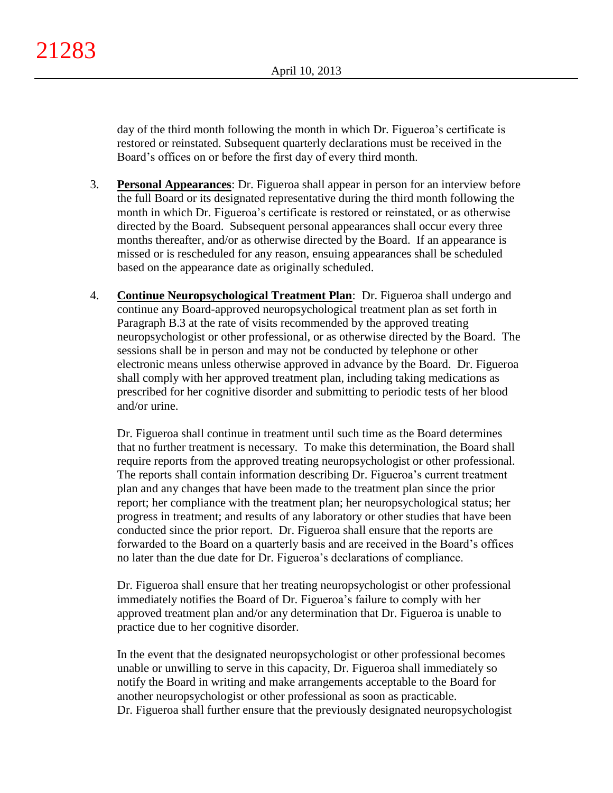day of the third month following the month in which Dr. Figueroa's certificate is restored or reinstated. Subsequent quarterly declarations must be received in the Board's offices on or before the first day of every third month.

- 3. **Personal Appearances**: Dr. Figueroa shall appear in person for an interview before the full Board or its designated representative during the third month following the month in which Dr. Figueroa's certificate is restored or reinstated, or as otherwise directed by the Board. Subsequent personal appearances shall occur every three months thereafter, and/or as otherwise directed by the Board. If an appearance is missed or is rescheduled for any reason, ensuing appearances shall be scheduled based on the appearance date as originally scheduled.
- 4. **Continue Neuropsychological Treatment Plan**: Dr. Figueroa shall undergo and continue any Board-approved neuropsychological treatment plan as set forth in Paragraph B.3 at the rate of visits recommended by the approved treating neuropsychologist or other professional, or as otherwise directed by the Board. The sessions shall be in person and may not be conducted by telephone or other electronic means unless otherwise approved in advance by the Board. Dr. Figueroa shall comply with her approved treatment plan, including taking medications as prescribed for her cognitive disorder and submitting to periodic tests of her blood and/or urine.

Dr. Figueroa shall continue in treatment until such time as the Board determines that no further treatment is necessary. To make this determination, the Board shall require reports from the approved treating neuropsychologist or other professional. The reports shall contain information describing Dr. Figueroa's current treatment plan and any changes that have been made to the treatment plan since the prior report; her compliance with the treatment plan; her neuropsychological status; her progress in treatment; and results of any laboratory or other studies that have been conducted since the prior report. Dr. Figueroa shall ensure that the reports are forwarded to the Board on a quarterly basis and are received in the Board's offices no later than the due date for Dr. Figueroa's declarations of compliance.

Dr. Figueroa shall ensure that her treating neuropsychologist or other professional immediately notifies the Board of Dr. Figueroa's failure to comply with her approved treatment plan and/or any determination that Dr. Figueroa is unable to practice due to her cognitive disorder.

In the event that the designated neuropsychologist or other professional becomes unable or unwilling to serve in this capacity, Dr. Figueroa shall immediately so notify the Board in writing and make arrangements acceptable to the Board for another neuropsychologist or other professional as soon as practicable. Dr. Figueroa shall further ensure that the previously designated neuropsychologist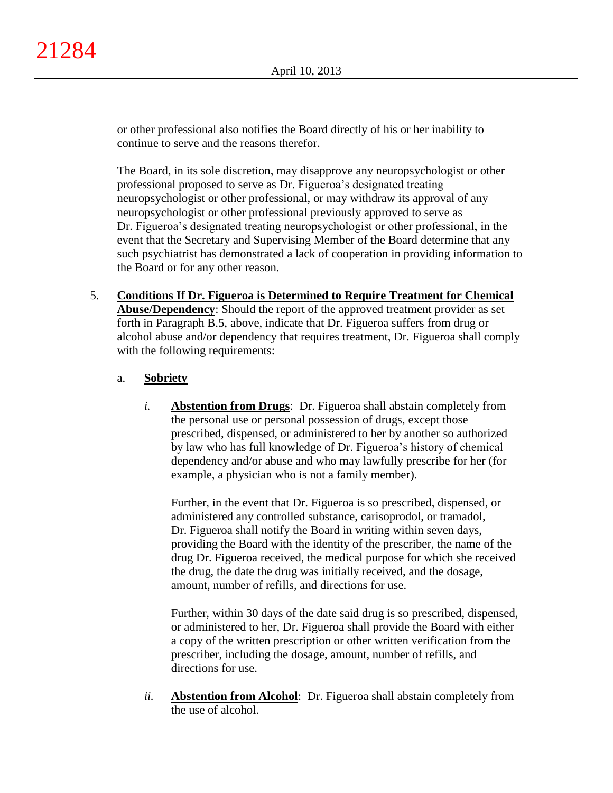or other professional also notifies the Board directly of his or her inability to continue to serve and the reasons therefor.

The Board, in its sole discretion, may disapprove any neuropsychologist or other professional proposed to serve as Dr. Figueroa's designated treating neuropsychologist or other professional, or may withdraw its approval of any neuropsychologist or other professional previously approved to serve as Dr. Figueroa's designated treating neuropsychologist or other professional, in the event that the Secretary and Supervising Member of the Board determine that any such psychiatrist has demonstrated a lack of cooperation in providing information to the Board or for any other reason.

5. **Conditions If Dr. Figueroa is Determined to Require Treatment for Chemical Abuse/Dependency**: Should the report of the approved treatment provider as set forth in Paragraph B.5, above, indicate that Dr. Figueroa suffers from drug or alcohol abuse and/or dependency that requires treatment, Dr. Figueroa shall comply with the following requirements:

## a. **Sobriety**

*i.* **Abstention from Drugs**: Dr. Figueroa shall abstain completely from the personal use or personal possession of drugs, except those prescribed, dispensed, or administered to her by another so authorized by law who has full knowledge of Dr. Figueroa's history of chemical dependency and/or abuse and who may lawfully prescribe for her (for example, a physician who is not a family member).

Further, in the event that Dr. Figueroa is so prescribed, dispensed, or administered any controlled substance, carisoprodol, or tramadol, Dr. Figueroa shall notify the Board in writing within seven days, providing the Board with the identity of the prescriber, the name of the drug Dr. Figueroa received, the medical purpose for which she received the drug, the date the drug was initially received, and the dosage, amount, number of refills, and directions for use.

Further, within 30 days of the date said drug is so prescribed, dispensed, or administered to her, Dr. Figueroa shall provide the Board with either a copy of the written prescription or other written verification from the prescriber, including the dosage, amount, number of refills, and directions for use.

*ii.* **Abstention from Alcohol**: Dr. Figueroa shall abstain completely from the use of alcohol.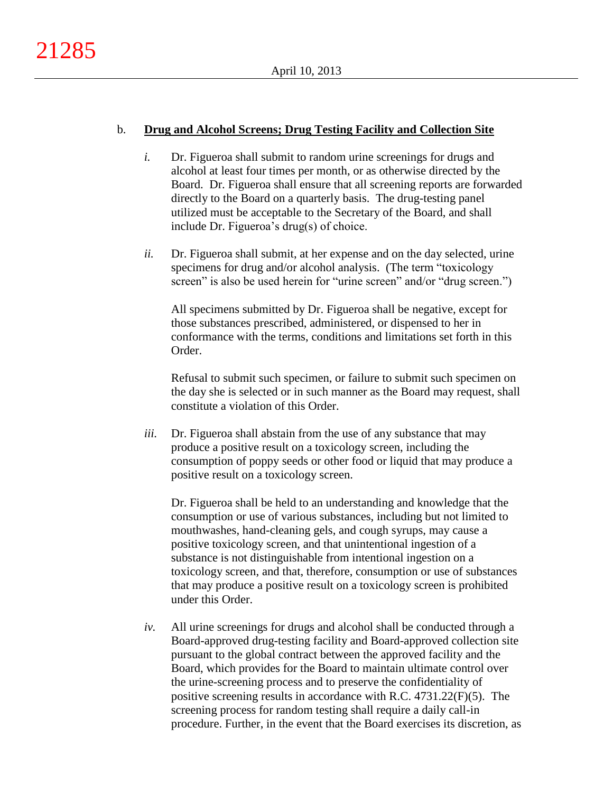## b. **Drug and Alcohol Screens; Drug Testing Facility and Collection Site**

- *i.* Dr. Figueroa shall submit to random urine screenings for drugs and alcohol at least four times per month, or as otherwise directed by the Board. Dr. Figueroa shall ensure that all screening reports are forwarded directly to the Board on a quarterly basis. The drug-testing panel utilized must be acceptable to the Secretary of the Board, and shall include Dr. Figueroa's drug(s) of choice.
- *ii.* Dr. Figueroa shall submit, at her expense and on the day selected, urine specimens for drug and/or alcohol analysis. (The term "toxicology screen" is also be used herein for "urine screen" and/or "drug screen.")

All specimens submitted by Dr. Figueroa shall be negative, except for those substances prescribed, administered, or dispensed to her in conformance with the terms, conditions and limitations set forth in this Order.

Refusal to submit such specimen, or failure to submit such specimen on the day she is selected or in such manner as the Board may request, shall constitute a violation of this Order.

*iii.* Dr. Figueroa shall abstain from the use of any substance that may produce a positive result on a toxicology screen, including the consumption of poppy seeds or other food or liquid that may produce a positive result on a toxicology screen.

Dr. Figueroa shall be held to an understanding and knowledge that the consumption or use of various substances, including but not limited to mouthwashes, hand-cleaning gels, and cough syrups, may cause a positive toxicology screen, and that unintentional ingestion of a substance is not distinguishable from intentional ingestion on a toxicology screen, and that, therefore, consumption or use of substances that may produce a positive result on a toxicology screen is prohibited under this Order.

*iv.* All urine screenings for drugs and alcohol shall be conducted through a Board-approved drug-testing facility and Board-approved collection site pursuant to the global contract between the approved facility and the Board, which provides for the Board to maintain ultimate control over the urine-screening process and to preserve the confidentiality of positive screening results in accordance with R.C. 4731.22(F)(5). The screening process for random testing shall require a daily call-in procedure. Further, in the event that the Board exercises its discretion, as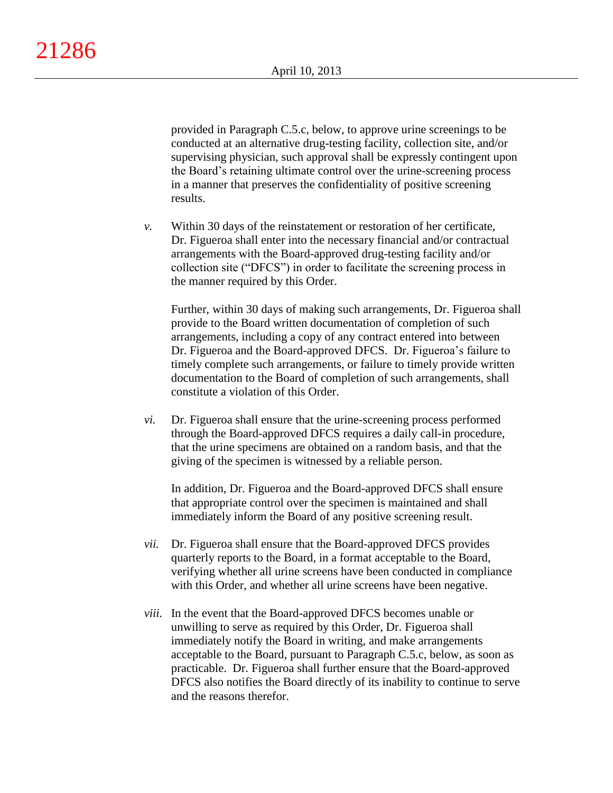provided in Paragraph C.5.c, below, to approve urine screenings to be conducted at an alternative drug-testing facility, collection site, and/or supervising physician, such approval shall be expressly contingent upon the Board's retaining ultimate control over the urine-screening process in a manner that preserves the confidentiality of positive screening results.

*v.* Within 30 days of the reinstatement or restoration of her certificate, Dr. Figueroa shall enter into the necessary financial and/or contractual arrangements with the Board-approved drug-testing facility and/or collection site ("DFCS") in order to facilitate the screening process in the manner required by this Order.

Further, within 30 days of making such arrangements, Dr. Figueroa shall provide to the Board written documentation of completion of such arrangements, including a copy of any contract entered into between Dr. Figueroa and the Board-approved DFCS. Dr. Figueroa's failure to timely complete such arrangements, or failure to timely provide written documentation to the Board of completion of such arrangements, shall constitute a violation of this Order.

*vi.* Dr. Figueroa shall ensure that the urine-screening process performed through the Board-approved DFCS requires a daily call-in procedure, that the urine specimens are obtained on a random basis, and that the giving of the specimen is witnessed by a reliable person.

In addition, Dr. Figueroa and the Board-approved DFCS shall ensure that appropriate control over the specimen is maintained and shall immediately inform the Board of any positive screening result.

- *vii.* Dr. Figueroa shall ensure that the Board-approved DFCS provides quarterly reports to the Board, in a format acceptable to the Board, verifying whether all urine screens have been conducted in compliance with this Order, and whether all urine screens have been negative.
- *viii.* In the event that the Board-approved DFCS becomes unable or unwilling to serve as required by this Order, Dr. Figueroa shall immediately notify the Board in writing, and make arrangements acceptable to the Board, pursuant to Paragraph C.5.c, below, as soon as practicable. Dr. Figueroa shall further ensure that the Board-approved DFCS also notifies the Board directly of its inability to continue to serve and the reasons therefor.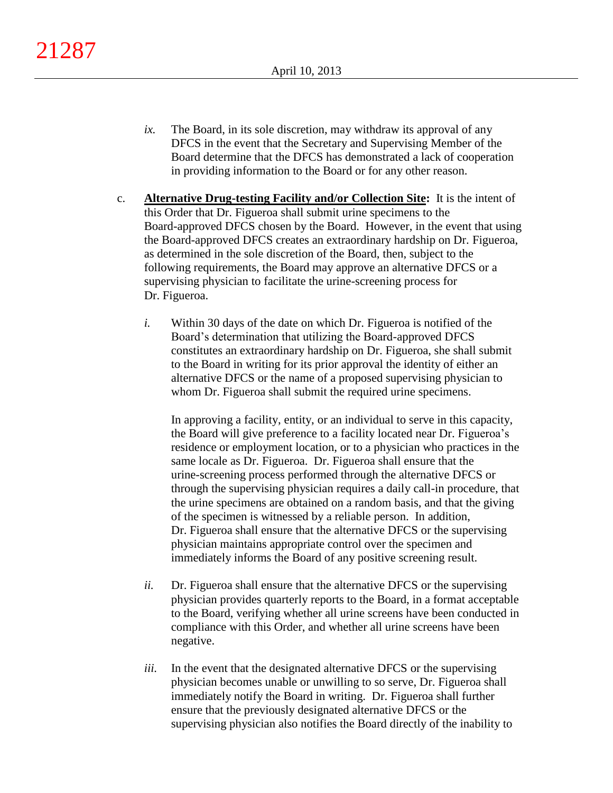- *ix.* The Board, in its sole discretion, may withdraw its approval of any DFCS in the event that the Secretary and Supervising Member of the Board determine that the DFCS has demonstrated a lack of cooperation in providing information to the Board or for any other reason.
- c. **Alternative Drug-testing Facility and/or Collection Site:** It is the intent of this Order that Dr. Figueroa shall submit urine specimens to the Board-approved DFCS chosen by the Board. However, in the event that using the Board-approved DFCS creates an extraordinary hardship on Dr. Figueroa, as determined in the sole discretion of the Board, then, subject to the following requirements, the Board may approve an alternative DFCS or a supervising physician to facilitate the urine-screening process for Dr. Figueroa.
	- *i.* Within 30 days of the date on which Dr. Figueroa is notified of the Board's determination that utilizing the Board-approved DFCS constitutes an extraordinary hardship on Dr. Figueroa, she shall submit to the Board in writing for its prior approval the identity of either an alternative DFCS or the name of a proposed supervising physician to whom Dr. Figueroa shall submit the required urine specimens.

In approving a facility, entity, or an individual to serve in this capacity, the Board will give preference to a facility located near Dr. Figueroa's residence or employment location, or to a physician who practices in the same locale as Dr. Figueroa. Dr. Figueroa shall ensure that the urine-screening process performed through the alternative DFCS or through the supervising physician requires a daily call-in procedure, that the urine specimens are obtained on a random basis, and that the giving of the specimen is witnessed by a reliable person. In addition, Dr. Figueroa shall ensure that the alternative DFCS or the supervising physician maintains appropriate control over the specimen and immediately informs the Board of any positive screening result.

- *ii.* Dr. Figueroa shall ensure that the alternative DFCS or the supervising physician provides quarterly reports to the Board, in a format acceptable to the Board, verifying whether all urine screens have been conducted in compliance with this Order, and whether all urine screens have been negative.
- *iii.* In the event that the designated alternative DFCS or the supervising physician becomes unable or unwilling to so serve, Dr. Figueroa shall immediately notify the Board in writing. Dr. Figueroa shall further ensure that the previously designated alternative DFCS or the supervising physician also notifies the Board directly of the inability to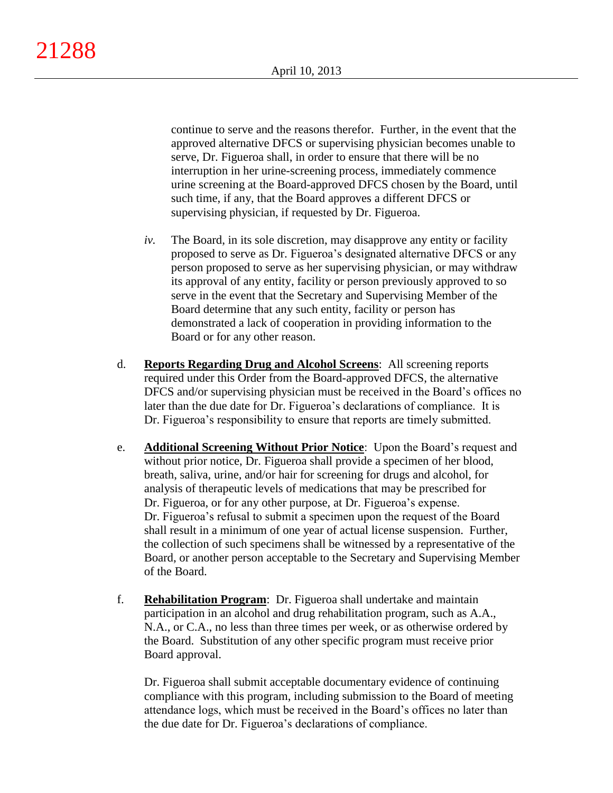continue to serve and the reasons therefor. Further, in the event that the approved alternative DFCS or supervising physician becomes unable to serve, Dr. Figueroa shall, in order to ensure that there will be no interruption in her urine-screening process, immediately commence urine screening at the Board-approved DFCS chosen by the Board, until such time, if any, that the Board approves a different DFCS or supervising physician, if requested by Dr. Figueroa.

- *iv.* The Board, in its sole discretion, may disapprove any entity or facility proposed to serve as Dr. Figueroa's designated alternative DFCS or any person proposed to serve as her supervising physician, or may withdraw its approval of any entity, facility or person previously approved to so serve in the event that the Secretary and Supervising Member of the Board determine that any such entity, facility or person has demonstrated a lack of cooperation in providing information to the Board or for any other reason.
- d. **Reports Regarding Drug and Alcohol Screens**: All screening reports required under this Order from the Board-approved DFCS, the alternative DFCS and/or supervising physician must be received in the Board's offices no later than the due date for Dr. Figueroa's declarations of compliance. It is Dr. Figueroa's responsibility to ensure that reports are timely submitted.
- e. **Additional Screening Without Prior Notice**: Upon the Board's request and without prior notice, Dr. Figueroa shall provide a specimen of her blood, breath, saliva, urine, and/or hair for screening for drugs and alcohol, for analysis of therapeutic levels of medications that may be prescribed for Dr. Figueroa, or for any other purpose, at Dr. Figueroa's expense. Dr. Figueroa's refusal to submit a specimen upon the request of the Board shall result in a minimum of one year of actual license suspension. Further, the collection of such specimens shall be witnessed by a representative of the Board, or another person acceptable to the Secretary and Supervising Member of the Board.
- f. **Rehabilitation Program**: Dr. Figueroa shall undertake and maintain participation in an alcohol and drug rehabilitation program, such as A.A., N.A., or C.A., no less than three times per week, or as otherwise ordered by the Board. Substitution of any other specific program must receive prior Board approval.

Dr. Figueroa shall submit acceptable documentary evidence of continuing compliance with this program, including submission to the Board of meeting attendance logs, which must be received in the Board's offices no later than the due date for Dr. Figueroa's declarations of compliance.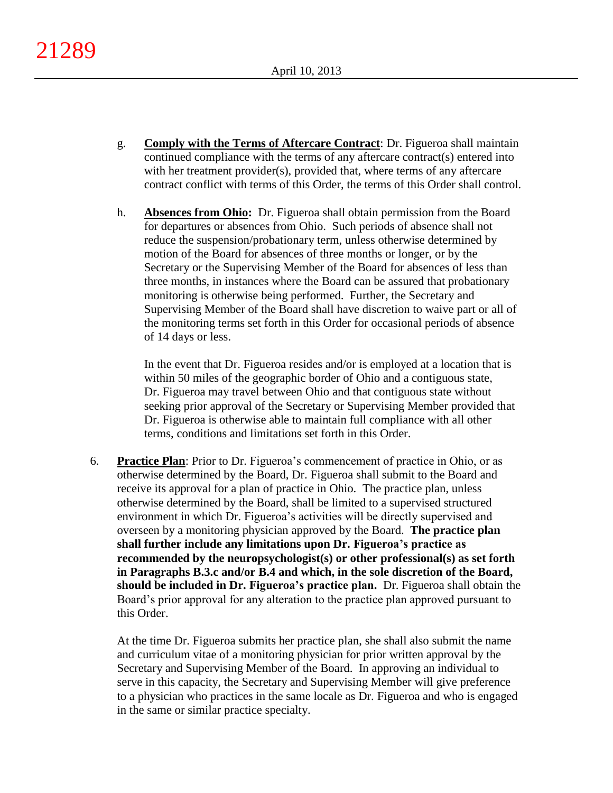- g. **Comply with the Terms of Aftercare Contract**: Dr. Figueroa shall maintain continued compliance with the terms of any aftercare contract(s) entered into with her treatment provider(s), provided that, where terms of any aftercare contract conflict with terms of this Order, the terms of this Order shall control.
- h. **Absences from Ohio:** Dr. Figueroa shall obtain permission from the Board for departures or absences from Ohio. Such periods of absence shall not reduce the suspension/probationary term, unless otherwise determined by motion of the Board for absences of three months or longer, or by the Secretary or the Supervising Member of the Board for absences of less than three months, in instances where the Board can be assured that probationary monitoring is otherwise being performed. Further, the Secretary and Supervising Member of the Board shall have discretion to waive part or all of the monitoring terms set forth in this Order for occasional periods of absence of 14 days or less.

In the event that Dr. Figueroa resides and/or is employed at a location that is within 50 miles of the geographic border of Ohio and a contiguous state, Dr. Figueroa may travel between Ohio and that contiguous state without seeking prior approval of the Secretary or Supervising Member provided that Dr. Figueroa is otherwise able to maintain full compliance with all other terms, conditions and limitations set forth in this Order.

6. **Practice Plan**: Prior to Dr. Figueroa's commencement of practice in Ohio, or as otherwise determined by the Board, Dr. Figueroa shall submit to the Board and receive its approval for a plan of practice in Ohio. The practice plan, unless otherwise determined by the Board, shall be limited to a supervised structured environment in which Dr. Figueroa's activities will be directly supervised and overseen by a monitoring physician approved by the Board. **The practice plan shall further include any limitations upon Dr. Figueroa's practice as recommended by the neuropsychologist(s) or other professional(s) as set forth in Paragraphs B.3.c and/or B.4 and which, in the sole discretion of the Board, should be included in Dr. Figueroa's practice plan.** Dr. Figueroa shall obtain the Board's prior approval for any alteration to the practice plan approved pursuant to this Order.

At the time Dr. Figueroa submits her practice plan, she shall also submit the name and curriculum vitae of a monitoring physician for prior written approval by the Secretary and Supervising Member of the Board. In approving an individual to serve in this capacity, the Secretary and Supervising Member will give preference to a physician who practices in the same locale as Dr. Figueroa and who is engaged in the same or similar practice specialty.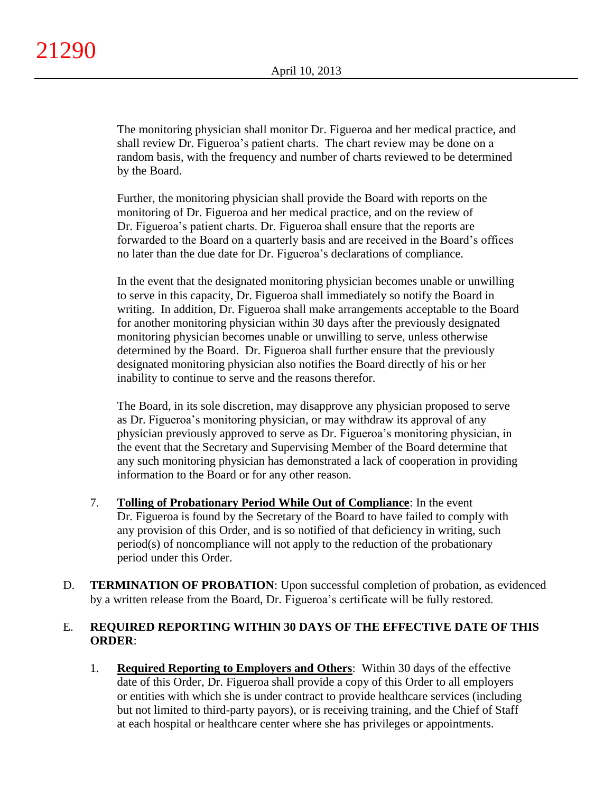The monitoring physician shall monitor Dr. Figueroa and her medical practice, and shall review Dr. Figueroa's patient charts. The chart review may be done on a random basis, with the frequency and number of charts reviewed to be determined by the Board.

Further, the monitoring physician shall provide the Board with reports on the monitoring of Dr. Figueroa and her medical practice, and on the review of Dr. Figueroa's patient charts. Dr. Figueroa shall ensure that the reports are forwarded to the Board on a quarterly basis and are received in the Board's offices no later than the due date for Dr. Figueroa's declarations of compliance.

In the event that the designated monitoring physician becomes unable or unwilling to serve in this capacity, Dr. Figueroa shall immediately so notify the Board in writing. In addition, Dr. Figueroa shall make arrangements acceptable to the Board for another monitoring physician within 30 days after the previously designated monitoring physician becomes unable or unwilling to serve, unless otherwise determined by the Board. Dr. Figueroa shall further ensure that the previously designated monitoring physician also notifies the Board directly of his or her inability to continue to serve and the reasons therefor.

The Board, in its sole discretion, may disapprove any physician proposed to serve as Dr. Figueroa's monitoring physician, or may withdraw its approval of any physician previously approved to serve as Dr. Figueroa's monitoring physician, in the event that the Secretary and Supervising Member of the Board determine that any such monitoring physician has demonstrated a lack of cooperation in providing information to the Board or for any other reason.

- 7. **Tolling of Probationary Period While Out of Compliance**: In the event Dr. Figueroa is found by the Secretary of the Board to have failed to comply with any provision of this Order, and is so notified of that deficiency in writing, such period(s) of noncompliance will not apply to the reduction of the probationary period under this Order.
- D. **TERMINATION OF PROBATION**: Upon successful completion of probation, as evidenced by a written release from the Board, Dr. Figueroa's certificate will be fully restored.

# E. **REQUIRED REPORTING WITHIN 30 DAYS OF THE EFFECTIVE DATE OF THIS ORDER**:

1. **Required Reporting to Employers and Others**: Within 30 days of the effective date of this Order, Dr. Figueroa shall provide a copy of this Order to all employers or entities with which she is under contract to provide healthcare services (including but not limited to third-party payors), or is receiving training, and the Chief of Staff at each hospital or healthcare center where she has privileges or appointments.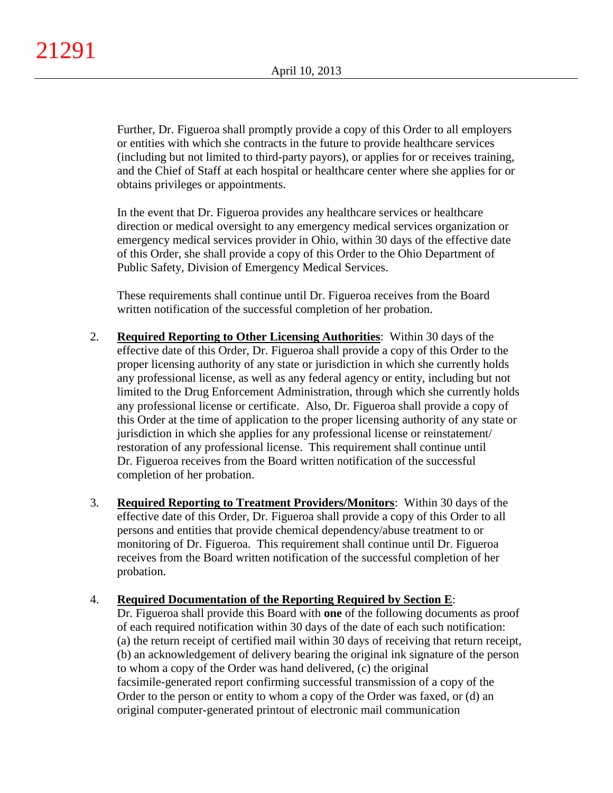Further, Dr. Figueroa shall promptly provide a copy of this Order to all employers or entities with which she contracts in the future to provide healthcare services (including but not limited to third-party payors), or applies for or receives training, and the Chief of Staff at each hospital or healthcare center where she applies for or obtains privileges or appointments.

In the event that Dr. Figueroa provides any healthcare services or healthcare direction or medical oversight to any emergency medical services organization or emergency medical services provider in Ohio, within 30 days of the effective date of this Order, she shall provide a copy of this Order to the Ohio Department of Public Safety, Division of Emergency Medical Services.

These requirements shall continue until Dr. Figueroa receives from the Board written notification of the successful completion of her probation.

- 2. **Required Reporting to Other Licensing Authorities**: Within 30 days of the effective date of this Order, Dr. Figueroa shall provide a copy of this Order to the proper licensing authority of any state or jurisdiction in which she currently holds any professional license, as well as any federal agency or entity, including but not limited to the Drug Enforcement Administration, through which she currently holds any professional license or certificate. Also, Dr. Figueroa shall provide a copy of this Order at the time of application to the proper licensing authority of any state or jurisdiction in which she applies for any professional license or reinstatement/ restoration of any professional license. This requirement shall continue until Dr. Figueroa receives from the Board written notification of the successful completion of her probation.
- 3. **Required Reporting to Treatment Providers/Monitors**: Within 30 days of the effective date of this Order, Dr. Figueroa shall provide a copy of this Order to all persons and entities that provide chemical dependency/abuse treatment to or monitoring of Dr. Figueroa. This requirement shall continue until Dr. Figueroa receives from the Board written notification of the successful completion of her probation.

## 4. **Required Documentation of the Reporting Required by Section E**:

Dr. Figueroa shall provide this Board with **one** of the following documents as proof of each required notification within 30 days of the date of each such notification: (a) the return receipt of certified mail within 30 days of receiving that return receipt, (b) an acknowledgement of delivery bearing the original ink signature of the person to whom a copy of the Order was hand delivered, (c) the original facsimile-generated report confirming successful transmission of a copy of the Order to the person or entity to whom a copy of the Order was faxed, or (d) an original computer-generated printout of electronic mail communication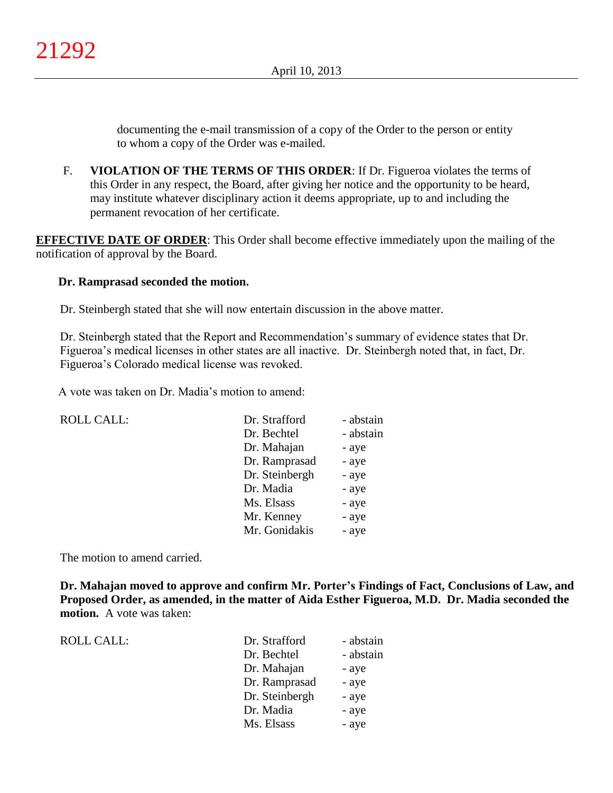documenting the e-mail transmission of a copy of the Order to the person or entity to whom a copy of the Order was e-mailed.

F. **VIOLATION OF THE TERMS OF THIS ORDER**: If Dr. Figueroa violates the terms of this Order in any respect, the Board, after giving her notice and the opportunity to be heard, may institute whatever disciplinary action it deems appropriate, up to and including the permanent revocation of her certificate.

**EFFECTIVE DATE OF ORDER:** This Order shall become effective immediately upon the mailing of the notification of approval by the Board.

## **Dr. Ramprasad seconded the motion.**

Dr. Steinbergh stated that she will now entertain discussion in the above matter.

Dr. Steinbergh stated that the Report and Recommendation's summary of evidence states that Dr. Figueroa's medical licenses in other states are all inactive. Dr. Steinbergh noted that, in fact, Dr. Figueroa's Colorado medical license was revoked.

A vote was taken on Dr. Madia's motion to amend:

| <b>ROLL CALL:</b> | Dr. Strafford  | - abstain |
|-------------------|----------------|-----------|
|                   | Dr. Bechtel    | - abstain |
|                   | Dr. Mahajan    | - aye     |
|                   | Dr. Ramprasad  | - aye     |
|                   | Dr. Steinbergh | - aye     |
|                   | Dr. Madia      | - aye     |
|                   | Ms. Elsass     | - aye     |
|                   | Mr. Kenney     | - aye     |
|                   | Mr. Gonidakis  | - aye     |
|                   |                |           |

The motion to amend carried.

**Dr. Mahajan moved to approve and confirm Mr. Porter's Findings of Fact, Conclusions of Law, and Proposed Order, as amended, in the matter of Aida Esther Figueroa, M.D. Dr. Madia seconded the motion.** A vote was taken:

| <b>ROLL CALL:</b> |  |
|-------------------|--|
|                   |  |

| Dr. Strafford  | - abstain |
|----------------|-----------|
| Dr. Bechtel    | - abstain |
| Dr. Mahajan    | - aye     |
| Dr. Ramprasad  | - aye     |
| Dr. Steinbergh | - aye     |
| Dr. Madia      | - aye     |
| Ms. Elsass     | - aye     |
|                |           |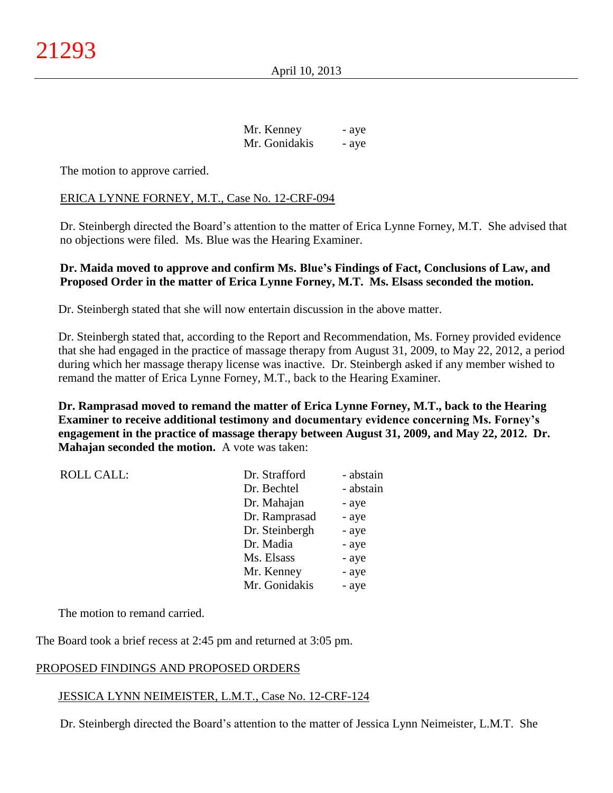| Mr. Kenney    | - aye |
|---------------|-------|
| Mr. Gonidakis | - aye |

The motion to approve carried.

#### ERICA LYNNE FORNEY, M.T., Case No. 12-CRF-094

Dr. Steinbergh directed the Board's attention to the matter of Erica Lynne Forney, M.T. She advised that no objections were filed. Ms. Blue was the Hearing Examiner.

## **Dr. Maida moved to approve and confirm Ms. Blue's Findings of Fact, Conclusions of Law, and Proposed Order in the matter of Erica Lynne Forney, M.T. Ms. Elsass seconded the motion.**

Dr. Steinbergh stated that she will now entertain discussion in the above matter.

Dr. Steinbergh stated that, according to the Report and Recommendation, Ms. Forney provided evidence that she had engaged in the practice of massage therapy from August 31, 2009, to May 22, 2012, a period during which her massage therapy license was inactive. Dr. Steinbergh asked if any member wished to remand the matter of Erica Lynne Forney, M.T., back to the Hearing Examiner.

**Dr. Ramprasad moved to remand the matter of Erica Lynne Forney, M.T., back to the Hearing Examiner to receive additional testimony and documentary evidence concerning Ms. Forney's engagement in the practice of massage therapy between August 31, 2009, and May 22, 2012. Dr. Mahajan seconded the motion.** A vote was taken:

| <b>ROLL CALL:</b> | Dr. Strafford  | - abstain |
|-------------------|----------------|-----------|
|                   | Dr. Bechtel    | - abstain |
|                   | Dr. Mahajan    | - aye     |
|                   | Dr. Ramprasad  | - aye     |
|                   | Dr. Steinbergh | - aye     |
|                   | Dr. Madia      | - aye     |
|                   | Ms. Elsass     | - aye     |
|                   | Mr. Kenney     | - aye     |
|                   | Mr. Gonidakis  | - aye     |

The motion to remand carried.

The Board took a brief recess at 2:45 pm and returned at 3:05 pm.

#### PROPOSED FINDINGS AND PROPOSED ORDERS

#### JESSICA LYNN NEIMEISTER, L.M.T., Case No. 12-CRF-124

Dr. Steinbergh directed the Board's attention to the matter of Jessica Lynn Neimeister, L.M.T. She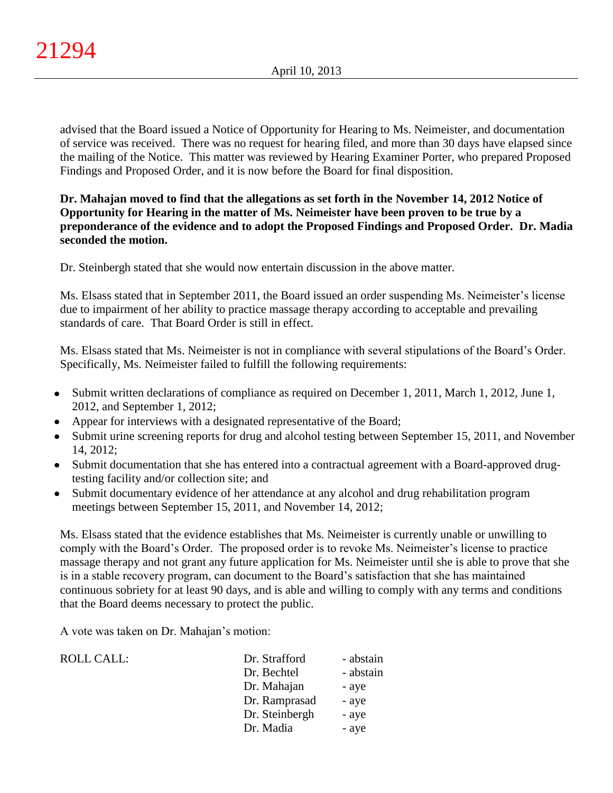advised that the Board issued a Notice of Opportunity for Hearing to Ms. Neimeister, and documentation of service was received. There was no request for hearing filed, and more than 30 days have elapsed since the mailing of the Notice. This matter was reviewed by Hearing Examiner Porter, who prepared Proposed Findings and Proposed Order, and it is now before the Board for final disposition.

# **Dr. Mahajan moved to find that the allegations as set forth in the November 14, 2012 Notice of Opportunity for Hearing in the matter of Ms. Neimeister have been proven to be true by a preponderance of the evidence and to adopt the Proposed Findings and Proposed Order. Dr. Madia seconded the motion.**

Dr. Steinbergh stated that she would now entertain discussion in the above matter.

Ms. Elsass stated that in September 2011, the Board issued an order suspending Ms. Neimeister's license due to impairment of her ability to practice massage therapy according to acceptable and prevailing standards of care. That Board Order is still in effect.

Ms. Elsass stated that Ms. Neimeister is not in compliance with several stipulations of the Board's Order. Specifically, Ms. Neimeister failed to fulfill the following requirements:

- Submit written declarations of compliance as required on December 1, 2011, March 1, 2012, June 1, 2012, and September 1, 2012;
- Appear for interviews with a designated representative of the Board;
- Submit urine screening reports for drug and alcohol testing between September 15, 2011, and November 14, 2012;
- Submit documentation that she has entered into a contractual agreement with a Board-approved drugtesting facility and/or collection site; and
- Submit documentary evidence of her attendance at any alcohol and drug rehabilitation program meetings between September 15, 2011, and November 14, 2012;

Ms. Elsass stated that the evidence establishes that Ms. Neimeister is currently unable or unwilling to comply with the Board's Order. The proposed order is to revoke Ms. Neimeister's license to practice massage therapy and not grant any future application for Ms. Neimeister until she is able to prove that she is in a stable recovery program, can document to the Board's satisfaction that she has maintained continuous sobriety for at least 90 days, and is able and willing to comply with any terms and conditions that the Board deems necessary to protect the public.

A vote was taken on Dr. Mahajan's motion:

| <b>ROLL CALL:</b> | Dr. Strafford  | - abstain |
|-------------------|----------------|-----------|
|                   | Dr. Bechtel    | - abstain |
|                   | Dr. Mahajan    | - aye     |
|                   | Dr. Ramprasad  | - aye     |
|                   | Dr. Steinbergh | - aye     |
|                   | Dr. Madia      | - aye     |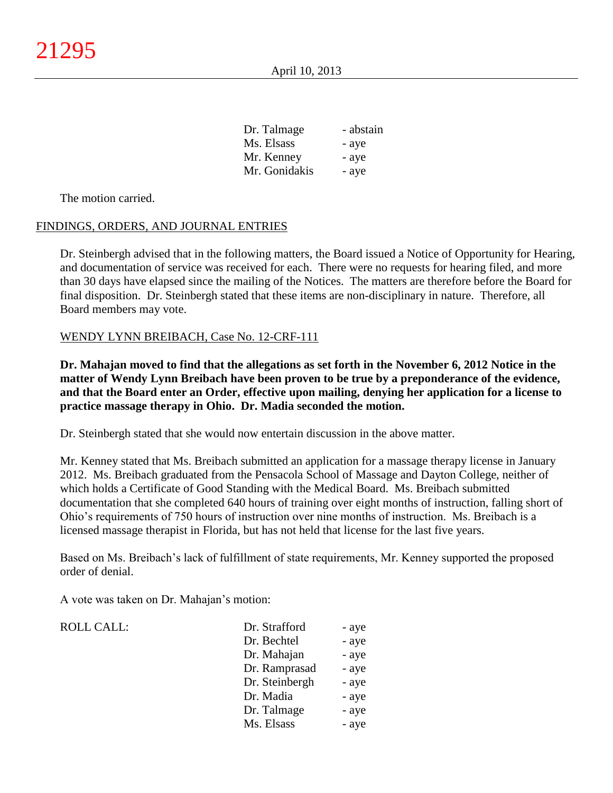| Dr. Talmage   | - abstain |
|---------------|-----------|
| Ms. Elsass    | - aye     |
| Mr. Kenney    | - aye     |
| Mr. Gonidakis | - aye     |

The motion carried.

## FINDINGS, ORDERS, AND JOURNAL ENTRIES

Dr. Steinbergh advised that in the following matters, the Board issued a Notice of Opportunity for Hearing, and documentation of service was received for each. There were no requests for hearing filed, and more than 30 days have elapsed since the mailing of the Notices.The matters are therefore before the Board for final disposition. Dr. Steinbergh stated that these items are non-disciplinary in nature. Therefore, all Board members may vote.

#### WENDY LYNN BREIBACH, Case No. 12-CRF-111

**Dr. Mahajan moved to find that the allegations as set forth in the November 6, 2012 Notice in the matter of Wendy Lynn Breibach have been proven to be true by a preponderance of the evidence, and that the Board enter an Order, effective upon mailing, denying her application for a license to practice massage therapy in Ohio. Dr. Madia seconded the motion.**

Dr. Steinbergh stated that she would now entertain discussion in the above matter.

Mr. Kenney stated that Ms. Breibach submitted an application for a massage therapy license in January 2012. Ms. Breibach graduated from the Pensacola School of Massage and Dayton College, neither of which holds a Certificate of Good Standing with the Medical Board. Ms. Breibach submitted documentation that she completed 640 hours of training over eight months of instruction, falling short of Ohio's requirements of 750 hours of instruction over nine months of instruction. Ms. Breibach is a licensed massage therapist in Florida, but has not held that license for the last five years.

Based on Ms. Breibach's lack of fulfillment of state requirements, Mr. Kenney supported the proposed order of denial.

A vote was taken on Dr. Mahajan's motion:

 $ROLL CALL$ :

| Dr. Strafford  | - aye |
|----------------|-------|
| Dr. Bechtel    | - aye |
| Dr. Mahajan    | - aye |
| Dr. Ramprasad  | - aye |
| Dr. Steinbergh | - aye |
| Dr. Madia      | - aye |
| Dr. Talmage    | - aye |
| Ms. Elsass     | - aye |
|                |       |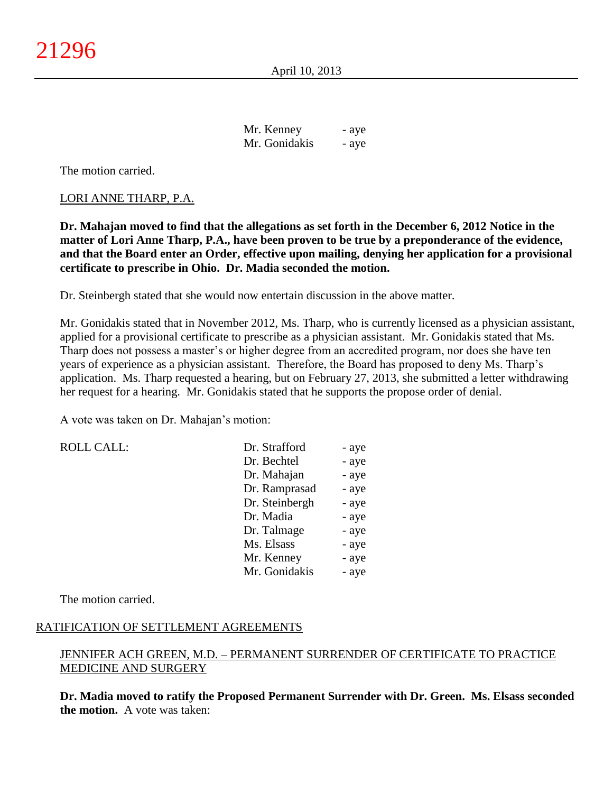April 10, 2013

| Mr. Kenney    | - aye |
|---------------|-------|
| Mr. Gonidakis | - aye |

The motion carried.

### LORI ANNE THARP, P.A.

**Dr. Mahajan moved to find that the allegations as set forth in the December 6, 2012 Notice in the matter of Lori Anne Tharp, P.A., have been proven to be true by a preponderance of the evidence, and that the Board enter an Order, effective upon mailing, denying her application for a provisional certificate to prescribe in Ohio. Dr. Madia seconded the motion.**

Dr. Steinbergh stated that she would now entertain discussion in the above matter.

Mr. Gonidakis stated that in November 2012, Ms. Tharp, who is currently licensed as a physician assistant, applied for a provisional certificate to prescribe as a physician assistant. Mr. Gonidakis stated that Ms. Tharp does not possess a master's or higher degree from an accredited program, nor does she have ten years of experience as a physician assistant. Therefore, the Board has proposed to deny Ms. Tharp's application. Ms. Tharp requested a hearing, but on February 27, 2013, she submitted a letter withdrawing her request for a hearing. Mr. Gonidakis stated that he supports the propose order of denial.

A vote was taken on Dr. Mahajan's motion:

| <b>ROLL CALL:</b> | Dr. Strafford  | - aye |
|-------------------|----------------|-------|
|                   | Dr. Bechtel    | - aye |
|                   | Dr. Mahajan    | - aye |
|                   | Dr. Ramprasad  | - aye |
|                   | Dr. Steinbergh | - aye |
|                   | Dr. Madia      | - aye |
|                   | Dr. Talmage    | - aye |
|                   | Ms. Elsass     | - aye |
|                   | Mr. Kenney     | - aye |
|                   | Mr. Gonidakis  | - aye |
|                   |                |       |

The motion carried.

## RATIFICATION OF SETTLEMENT AGREEMENTS

## JENNIFER ACH GREEN, M.D. – PERMANENT SURRENDER OF CERTIFICATE TO PRACTICE MEDICINE AND SURGERY

**Dr. Madia moved to ratify the Proposed Permanent Surrender with Dr. Green. Ms. Elsass seconded the motion.** A vote was taken: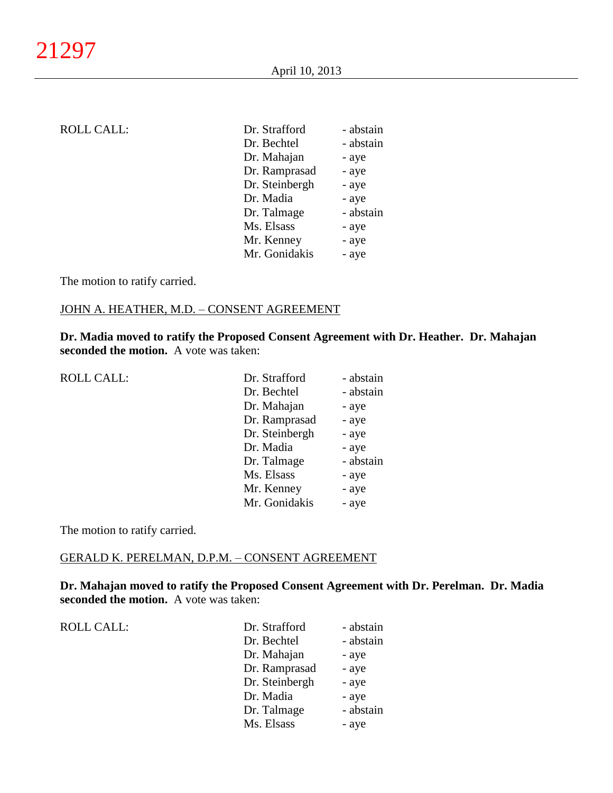# ROLL CALL:

| Dr. Strafford  | - abstain |
|----------------|-----------|
| Dr. Bechtel    | - abstain |
| Dr. Mahajan    | - aye     |
| Dr. Ramprasad  | - aye     |
| Dr. Steinbergh | - aye     |
| Dr. Madia      | - aye     |
| Dr. Talmage    | - abstain |
| Ms. Elsass     | - aye     |
| Mr. Kenney     | - aye     |
| Mr. Gonidakis  | - aye     |

The motion to ratify carried.

# JOHN A. HEATHER, M.D. – CONSENT AGREEMENT

**Dr. Madia moved to ratify the Proposed Consent Agreement with Dr. Heather. Dr. Mahajan seconded the motion.** A vote was taken:

ROLL CALL:

| Dr. Strafford  | - abstain |
|----------------|-----------|
| Dr. Bechtel    | - abstain |
| Dr. Mahajan    | - aye     |
| Dr. Ramprasad  | - aye     |
| Dr. Steinbergh | - aye     |
| Dr. Madia      | - aye     |
| Dr. Talmage    | - abstain |
| Ms. Elsass     | - aye     |
| Mr. Kenney     | - aye     |
| Mr. Gonidakis  | - aye     |

The motion to ratify carried.

## GERALD K. PERELMAN, D.P.M. – CONSENT AGREEMENT

**Dr. Mahajan moved to ratify the Proposed Consent Agreement with Dr. Perelman. Dr. Madia seconded the motion.** A vote was taken:

ROLL CALL:  $\qquad \qquad \blacksquare$ 

| Dr. Strafford  | - abstain |
|----------------|-----------|
| Dr. Bechtel    | - abstain |
| Dr. Mahajan    | - aye     |
| Dr. Ramprasad  | - aye     |
| Dr. Steinbergh | - aye     |
| Dr. Madia      | - aye     |
| Dr. Talmage    | - abstain |
| Ms. Elsass     | - aye     |
|                |           |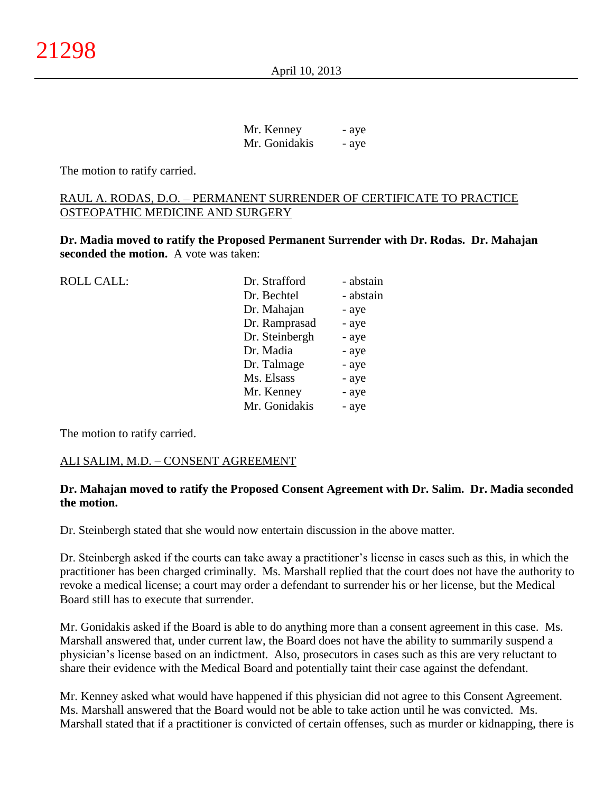April 10, 2013

| Mr. Kenney    | - aye |
|---------------|-------|
| Mr. Gonidakis | - aye |

The motion to ratify carried.

## RAUL A. RODAS, D.O. – PERMANENT SURRENDER OF CERTIFICATE TO PRACTICE OSTEOPATHIC MEDICINE AND SURGERY

**Dr. Madia moved to ratify the Proposed Permanent Surrender with Dr. Rodas. Dr. Mahajan seconded the motion.** A vote was taken:

| <b>ROLL CALL:</b> | Dr. Strafford  | - abstain |
|-------------------|----------------|-----------|
|                   | Dr. Bechtel    | - abstain |
|                   | Dr. Mahajan    | - aye     |
|                   | Dr. Ramprasad  | - aye     |
|                   | Dr. Steinbergh | - aye     |
|                   | Dr. Madia      | - aye     |
|                   | Dr. Talmage    | - aye     |
|                   | Ms. Elsass     | - aye     |
|                   | Mr. Kenney     | - aye     |
|                   | Mr. Gonidakis  | - aye     |
|                   |                |           |

The motion to ratify carried.

## ALI SALIM, M.D. – CONSENT AGREEMENT

## **Dr. Mahajan moved to ratify the Proposed Consent Agreement with Dr. Salim. Dr. Madia seconded the motion.**

Dr. Steinbergh stated that she would now entertain discussion in the above matter.

Dr. Steinbergh asked if the courts can take away a practitioner's license in cases such as this, in which the practitioner has been charged criminally. Ms. Marshall replied that the court does not have the authority to revoke a medical license; a court may order a defendant to surrender his or her license, but the Medical Board still has to execute that surrender.

Mr. Gonidakis asked if the Board is able to do anything more than a consent agreement in this case. Ms. Marshall answered that, under current law, the Board does not have the ability to summarily suspend a physician's license based on an indictment. Also, prosecutors in cases such as this are very reluctant to share their evidence with the Medical Board and potentially taint their case against the defendant.

Mr. Kenney asked what would have happened if this physician did not agree to this Consent Agreement. Ms. Marshall answered that the Board would not be able to take action until he was convicted. Ms. Marshall stated that if a practitioner is convicted of certain offenses, such as murder or kidnapping, there is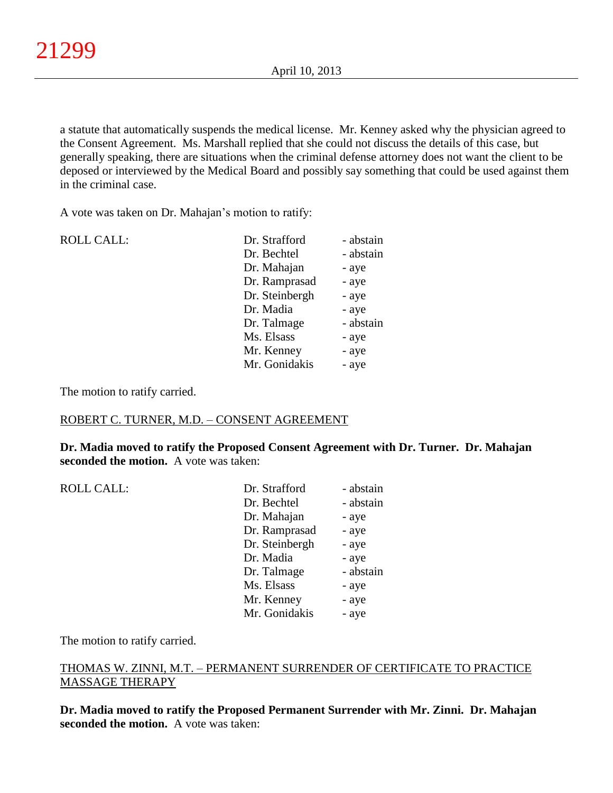a statute that automatically suspends the medical license. Mr. Kenney asked why the physician agreed to the Consent Agreement. Ms. Marshall replied that she could not discuss the details of this case, but generally speaking, there are situations when the criminal defense attorney does not want the client to be deposed or interviewed by the Medical Board and possibly say something that could be used against them in the criminal case.

A vote was taken on Dr. Mahajan's motion to ratify:

| <b>ROLL CALL:</b> | Dr. Strafford  | - abstain |
|-------------------|----------------|-----------|
|                   | Dr. Bechtel    | - abstain |
|                   | Dr. Mahajan    | - aye     |
|                   | Dr. Ramprasad  | - aye     |
|                   | Dr. Steinbergh | - aye     |
|                   | Dr. Madia      | - aye     |
|                   | Dr. Talmage    | - abstain |
|                   | Ms. Elsass     | - aye     |
|                   | Mr. Kenney     | - aye     |
|                   | Mr. Gonidakis  | - aye     |
|                   |                |           |

The motion to ratify carried.

ROLL CALL:

## ROBERT C. TURNER, M.D. – CONSENT AGREEMENT

**Dr. Madia moved to ratify the Proposed Consent Agreement with Dr. Turner. Dr. Mahajan seconded the motion.** A vote was taken:

| Dr. Strafford<br>- abstain |
|----------------------------|
| Dr. Bechtel<br>- abstain   |
| Dr. Mahajan<br>- aye       |
| Dr. Ramprasad<br>- aye     |
| Dr. Steinbergh<br>- aye    |
| Dr. Madia<br>- aye         |
| - abstain<br>Dr. Talmage   |
| Ms. Elsass<br>- aye        |
| Mr. Kenney<br>- aye        |
| Mr. Gonidakis<br>- aye     |

The motion to ratify carried.

## THOMAS W. ZINNI, M.T. – PERMANENT SURRENDER OF CERTIFICATE TO PRACTICE MASSAGE THERAPY

**Dr. Madia moved to ratify the Proposed Permanent Surrender with Mr. Zinni. Dr. Mahajan seconded the motion.** A vote was taken: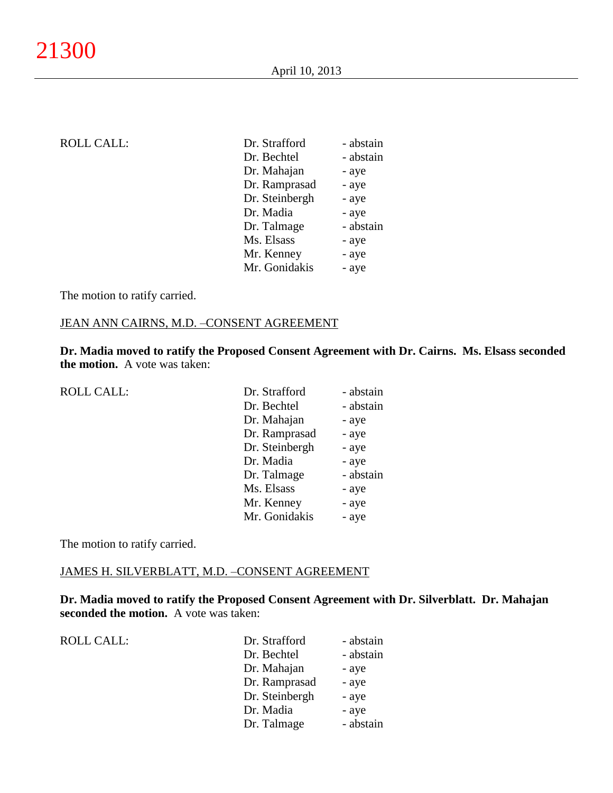| ROLL CALL: |  |  |  |
|------------|--|--|--|
|            |  |  |  |
|            |  |  |  |

| <b>ROLL CALL:</b> | Dr. Strafford  | - abstain |
|-------------------|----------------|-----------|
|                   | Dr. Bechtel    | - abstain |
|                   | Dr. Mahajan    | - aye     |
|                   | Dr. Ramprasad  | - aye     |
|                   | Dr. Steinbergh | - aye     |
|                   | Dr. Madia      | - aye     |
|                   | Dr. Talmage    | - abstain |
|                   | Ms. Elsass     | - aye     |
|                   | Mr. Kenney     | - aye     |
|                   | Mr. Gonidakis  | - aye     |
|                   |                |           |

The motion to ratify carried.

#### JEAN ANN CAIRNS, M.D. –CONSENT AGREEMENT

**Dr. Madia moved to ratify the Proposed Consent Agreement with Dr. Cairns. Ms. Elsass seconded the motion.** A vote was taken:

| <b>ROLL CALL:</b> | Dr. Strafford  | - abstain |
|-------------------|----------------|-----------|
|                   | Dr. Bechtel    | - abstain |
|                   | Dr. Mahajan    | - aye     |
|                   | Dr. Ramprasad  | - aye     |
|                   | Dr. Steinbergh | - aye     |
|                   | Dr. Madia      | - aye     |
|                   | Dr. Talmage    | - abstain |
|                   | Ms. Elsass     | - aye     |
|                   | Mr. Kenney     | - aye     |
|                   | Mr. Gonidakis  | - aye     |

The motion to ratify carried.

#### JAMES H. SILVERBLATT, M.D. –CONSENT AGREEMENT

**Dr. Madia moved to ratify the Proposed Consent Agreement with Dr. Silverblatt. Dr. Mahajan seconded the motion.** A vote was taken:

ROLL CALL:

| Dr. Strafford  | - abstain |
|----------------|-----------|
| Dr. Bechtel    | - abstain |
| Dr. Mahajan    | - aye     |
| Dr. Ramprasad  | - aye     |
| Dr. Steinbergh | - aye     |
| Dr. Madia      | - aye     |
| Dr. Talmage    | - abstain |
|                |           |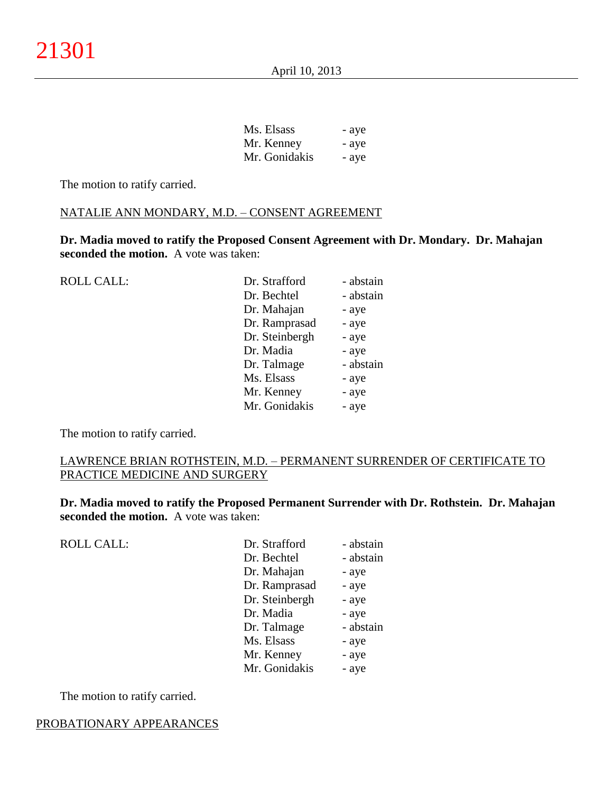| Ms. Elsass    | - aye |
|---------------|-------|
| Mr. Kenney    | - aye |
| Mr. Gonidakis | - ave |

The motion to ratify carried.

#### NATALIE ANN MONDARY, M.D. – CONSENT AGREEMENT

**Dr. Madia moved to ratify the Proposed Consent Agreement with Dr. Mondary. Dr. Mahajan seconded the motion.** A vote was taken:

ROLL CALL: Dr. Strafford - abstain Dr. Bechtel - abstain Dr. Mahajan - aye Dr. Ramprasad - aye Dr. Steinbergh - aye Dr. Madia - aye Dr. Talmage - abstain Ms. Elsass - aye Mr. Kenney - aye Mr. Gonidakis - aye

The motion to ratify carried.

## LAWRENCE BRIAN ROTHSTEIN, M.D. – PERMANENT SURRENDER OF CERTIFICATE TO PRACTICE MEDICINE AND SURGERY

**Dr. Madia moved to ratify the Proposed Permanent Surrender with Dr. Rothstein. Dr. Mahajan seconded the motion.** A vote was taken:

ROLL CALL:

| Dr. Strafford  | - abstain |
|----------------|-----------|
| Dr. Bechtel    | - abstain |
| Dr. Mahajan    | - aye     |
| Dr. Ramprasad  | - aye     |
| Dr. Steinbergh | - aye     |
| Dr. Madia      | - aye     |
| Dr. Talmage    | - abstain |
| Ms. Elsass     | - aye     |
| Mr. Kenney     | - aye     |
| Mr. Gonidakis  | - aye     |

The motion to ratify carried.

#### PROBATIONARY APPEARANCES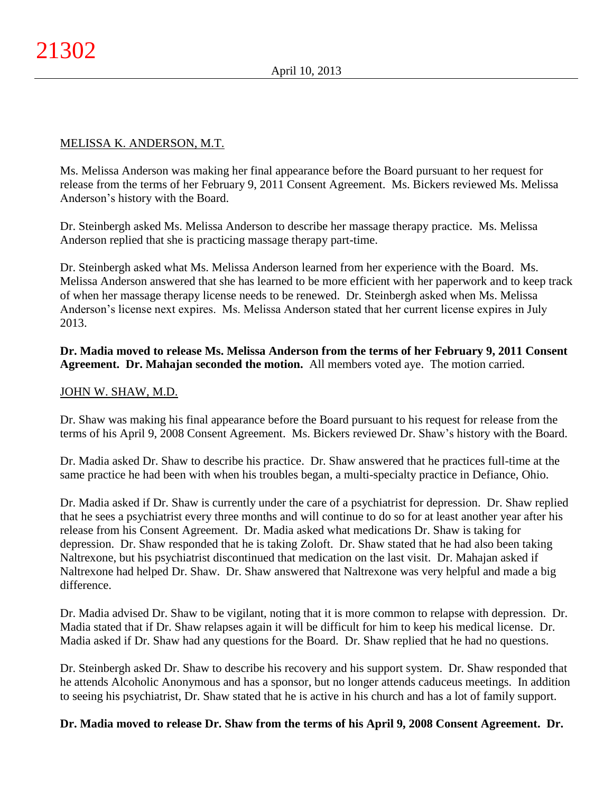## MELISSA K. ANDERSON, M.T.

Ms. Melissa Anderson was making her final appearance before the Board pursuant to her request for release from the terms of her February 9, 2011 Consent Agreement. Ms. Bickers reviewed Ms. Melissa Anderson's history with the Board.

Dr. Steinbergh asked Ms. Melissa Anderson to describe her massage therapy practice. Ms. Melissa Anderson replied that she is practicing massage therapy part-time.

Dr. Steinbergh asked what Ms. Melissa Anderson learned from her experience with the Board. Ms. Melissa Anderson answered that she has learned to be more efficient with her paperwork and to keep track of when her massage therapy license needs to be renewed. Dr. Steinbergh asked when Ms. Melissa Anderson's license next expires. Ms. Melissa Anderson stated that her current license expires in July 2013.

**Dr. Madia moved to release Ms. Melissa Anderson from the terms of her February 9, 2011 Consent Agreement. Dr. Mahajan seconded the motion.** All members voted aye. The motion carried.

## JOHN W. SHAW, M.D.

Dr. Shaw was making his final appearance before the Board pursuant to his request for release from the terms of his April 9, 2008 Consent Agreement. Ms. Bickers reviewed Dr. Shaw's history with the Board.

Dr. Madia asked Dr. Shaw to describe his practice. Dr. Shaw answered that he practices full-time at the same practice he had been with when his troubles began, a multi-specialty practice in Defiance, Ohio.

Dr. Madia asked if Dr. Shaw is currently under the care of a psychiatrist for depression. Dr. Shaw replied that he sees a psychiatrist every three months and will continue to do so for at least another year after his release from his Consent Agreement. Dr. Madia asked what medications Dr. Shaw is taking for depression. Dr. Shaw responded that he is taking Zoloft. Dr. Shaw stated that he had also been taking Naltrexone, but his psychiatrist discontinued that medication on the last visit. Dr. Mahajan asked if Naltrexone had helped Dr. Shaw. Dr. Shaw answered that Naltrexone was very helpful and made a big difference.

Dr. Madia advised Dr. Shaw to be vigilant, noting that it is more common to relapse with depression. Dr. Madia stated that if Dr. Shaw relapses again it will be difficult for him to keep his medical license. Dr. Madia asked if Dr. Shaw had any questions for the Board. Dr. Shaw replied that he had no questions.

Dr. Steinbergh asked Dr. Shaw to describe his recovery and his support system. Dr. Shaw responded that he attends Alcoholic Anonymous and has a sponsor, but no longer attends caduceus meetings. In addition to seeing his psychiatrist, Dr. Shaw stated that he is active in his church and has a lot of family support.

## **Dr. Madia moved to release Dr. Shaw from the terms of his April 9, 2008 Consent Agreement. Dr.**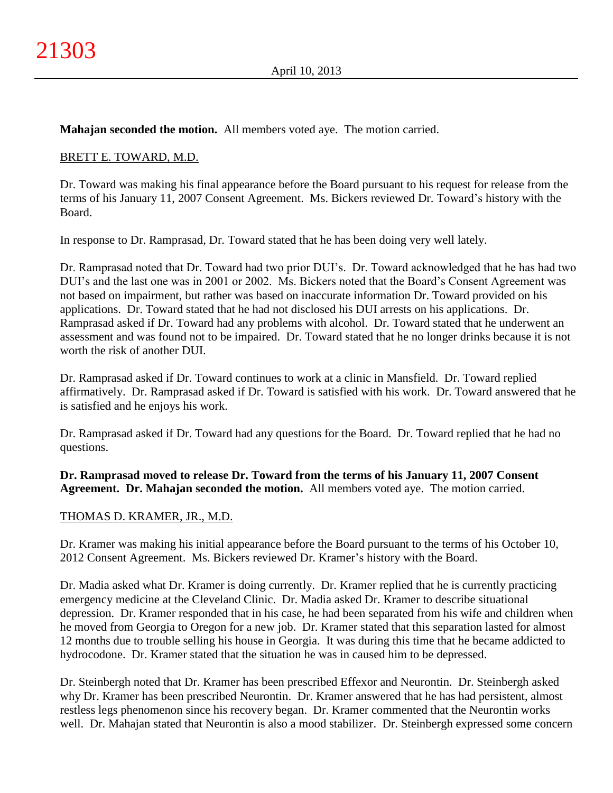**Mahajan seconded the motion.** All members voted aye. The motion carried.

# BRETT E. TOWARD, M.D.

Dr. Toward was making his final appearance before the Board pursuant to his request for release from the terms of his January 11, 2007 Consent Agreement. Ms. Bickers reviewed Dr. Toward's history with the Board.

In response to Dr. Ramprasad, Dr. Toward stated that he has been doing very well lately.

Dr. Ramprasad noted that Dr. Toward had two prior DUI's. Dr. Toward acknowledged that he has had two DUI's and the last one was in 2001 or 2002. Ms. Bickers noted that the Board's Consent Agreement was not based on impairment, but rather was based on inaccurate information Dr. Toward provided on his applications. Dr. Toward stated that he had not disclosed his DUI arrests on his applications. Dr. Ramprasad asked if Dr. Toward had any problems with alcohol. Dr. Toward stated that he underwent an assessment and was found not to be impaired. Dr. Toward stated that he no longer drinks because it is not worth the risk of another DUI.

Dr. Ramprasad asked if Dr. Toward continues to work at a clinic in Mansfield. Dr. Toward replied affirmatively. Dr. Ramprasad asked if Dr. Toward is satisfied with his work. Dr. Toward answered that he is satisfied and he enjoys his work.

Dr. Ramprasad asked if Dr. Toward had any questions for the Board. Dr. Toward replied that he had no questions.

**Dr. Ramprasad moved to release Dr. Toward from the terms of his January 11, 2007 Consent Agreement. Dr. Mahajan seconded the motion.** All members voted aye. The motion carried.

## THOMAS D. KRAMER, JR., M.D.

Dr. Kramer was making his initial appearance before the Board pursuant to the terms of his October 10, 2012 Consent Agreement. Ms. Bickers reviewed Dr. Kramer's history with the Board.

Dr. Madia asked what Dr. Kramer is doing currently. Dr. Kramer replied that he is currently practicing emergency medicine at the Cleveland Clinic. Dr. Madia asked Dr. Kramer to describe situational depression. Dr. Kramer responded that in his case, he had been separated from his wife and children when he moved from Georgia to Oregon for a new job. Dr. Kramer stated that this separation lasted for almost 12 months due to trouble selling his house in Georgia. It was during this time that he became addicted to hydrocodone. Dr. Kramer stated that the situation he was in caused him to be depressed.

Dr. Steinbergh noted that Dr. Kramer has been prescribed Effexor and Neurontin. Dr. Steinbergh asked why Dr. Kramer has been prescribed Neurontin. Dr. Kramer answered that he has had persistent, almost restless legs phenomenon since his recovery began. Dr. Kramer commented that the Neurontin works well. Dr. Mahajan stated that Neurontin is also a mood stabilizer. Dr. Steinbergh expressed some concern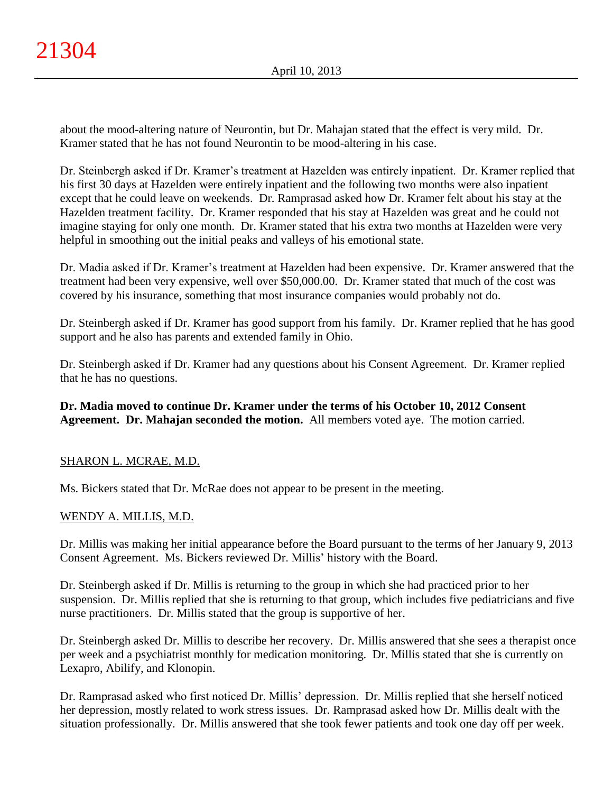about the mood-altering nature of Neurontin, but Dr. Mahajan stated that the effect is very mild. Dr. Kramer stated that he has not found Neurontin to be mood-altering in his case.

Dr. Steinbergh asked if Dr. Kramer's treatment at Hazelden was entirely inpatient. Dr. Kramer replied that his first 30 days at Hazelden were entirely inpatient and the following two months were also inpatient except that he could leave on weekends. Dr. Ramprasad asked how Dr. Kramer felt about his stay at the Hazelden treatment facility. Dr. Kramer responded that his stay at Hazelden was great and he could not imagine staying for only one month. Dr. Kramer stated that his extra two months at Hazelden were very helpful in smoothing out the initial peaks and valleys of his emotional state.

Dr. Madia asked if Dr. Kramer's treatment at Hazelden had been expensive. Dr. Kramer answered that the treatment had been very expensive, well over \$50,000.00. Dr. Kramer stated that much of the cost was covered by his insurance, something that most insurance companies would probably not do.

Dr. Steinbergh asked if Dr. Kramer has good support from his family. Dr. Kramer replied that he has good support and he also has parents and extended family in Ohio.

Dr. Steinbergh asked if Dr. Kramer had any questions about his Consent Agreement. Dr. Kramer replied that he has no questions.

**Dr. Madia moved to continue Dr. Kramer under the terms of his October 10, 2012 Consent Agreement. Dr. Mahajan seconded the motion.** All members voted aye. The motion carried.

# SHARON L. MCRAE, M.D.

Ms. Bickers stated that Dr. McRae does not appear to be present in the meeting.

# WENDY A. MILLIS, M.D.

Dr. Millis was making her initial appearance before the Board pursuant to the terms of her January 9, 2013 Consent Agreement. Ms. Bickers reviewed Dr. Millis' history with the Board.

Dr. Steinbergh asked if Dr. Millis is returning to the group in which she had practiced prior to her suspension. Dr. Millis replied that she is returning to that group, which includes five pediatricians and five nurse practitioners. Dr. Millis stated that the group is supportive of her.

Dr. Steinbergh asked Dr. Millis to describe her recovery. Dr. Millis answered that she sees a therapist once per week and a psychiatrist monthly for medication monitoring. Dr. Millis stated that she is currently on Lexapro, Abilify, and Klonopin.

Dr. Ramprasad asked who first noticed Dr. Millis' depression. Dr. Millis replied that she herself noticed her depression, mostly related to work stress issues. Dr. Ramprasad asked how Dr. Millis dealt with the situation professionally. Dr. Millis answered that she took fewer patients and took one day off per week.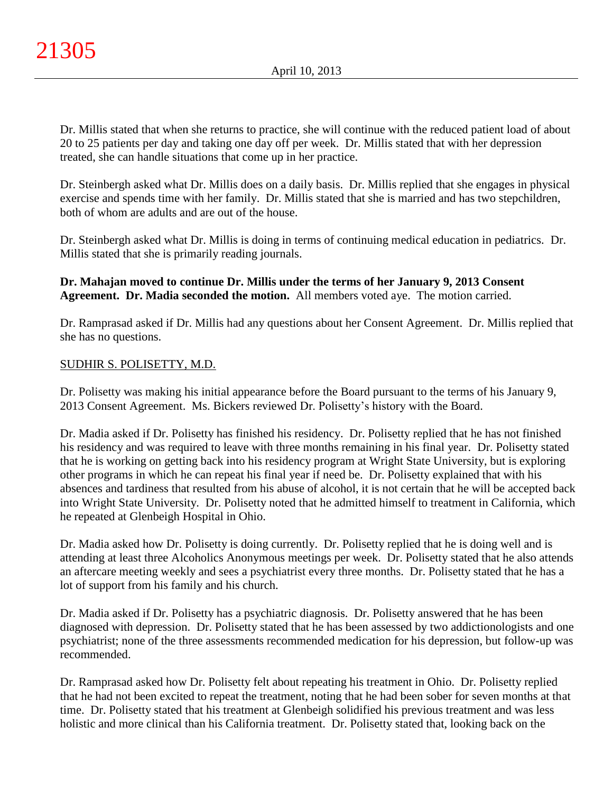Dr. Millis stated that when she returns to practice, she will continue with the reduced patient load of about 20 to 25 patients per day and taking one day off per week. Dr. Millis stated that with her depression treated, she can handle situations that come up in her practice.

Dr. Steinbergh asked what Dr. Millis does on a daily basis. Dr. Millis replied that she engages in physical exercise and spends time with her family. Dr. Millis stated that she is married and has two stepchildren, both of whom are adults and are out of the house.

Dr. Steinbergh asked what Dr. Millis is doing in terms of continuing medical education in pediatrics. Dr. Millis stated that she is primarily reading journals.

## **Dr. Mahajan moved to continue Dr. Millis under the terms of her January 9, 2013 Consent Agreement. Dr. Madia seconded the motion.** All members voted aye. The motion carried.

Dr. Ramprasad asked if Dr. Millis had any questions about her Consent Agreement. Dr. Millis replied that she has no questions.

## SUDHIR S. POLISETTY, M.D.

Dr. Polisetty was making his initial appearance before the Board pursuant to the terms of his January 9, 2013 Consent Agreement. Ms. Bickers reviewed Dr. Polisetty's history with the Board.

Dr. Madia asked if Dr. Polisetty has finished his residency. Dr. Polisetty replied that he has not finished his residency and was required to leave with three months remaining in his final year. Dr. Polisetty stated that he is working on getting back into his residency program at Wright State University, but is exploring other programs in which he can repeat his final year if need be. Dr. Polisetty explained that with his absences and tardiness that resulted from his abuse of alcohol, it is not certain that he will be accepted back into Wright State University. Dr. Polisetty noted that he admitted himself to treatment in California, which he repeated at Glenbeigh Hospital in Ohio.

Dr. Madia asked how Dr. Polisetty is doing currently. Dr. Polisetty replied that he is doing well and is attending at least three Alcoholics Anonymous meetings per week. Dr. Polisetty stated that he also attends an aftercare meeting weekly and sees a psychiatrist every three months. Dr. Polisetty stated that he has a lot of support from his family and his church.

Dr. Madia asked if Dr. Polisetty has a psychiatric diagnosis. Dr. Polisetty answered that he has been diagnosed with depression. Dr. Polisetty stated that he has been assessed by two addictionologists and one psychiatrist; none of the three assessments recommended medication for his depression, but follow-up was recommended.

Dr. Ramprasad asked how Dr. Polisetty felt about repeating his treatment in Ohio. Dr. Polisetty replied that he had not been excited to repeat the treatment, noting that he had been sober for seven months at that time. Dr. Polisetty stated that his treatment at Glenbeigh solidified his previous treatment and was less holistic and more clinical than his California treatment. Dr. Polisetty stated that, looking back on the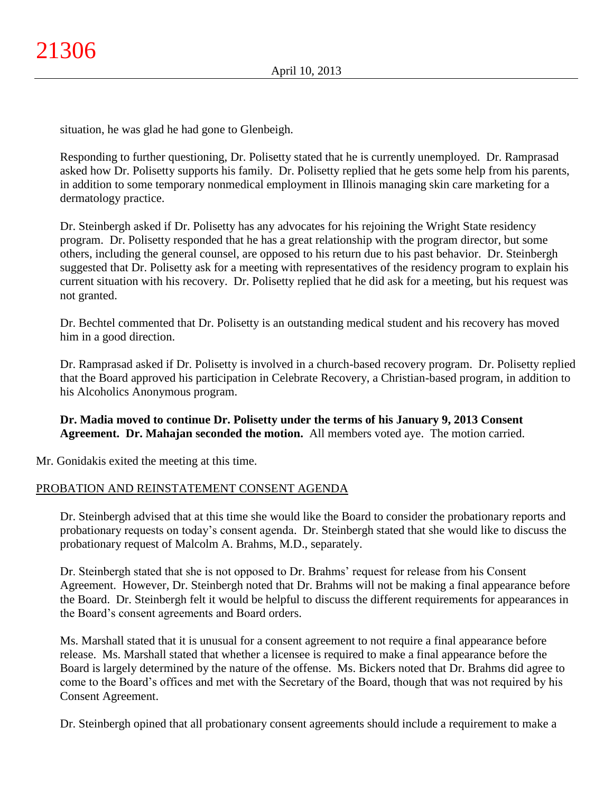situation, he was glad he had gone to Glenbeigh.

Responding to further questioning, Dr. Polisetty stated that he is currently unemployed. Dr. Ramprasad asked how Dr. Polisetty supports his family. Dr. Polisetty replied that he gets some help from his parents, in addition to some temporary nonmedical employment in Illinois managing skin care marketing for a dermatology practice.

Dr. Steinbergh asked if Dr. Polisetty has any advocates for his rejoining the Wright State residency program. Dr. Polisetty responded that he has a great relationship with the program director, but some others, including the general counsel, are opposed to his return due to his past behavior. Dr. Steinbergh suggested that Dr. Polisetty ask for a meeting with representatives of the residency program to explain his current situation with his recovery. Dr. Polisetty replied that he did ask for a meeting, but his request was not granted.

Dr. Bechtel commented that Dr. Polisetty is an outstanding medical student and his recovery has moved him in a good direction.

Dr. Ramprasad asked if Dr. Polisetty is involved in a church-based recovery program. Dr. Polisetty replied that the Board approved his participation in Celebrate Recovery, a Christian-based program, in addition to his Alcoholics Anonymous program.

**Dr. Madia moved to continue Dr. Polisetty under the terms of his January 9, 2013 Consent Agreement. Dr. Mahajan seconded the motion.** All members voted aye. The motion carried.

Mr. Gonidakis exited the meeting at this time.

## PROBATION AND REINSTATEMENT CONSENT AGENDA

Dr. Steinbergh advised that at this time she would like the Board to consider the probationary reports and probationary requests on today's consent agenda. Dr. Steinbergh stated that she would like to discuss the probationary request of Malcolm A. Brahms, M.D., separately.

Dr. Steinbergh stated that she is not opposed to Dr. Brahms' request for release from his Consent Agreement. However, Dr. Steinbergh noted that Dr. Brahms will not be making a final appearance before the Board. Dr. Steinbergh felt it would be helpful to discuss the different requirements for appearances in the Board's consent agreements and Board orders.

Ms. Marshall stated that it is unusual for a consent agreement to not require a final appearance before release. Ms. Marshall stated that whether a licensee is required to make a final appearance before the Board is largely determined by the nature of the offense. Ms. Bickers noted that Dr. Brahms did agree to come to the Board's offices and met with the Secretary of the Board, though that was not required by his Consent Agreement.

Dr. Steinbergh opined that all probationary consent agreements should include a requirement to make a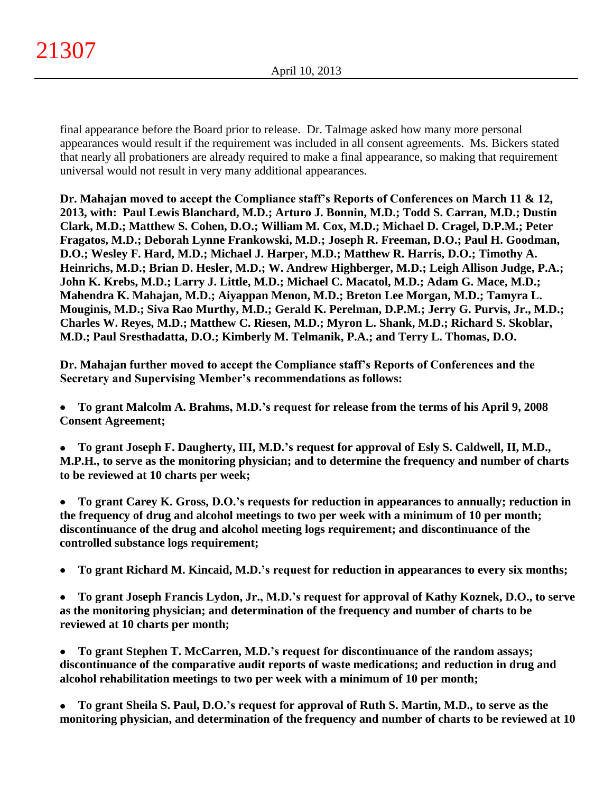final appearance before the Board prior to release. Dr. Talmage asked how many more personal appearances would result if the requirement was included in all consent agreements. Ms. Bickers stated that nearly all probationers are already required to make a final appearance, so making that requirement universal would not result in very many additional appearances.

**Dr. Mahajan moved to accept the Compliance staff's Reports of Conferences on March 11 & 12, 2013, with: Paul Lewis Blanchard, M.D.; Arturo J. Bonnin, M.D.; Todd S. Carran, M.D.; Dustin Clark, M.D.; Matthew S. Cohen, D.O.; William M. Cox, M.D.; Michael D. Cragel, D.P.M.; Peter Fragatos, M.D.; Deborah Lynne Frankowski, M.D.; Joseph R. Freeman, D.O.; Paul H. Goodman, D.O.; Wesley F. Hard, M.D.; Michael J. Harper, M.D.; Matthew R. Harris, D.O.; Timothy A. Heinrichs, M.D.; Brian D. Hesler, M.D.; W. Andrew Highberger, M.D.; Leigh Allison Judge, P.A.; John K. Krebs, M.D.; Larry J. Little, M.D.; Michael C. Macatol, M.D.; Adam G. Mace, M.D.; Mahendra K. Mahajan, M.D.; Aiyappan Menon, M.D.; Breton Lee Morgan, M.D.; Tamyra L. Mouginis, M.D.; Siva Rao Murthy, M.D.; Gerald K. Perelman, D.P.M.; Jerry G. Purvis, Jr., M.D.; Charles W. Reyes, M.D.; Matthew C. Riesen, M.D.; Myron L. Shank, M.D.; Richard S. Skoblar, M.D.; Paul Sresthadatta, D.O.; Kimberly M. Telmanik, P.A.; and Terry L. Thomas, D.O.**

**Dr. Mahajan further moved to accept the Compliance staff's Reports of Conferences and the Secretary and Supervising Member's recommendations as follows:**

**To grant Malcolm A. Brahms, M.D.'s request for release from the terms of his April 9, 2008**   $\bullet$ **Consent Agreement;**

**To grant Joseph F. Daugherty, III, M.D.'s request for approval of Esly S. Caldwell, II, M.D., M.P.H., to serve as the monitoring physician; and to determine the frequency and number of charts to be reviewed at 10 charts per week;**

 $\bullet$ **To grant Carey K. Gross, D.O.'s requests for reduction in appearances to annually; reduction in the frequency of drug and alcohol meetings to two per week with a minimum of 10 per month; discontinuance of the drug and alcohol meeting logs requirement; and discontinuance of the controlled substance logs requirement;**

**To grant Richard M. Kincaid, M.D.'s request for reduction in appearances to every six months;**  $\bullet$ 

**To grant Joseph Francis Lydon, Jr., M.D.'s request for approval of Kathy Koznek, D.O., to serve**   $\bullet$ **as the monitoring physician; and determination of the frequency and number of charts to be reviewed at 10 charts per month;**

**To grant Stephen T. McCarren, M.D.'s request for discontinuance of the random assays;**   $\bullet$ **discontinuance of the comparative audit reports of waste medications; and reduction in drug and alcohol rehabilitation meetings to two per week with a minimum of 10 per month;**

**To grant Sheila S. Paul, D.O.'s request for approval of Ruth S. Martin, M.D., to serve as the**   $\bullet$ **monitoring physician, and determination of the frequency and number of charts to be reviewed at 10**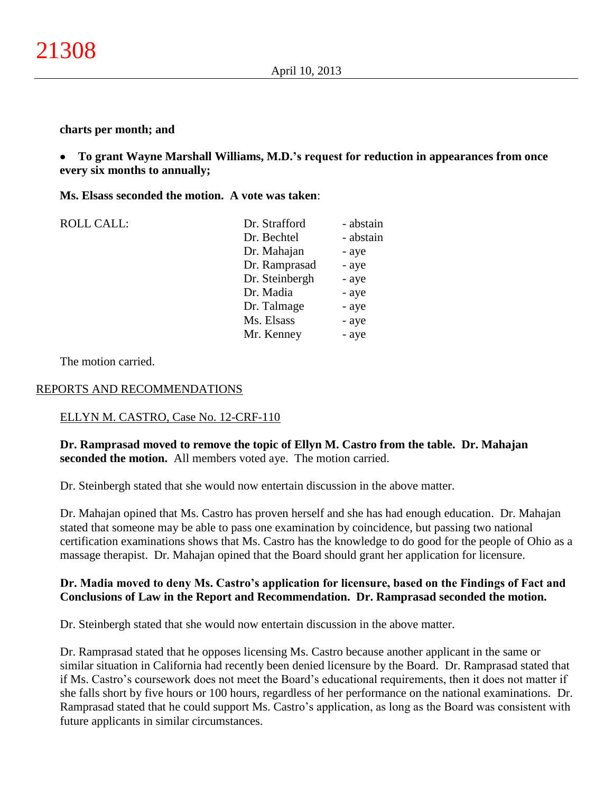#### **charts per month; and**

#### **To grant Wayne Marshall Williams, M.D.'s request for reduction in appearances from once**   $\bullet$ **every six months to annually;**

#### **Ms. Elsass seconded the motion. A vote was taken**:

| <b>ROLL CALL:</b> | Dr. Strafford  | - abstain |
|-------------------|----------------|-----------|
|                   | Dr. Bechtel    | - abstain |
|                   | Dr. Mahajan    | - aye     |
|                   | Dr. Ramprasad  | - aye     |
|                   | Dr. Steinbergh | - aye     |
|                   | Dr. Madia      | - aye     |
|                   | Dr. Talmage    | - aye     |
|                   | Ms. Elsass     | - aye     |
|                   | Mr. Kenney     | - aye     |
|                   |                |           |

The motion carried.

#### REPORTS AND RECOMMENDATIONS

## ELLYN M. CASTRO, Case No. 12-CRF-110

#### **Dr. Ramprasad moved to remove the topic of Ellyn M. Castro from the table. Dr. Mahajan seconded the motion.** All members voted aye. The motion carried.

Dr. Steinbergh stated that she would now entertain discussion in the above matter.

Dr. Mahajan opined that Ms. Castro has proven herself and she has had enough education. Dr. Mahajan stated that someone may be able to pass one examination by coincidence, but passing two national certification examinations shows that Ms. Castro has the knowledge to do good for the people of Ohio as a massage therapist. Dr. Mahajan opined that the Board should grant her application for licensure.

#### **Dr. Madia moved to deny Ms. Castro's application for licensure, based on the Findings of Fact and Conclusions of Law in the Report and Recommendation. Dr. Ramprasad seconded the motion.**

Dr. Steinbergh stated that she would now entertain discussion in the above matter.

Dr. Ramprasad stated that he opposes licensing Ms. Castro because another applicant in the same or similar situation in California had recently been denied licensure by the Board. Dr. Ramprasad stated that if Ms. Castro's coursework does not meet the Board's educational requirements, then it does not matter if she falls short by five hours or 100 hours, regardless of her performance on the national examinations. Dr. Ramprasad stated that he could support Ms. Castro's application, as long as the Board was consistent with future applicants in similar circumstances.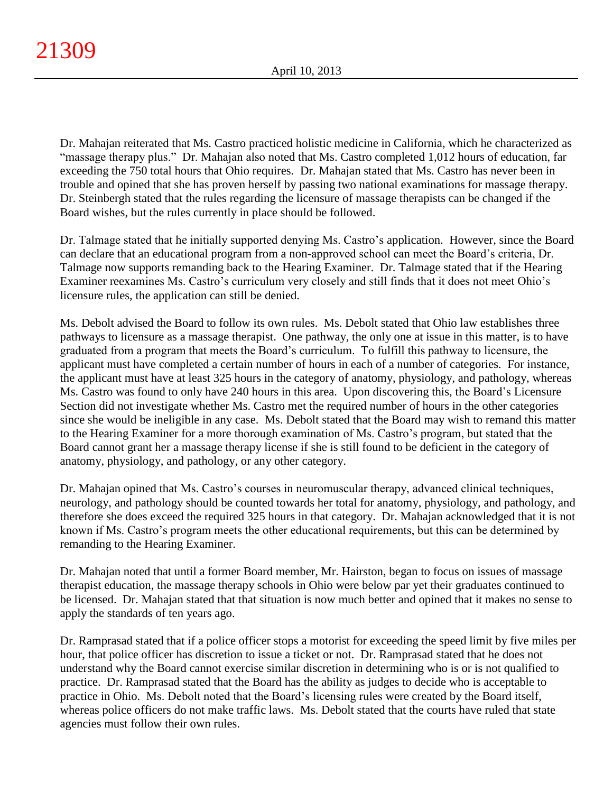Dr. Mahajan reiterated that Ms. Castro practiced holistic medicine in California, which he characterized as "massage therapy plus." Dr. Mahajan also noted that Ms. Castro completed 1,012 hours of education, far exceeding the 750 total hours that Ohio requires. Dr. Mahajan stated that Ms. Castro has never been in trouble and opined that she has proven herself by passing two national examinations for massage therapy. Dr. Steinbergh stated that the rules regarding the licensure of massage therapists can be changed if the Board wishes, but the rules currently in place should be followed.

Dr. Talmage stated that he initially supported denying Ms. Castro's application. However, since the Board can declare that an educational program from a non-approved school can meet the Board's criteria, Dr. Talmage now supports remanding back to the Hearing Examiner. Dr. Talmage stated that if the Hearing Examiner reexamines Ms. Castro's curriculum very closely and still finds that it does not meet Ohio's licensure rules, the application can still be denied.

Ms. Debolt advised the Board to follow its own rules. Ms. Debolt stated that Ohio law establishes three pathways to licensure as a massage therapist. One pathway, the only one at issue in this matter, is to have graduated from a program that meets the Board's curriculum. To fulfill this pathway to licensure, the applicant must have completed a certain number of hours in each of a number of categories. For instance, the applicant must have at least 325 hours in the category of anatomy, physiology, and pathology, whereas Ms. Castro was found to only have 240 hours in this area. Upon discovering this, the Board's Licensure Section did not investigate whether Ms. Castro met the required number of hours in the other categories since she would be ineligible in any case. Ms. Debolt stated that the Board may wish to remand this matter to the Hearing Examiner for a more thorough examination of Ms. Castro's program, but stated that the Board cannot grant her a massage therapy license if she is still found to be deficient in the category of anatomy, physiology, and pathology, or any other category.

Dr. Mahajan opined that Ms. Castro's courses in neuromuscular therapy, advanced clinical techniques, neurology, and pathology should be counted towards her total for anatomy, physiology, and pathology, and therefore she does exceed the required 325 hours in that category. Dr. Mahajan acknowledged that it is not known if Ms. Castro's program meets the other educational requirements, but this can be determined by remanding to the Hearing Examiner.

Dr. Mahajan noted that until a former Board member, Mr. Hairston, began to focus on issues of massage therapist education, the massage therapy schools in Ohio were below par yet their graduates continued to be licensed. Dr. Mahajan stated that that situation is now much better and opined that it makes no sense to apply the standards of ten years ago.

Dr. Ramprasad stated that if a police officer stops a motorist for exceeding the speed limit by five miles per hour, that police officer has discretion to issue a ticket or not. Dr. Ramprasad stated that he does not understand why the Board cannot exercise similar discretion in determining who is or is not qualified to practice. Dr. Ramprasad stated that the Board has the ability as judges to decide who is acceptable to practice in Ohio. Ms. Debolt noted that the Board's licensing rules were created by the Board itself, whereas police officers do not make traffic laws. Ms. Debolt stated that the courts have ruled that state agencies must follow their own rules.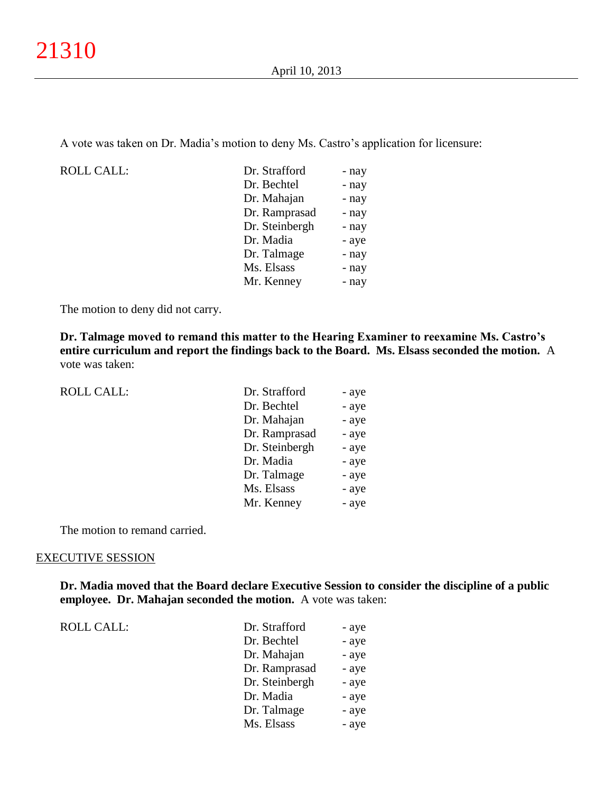A vote was taken on Dr. Madia's motion to deny Ms. Castro's application for licensure:

ROLL CALL:

| Dr. Strafford  | - nay |
|----------------|-------|
| Dr. Bechtel    | - nay |
| Dr. Mahajan    | - nay |
| Dr. Ramprasad  | - nay |
| Dr. Steinbergh | - nay |
| Dr. Madia      | - aye |
| Dr. Talmage    | - nay |
| Ms. Elsass     | - nay |
| Mr. Kenney     | - nay |
|                |       |

The motion to deny did not carry.

**Dr. Talmage moved to remand this matter to the Hearing Examiner to reexamine Ms. Castro's entire curriculum and report the findings back to the Board. Ms. Elsass seconded the motion.** A vote was taken:

| <b>ROLL CALL:</b> | Dr. Strafford  | - aye |
|-------------------|----------------|-------|
|                   | Dr. Bechtel    | - aye |
|                   | Dr. Mahajan    | - aye |
|                   | Dr. Ramprasad  | - aye |
|                   | Dr. Steinbergh | - aye |
|                   | Dr. Madia      | - aye |
|                   | Dr. Talmage    | - aye |
|                   | Ms. Elsass     | - aye |
|                   | Mr. Kenney     | - aye |
|                   |                |       |

The motion to remand carried.

#### EXECUTIVE SESSION

**Dr. Madia moved that the Board declare Executive Session to consider the discipline of a public employee. Dr. Mahajan seconded the motion.** A vote was taken:

ROLL CALL:  $\qquad \qquad \blacksquare$ 

| Dr. Strafford  | - aye |
|----------------|-------|
| Dr. Bechtel    | - aye |
| Dr. Mahajan    | - aye |
| Dr. Ramprasad  | - aye |
| Dr. Steinbergh | - aye |
| Dr. Madia      | - aye |
| Dr. Talmage    | - aye |
| Ms. Elsass     | - aye |
|                |       |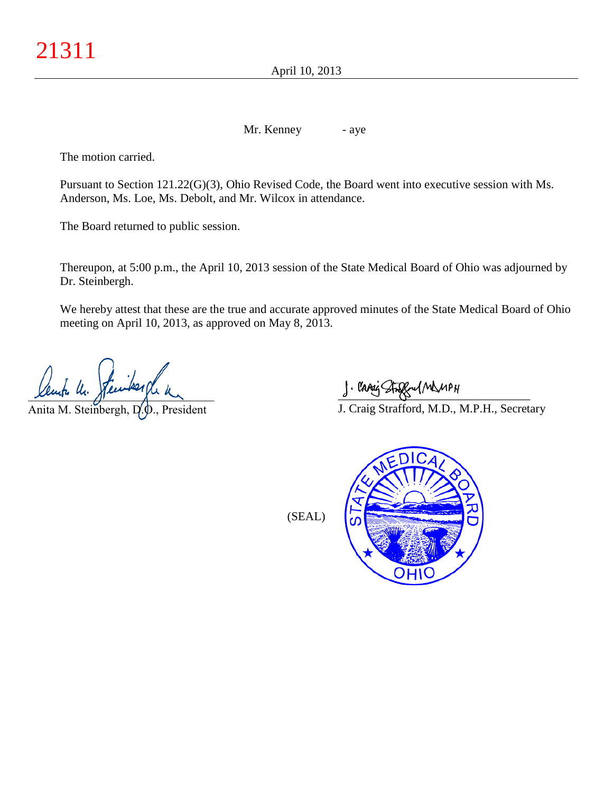April 10, 2013

Mr. Kenney - aye

The motion carried.

Pursuant to Section 121.22(G)(3), Ohio Revised Code, the Board went into executive session with Ms. Anderson, Ms. Loe, Ms. Debolt, and Mr. Wilcox in attendance.

The Board returned to public session.

Thereupon, at 5:00 p.m., the April 10, 2013 session of the State Medical Board of Ohio was adjourned by Dr. Steinbergh.

We hereby attest that these are the true and accurate approved minutes of the State Medical Board of Ohio meeting on April 10, 2013, as approved on May 8, 2013.

 $x$ empa nu. pande español

Anita M. Steinbergh, D.O., President

 $\int$  and single  $\frac{1}{2}$ 

J. Craig Strafford, M.D., M.P.H., Secretary

(SEAL)

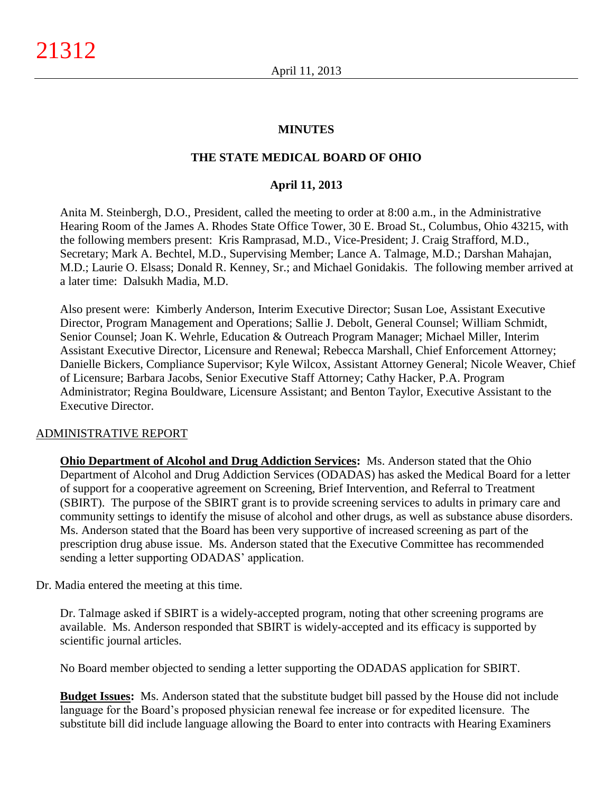## **MINUTES**

## **THE STATE MEDICAL BOARD OF OHIO**

## **April 11, 2013**

Anita M. Steinbergh, D.O., President, called the meeting to order at 8:00 a.m., in the Administrative Hearing Room of the James A. Rhodes State Office Tower, 30 E. Broad St., Columbus, Ohio 43215, with the following members present: Kris Ramprasad, M.D., Vice-President; J. Craig Strafford, M.D., Secretary; Mark A. Bechtel, M.D., Supervising Member; Lance A. Talmage, M.D.; Darshan Mahajan, M.D.; Laurie O. Elsass; Donald R. Kenney, Sr.; and Michael Gonidakis. The following member arrived at a later time: Dalsukh Madia, M.D.

Also present were: Kimberly Anderson, Interim Executive Director; Susan Loe, Assistant Executive Director, Program Management and Operations; Sallie J. Debolt, General Counsel; William Schmidt, Senior Counsel; Joan K. Wehrle, Education & Outreach Program Manager; Michael Miller, Interim Assistant Executive Director, Licensure and Renewal; Rebecca Marshall, Chief Enforcement Attorney; Danielle Bickers, Compliance Supervisor; Kyle Wilcox, Assistant Attorney General; Nicole Weaver, Chief of Licensure; Barbara Jacobs, Senior Executive Staff Attorney; Cathy Hacker, P.A. Program Administrator; Regina Bouldware, Licensure Assistant; and Benton Taylor, Executive Assistant to the Executive Director.

#### ADMINISTRATIVE REPORT

**Ohio Department of Alcohol and Drug Addiction Services:** Ms. Anderson stated that the Ohio Department of Alcohol and Drug Addiction Services (ODADAS) has asked the Medical Board for a letter of support for a cooperative agreement on Screening, Brief Intervention, and Referral to Treatment (SBIRT). The purpose of the SBIRT grant is to provide screening services to adults in primary care and community settings to identify the misuse of alcohol and other drugs, as well as substance abuse disorders. Ms. Anderson stated that the Board has been very supportive of increased screening as part of the prescription drug abuse issue. Ms. Anderson stated that the Executive Committee has recommended sending a letter supporting ODADAS' application.

Dr. Madia entered the meeting at this time.

Dr. Talmage asked if SBIRT is a widely-accepted program, noting that other screening programs are available. Ms. Anderson responded that SBIRT is widely-accepted and its efficacy is supported by scientific journal articles.

No Board member objected to sending a letter supporting the ODADAS application for SBIRT.

**Budget Issues:** Ms. Anderson stated that the substitute budget bill passed by the House did not include language for the Board's proposed physician renewal fee increase or for expedited licensure. The substitute bill did include language allowing the Board to enter into contracts with Hearing Examiners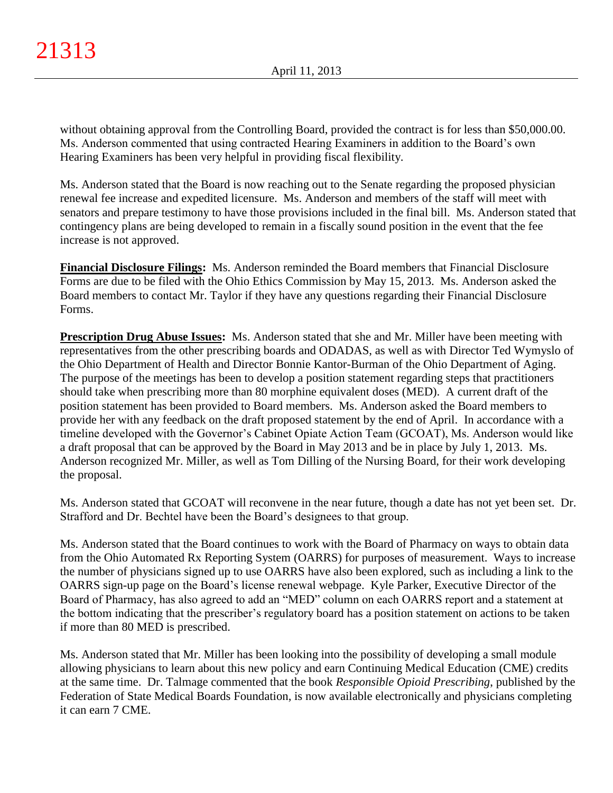without obtaining approval from the Controlling Board, provided the contract is for less than \$50,000.00. Ms. Anderson commented that using contracted Hearing Examiners in addition to the Board's own Hearing Examiners has been very helpful in providing fiscal flexibility.

Ms. Anderson stated that the Board is now reaching out to the Senate regarding the proposed physician renewal fee increase and expedited licensure. Ms. Anderson and members of the staff will meet with senators and prepare testimony to have those provisions included in the final bill. Ms. Anderson stated that contingency plans are being developed to remain in a fiscally sound position in the event that the fee increase is not approved.

**Financial Disclosure Filings:** Ms. Anderson reminded the Board members that Financial Disclosure Forms are due to be filed with the Ohio Ethics Commission by May 15, 2013. Ms. Anderson asked the Board members to contact Mr. Taylor if they have any questions regarding their Financial Disclosure Forms.

**Prescription Drug Abuse Issues:** Ms. Anderson stated that she and Mr. Miller have been meeting with representatives from the other prescribing boards and ODADAS, as well as with Director Ted Wymyslo of the Ohio Department of Health and Director Bonnie Kantor-Burman of the Ohio Department of Aging. The purpose of the meetings has been to develop a position statement regarding steps that practitioners should take when prescribing more than 80 morphine equivalent doses (MED). A current draft of the position statement has been provided to Board members. Ms. Anderson asked the Board members to provide her with any feedback on the draft proposed statement by the end of April. In accordance with a timeline developed with the Governor's Cabinet Opiate Action Team (GCOAT), Ms. Anderson would like a draft proposal that can be approved by the Board in May 2013 and be in place by July 1, 2013. Ms. Anderson recognized Mr. Miller, as well as Tom Dilling of the Nursing Board, for their work developing the proposal.

Ms. Anderson stated that GCOAT will reconvene in the near future, though a date has not yet been set. Dr. Strafford and Dr. Bechtel have been the Board's designees to that group.

Ms. Anderson stated that the Board continues to work with the Board of Pharmacy on ways to obtain data from the Ohio Automated Rx Reporting System (OARRS) for purposes of measurement. Ways to increase the number of physicians signed up to use OARRS have also been explored, such as including a link to the OARRS sign-up page on the Board's license renewal webpage. Kyle Parker, Executive Director of the Board of Pharmacy, has also agreed to add an "MED" column on each OARRS report and a statement at the bottom indicating that the prescriber's regulatory board has a position statement on actions to be taken if more than 80 MED is prescribed.

Ms. Anderson stated that Mr. Miller has been looking into the possibility of developing a small module allowing physicians to learn about this new policy and earn Continuing Medical Education (CME) credits at the same time. Dr. Talmage commented that the book *Responsible Opioid Prescribing*, published by the Federation of State Medical Boards Foundation, is now available electronically and physicians completing it can earn 7 CME.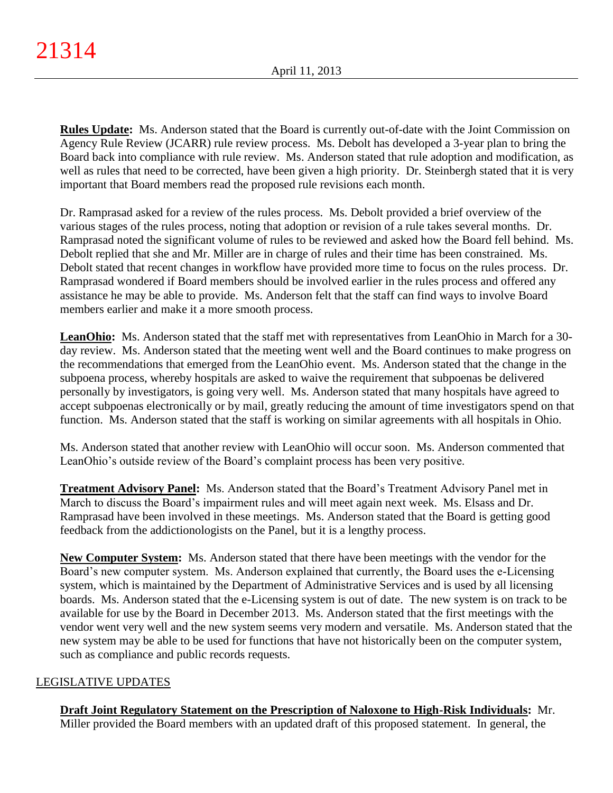**Rules Update:** Ms. Anderson stated that the Board is currently out-of-date with the Joint Commission on Agency Rule Review (JCARR) rule review process. Ms. Debolt has developed a 3-year plan to bring the Board back into compliance with rule review. Ms. Anderson stated that rule adoption and modification, as well as rules that need to be corrected, have been given a high priority. Dr. Steinbergh stated that it is very important that Board members read the proposed rule revisions each month.

Dr. Ramprasad asked for a review of the rules process. Ms. Debolt provided a brief overview of the various stages of the rules process, noting that adoption or revision of a rule takes several months. Dr. Ramprasad noted the significant volume of rules to be reviewed and asked how the Board fell behind. Ms. Debolt replied that she and Mr. Miller are in charge of rules and their time has been constrained. Ms. Debolt stated that recent changes in workflow have provided more time to focus on the rules process. Dr. Ramprasad wondered if Board members should be involved earlier in the rules process and offered any assistance he may be able to provide. Ms. Anderson felt that the staff can find ways to involve Board members earlier and make it a more smooth process.

**LeanOhio:** Ms. Anderson stated that the staff met with representatives from LeanOhio in March for a 30 day review. Ms. Anderson stated that the meeting went well and the Board continues to make progress on the recommendations that emerged from the LeanOhio event. Ms. Anderson stated that the change in the subpoena process, whereby hospitals are asked to waive the requirement that subpoenas be delivered personally by investigators, is going very well. Ms. Anderson stated that many hospitals have agreed to accept subpoenas electronically or by mail, greatly reducing the amount of time investigators spend on that function. Ms. Anderson stated that the staff is working on similar agreements with all hospitals in Ohio.

Ms. Anderson stated that another review with LeanOhio will occur soon. Ms. Anderson commented that LeanOhio's outside review of the Board's complaint process has been very positive.

**Treatment Advisory Panel:** Ms. Anderson stated that the Board's Treatment Advisory Panel met in March to discuss the Board's impairment rules and will meet again next week. Ms. Elsass and Dr. Ramprasad have been involved in these meetings. Ms. Anderson stated that the Board is getting good feedback from the addictionologists on the Panel, but it is a lengthy process.

**New Computer System:** Ms. Anderson stated that there have been meetings with the vendor for the Board's new computer system. Ms. Anderson explained that currently, the Board uses the e-Licensing system, which is maintained by the Department of Administrative Services and is used by all licensing boards. Ms. Anderson stated that the e-Licensing system is out of date. The new system is on track to be available for use by the Board in December 2013. Ms. Anderson stated that the first meetings with the vendor went very well and the new system seems very modern and versatile. Ms. Anderson stated that the new system may be able to be used for functions that have not historically been on the computer system, such as compliance and public records requests.

# LEGISLATIVE UPDATES

**Draft Joint Regulatory Statement on the Prescription of Naloxone to High-Risk Individuals:** Mr. Miller provided the Board members with an updated draft of this proposed statement. In general, the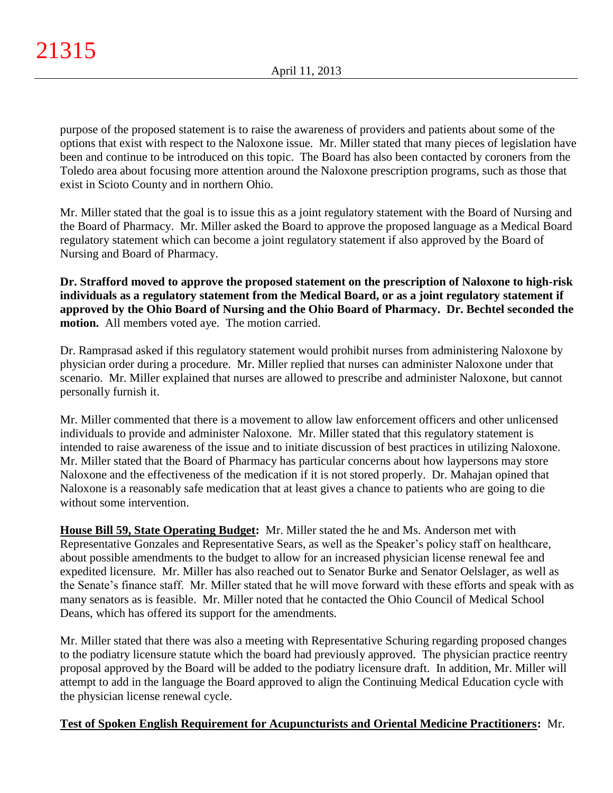purpose of the proposed statement is to raise the awareness of providers and patients about some of the options that exist with respect to the Naloxone issue. Mr. Miller stated that many pieces of legislation have been and continue to be introduced on this topic. The Board has also been contacted by coroners from the Toledo area about focusing more attention around the Naloxone prescription programs, such as those that exist in Scioto County and in northern Ohio.

Mr. Miller stated that the goal is to issue this as a joint regulatory statement with the Board of Nursing and the Board of Pharmacy. Mr. Miller asked the Board to approve the proposed language as a Medical Board regulatory statement which can become a joint regulatory statement if also approved by the Board of Nursing and Board of Pharmacy.

**Dr. Strafford moved to approve the proposed statement on the prescription of Naloxone to high-risk individuals as a regulatory statement from the Medical Board, or as a joint regulatory statement if approved by the Ohio Board of Nursing and the Ohio Board of Pharmacy. Dr. Bechtel seconded the motion.** All members voted aye. The motion carried.

Dr. Ramprasad asked if this regulatory statement would prohibit nurses from administering Naloxone by physician order during a procedure. Mr. Miller replied that nurses can administer Naloxone under that scenario. Mr. Miller explained that nurses are allowed to prescribe and administer Naloxone, but cannot personally furnish it.

Mr. Miller commented that there is a movement to allow law enforcement officers and other unlicensed individuals to provide and administer Naloxone. Mr. Miller stated that this regulatory statement is intended to raise awareness of the issue and to initiate discussion of best practices in utilizing Naloxone. Mr. Miller stated that the Board of Pharmacy has particular concerns about how laypersons may store Naloxone and the effectiveness of the medication if it is not stored properly. Dr. Mahajan opined that Naloxone is a reasonably safe medication that at least gives a chance to patients who are going to die without some intervention.

**House Bill 59, State Operating Budget:** Mr. Miller stated the he and Ms. Anderson met with Representative Gonzales and Representative Sears, as well as the Speaker's policy staff on healthcare, about possible amendments to the budget to allow for an increased physician license renewal fee and expedited licensure. Mr. Miller has also reached out to Senator Burke and Senator Oelslager, as well as the Senate's finance staff. Mr. Miller stated that he will move forward with these efforts and speak with as many senators as is feasible. Mr. Miller noted that he contacted the Ohio Council of Medical School Deans, which has offered its support for the amendments.

Mr. Miller stated that there was also a meeting with Representative Schuring regarding proposed changes to the podiatry licensure statute which the board had previously approved. The physician practice reentry proposal approved by the Board will be added to the podiatry licensure draft. In addition, Mr. Miller will attempt to add in the language the Board approved to align the Continuing Medical Education cycle with the physician license renewal cycle.

# **Test of Spoken English Requirement for Acupuncturists and Oriental Medicine Practitioners:** Mr.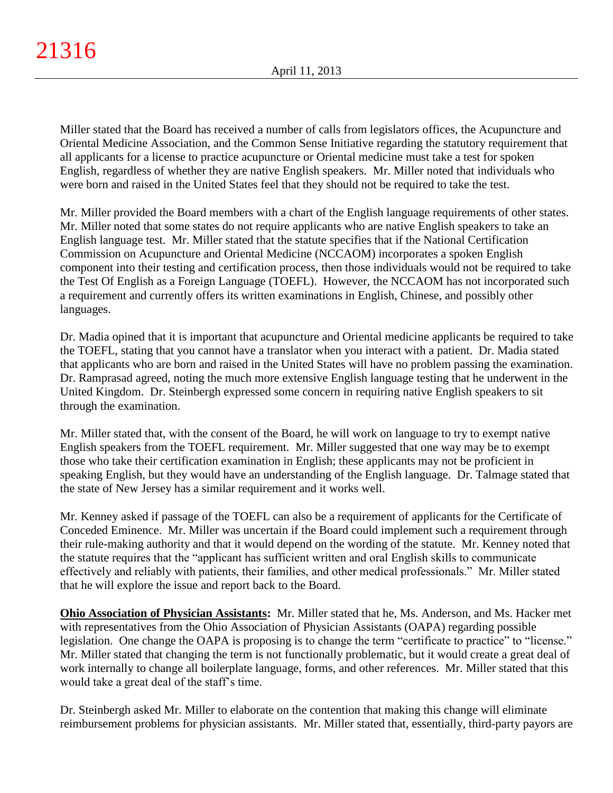Miller stated that the Board has received a number of calls from legislators offices, the Acupuncture and Oriental Medicine Association, and the Common Sense Initiative regarding the statutory requirement that all applicants for a license to practice acupuncture or Oriental medicine must take a test for spoken English, regardless of whether they are native English speakers. Mr. Miller noted that individuals who were born and raised in the United States feel that they should not be required to take the test.

Mr. Miller provided the Board members with a chart of the English language requirements of other states. Mr. Miller noted that some states do not require applicants who are native English speakers to take an English language test. Mr. Miller stated that the statute specifies that if the National Certification Commission on Acupuncture and Oriental Medicine (NCCAOM) incorporates a spoken English component into their testing and certification process, then those individuals would not be required to take the Test Of English as a Foreign Language (TOEFL). However, the NCCAOM has not incorporated such a requirement and currently offers its written examinations in English, Chinese, and possibly other languages.

Dr. Madia opined that it is important that acupuncture and Oriental medicine applicants be required to take the TOEFL, stating that you cannot have a translator when you interact with a patient. Dr. Madia stated that applicants who are born and raised in the United States will have no problem passing the examination. Dr. Ramprasad agreed, noting the much more extensive English language testing that he underwent in the United Kingdom. Dr. Steinbergh expressed some concern in requiring native English speakers to sit through the examination.

Mr. Miller stated that, with the consent of the Board, he will work on language to try to exempt native English speakers from the TOEFL requirement. Mr. Miller suggested that one way may be to exempt those who take their certification examination in English; these applicants may not be proficient in speaking English, but they would have an understanding of the English language. Dr. Talmage stated that the state of New Jersey has a similar requirement and it works well.

Mr. Kenney asked if passage of the TOEFL can also be a requirement of applicants for the Certificate of Conceded Eminence. Mr. Miller was uncertain if the Board could implement such a requirement through their rule-making authority and that it would depend on the wording of the statute. Mr. Kenney noted that the statute requires that the "applicant has sufficient written and oral English skills to communicate effectively and reliably with patients, their families, and other medical professionals." Mr. Miller stated that he will explore the issue and report back to the Board.

**Ohio Association of Physician Assistants:** Mr. Miller stated that he, Ms. Anderson, and Ms. Hacker met with representatives from the Ohio Association of Physician Assistants (OAPA) regarding possible legislation. One change the OAPA is proposing is to change the term "certificate to practice" to "license." Mr. Miller stated that changing the term is not functionally problematic, but it would create a great deal of work internally to change all boilerplate language, forms, and other references. Mr. Miller stated that this would take a great deal of the staff's time.

Dr. Steinbergh asked Mr. Miller to elaborate on the contention that making this change will eliminate reimbursement problems for physician assistants. Mr. Miller stated that, essentially, third-party payors are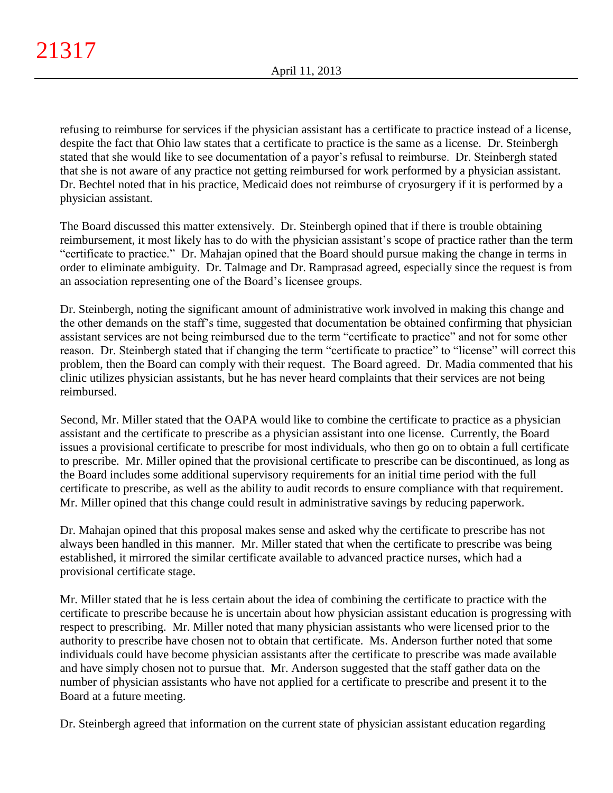refusing to reimburse for services if the physician assistant has a certificate to practice instead of a license, despite the fact that Ohio law states that a certificate to practice is the same as a license. Dr. Steinbergh stated that she would like to see documentation of a payor's refusal to reimburse. Dr. Steinbergh stated that she is not aware of any practice not getting reimbursed for work performed by a physician assistant. Dr. Bechtel noted that in his practice, Medicaid does not reimburse of cryosurgery if it is performed by a physician assistant.

The Board discussed this matter extensively. Dr. Steinbergh opined that if there is trouble obtaining reimbursement, it most likely has to do with the physician assistant's scope of practice rather than the term "certificate to practice." Dr. Mahajan opined that the Board should pursue making the change in terms in order to eliminate ambiguity. Dr. Talmage and Dr. Ramprasad agreed, especially since the request is from an association representing one of the Board's licensee groups.

Dr. Steinbergh, noting the significant amount of administrative work involved in making this change and the other demands on the staff's time, suggested that documentation be obtained confirming that physician assistant services are not being reimbursed due to the term "certificate to practice" and not for some other reason. Dr. Steinbergh stated that if changing the term "certificate to practice" to "license" will correct this problem, then the Board can comply with their request. The Board agreed. Dr. Madia commented that his clinic utilizes physician assistants, but he has never heard complaints that their services are not being reimbursed.

Second, Mr. Miller stated that the OAPA would like to combine the certificate to practice as a physician assistant and the certificate to prescribe as a physician assistant into one license. Currently, the Board issues a provisional certificate to prescribe for most individuals, who then go on to obtain a full certificate to prescribe. Mr. Miller opined that the provisional certificate to prescribe can be discontinued, as long as the Board includes some additional supervisory requirements for an initial time period with the full certificate to prescribe, as well as the ability to audit records to ensure compliance with that requirement. Mr. Miller opined that this change could result in administrative savings by reducing paperwork.

Dr. Mahajan opined that this proposal makes sense and asked why the certificate to prescribe has not always been handled in this manner. Mr. Miller stated that when the certificate to prescribe was being established, it mirrored the similar certificate available to advanced practice nurses, which had a provisional certificate stage.

Mr. Miller stated that he is less certain about the idea of combining the certificate to practice with the certificate to prescribe because he is uncertain about how physician assistant education is progressing with respect to prescribing. Mr. Miller noted that many physician assistants who were licensed prior to the authority to prescribe have chosen not to obtain that certificate. Ms. Anderson further noted that some individuals could have become physician assistants after the certificate to prescribe was made available and have simply chosen not to pursue that. Mr. Anderson suggested that the staff gather data on the number of physician assistants who have not applied for a certificate to prescribe and present it to the Board at a future meeting.

Dr. Steinbergh agreed that information on the current state of physician assistant education regarding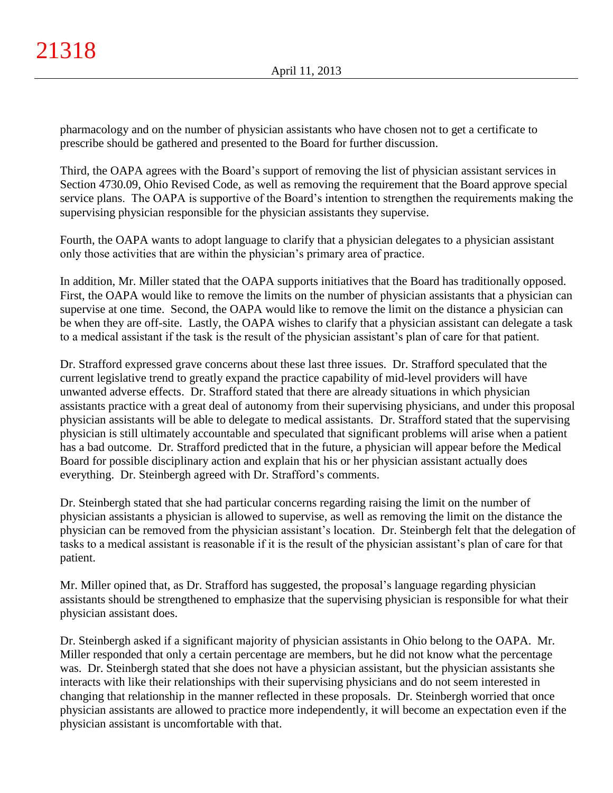pharmacology and on the number of physician assistants who have chosen not to get a certificate to prescribe should be gathered and presented to the Board for further discussion.

Third, the OAPA agrees with the Board's support of removing the list of physician assistant services in Section 4730.09, Ohio Revised Code, as well as removing the requirement that the Board approve special service plans. The OAPA is supportive of the Board's intention to strengthen the requirements making the supervising physician responsible for the physician assistants they supervise.

Fourth, the OAPA wants to adopt language to clarify that a physician delegates to a physician assistant only those activities that are within the physician's primary area of practice.

In addition, Mr. Miller stated that the OAPA supports initiatives that the Board has traditionally opposed. First, the OAPA would like to remove the limits on the number of physician assistants that a physician can supervise at one time. Second, the OAPA would like to remove the limit on the distance a physician can be when they are off-site. Lastly, the OAPA wishes to clarify that a physician assistant can delegate a task to a medical assistant if the task is the result of the physician assistant's plan of care for that patient.

Dr. Strafford expressed grave concerns about these last three issues. Dr. Strafford speculated that the current legislative trend to greatly expand the practice capability of mid-level providers will have unwanted adverse effects. Dr. Strafford stated that there are already situations in which physician assistants practice with a great deal of autonomy from their supervising physicians, and under this proposal physician assistants will be able to delegate to medical assistants. Dr. Strafford stated that the supervising physician is still ultimately accountable and speculated that significant problems will arise when a patient has a bad outcome. Dr. Strafford predicted that in the future, a physician will appear before the Medical Board for possible disciplinary action and explain that his or her physician assistant actually does everything. Dr. Steinbergh agreed with Dr. Strafford's comments.

Dr. Steinbergh stated that she had particular concerns regarding raising the limit on the number of physician assistants a physician is allowed to supervise, as well as removing the limit on the distance the physician can be removed from the physician assistant's location. Dr. Steinbergh felt that the delegation of tasks to a medical assistant is reasonable if it is the result of the physician assistant's plan of care for that patient.

Mr. Miller opined that, as Dr. Strafford has suggested, the proposal's language regarding physician assistants should be strengthened to emphasize that the supervising physician is responsible for what their physician assistant does.

Dr. Steinbergh asked if a significant majority of physician assistants in Ohio belong to the OAPA. Mr. Miller responded that only a certain percentage are members, but he did not know what the percentage was. Dr. Steinbergh stated that she does not have a physician assistant, but the physician assistants she interacts with like their relationships with their supervising physicians and do not seem interested in changing that relationship in the manner reflected in these proposals. Dr. Steinbergh worried that once physician assistants are allowed to practice more independently, it will become an expectation even if the physician assistant is uncomfortable with that.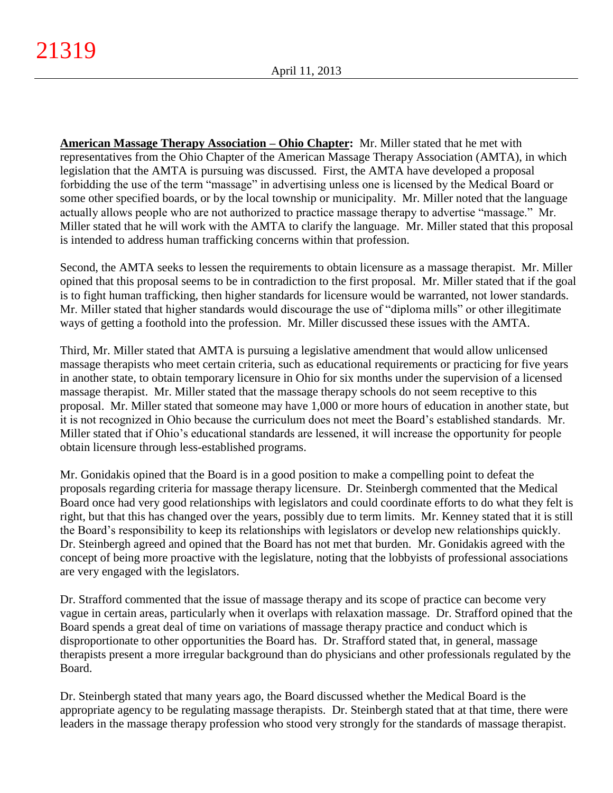**American Massage Therapy Association – Ohio Chapter:** Mr. Miller stated that he met with representatives from the Ohio Chapter of the American Massage Therapy Association (AMTA), in which legislation that the AMTA is pursuing was discussed. First, the AMTA have developed a proposal forbidding the use of the term "massage" in advertising unless one is licensed by the Medical Board or some other specified boards, or by the local township or municipality. Mr. Miller noted that the language actually allows people who are not authorized to practice massage therapy to advertise "massage." Mr. Miller stated that he will work with the AMTA to clarify the language. Mr. Miller stated that this proposal is intended to address human trafficking concerns within that profession.

Second, the AMTA seeks to lessen the requirements to obtain licensure as a massage therapist. Mr. Miller opined that this proposal seems to be in contradiction to the first proposal. Mr. Miller stated that if the goal is to fight human trafficking, then higher standards for licensure would be warranted, not lower standards. Mr. Miller stated that higher standards would discourage the use of "diploma mills" or other illegitimate ways of getting a foothold into the profession. Mr. Miller discussed these issues with the AMTA.

Third, Mr. Miller stated that AMTA is pursuing a legislative amendment that would allow unlicensed massage therapists who meet certain criteria, such as educational requirements or practicing for five years in another state, to obtain temporary licensure in Ohio for six months under the supervision of a licensed massage therapist. Mr. Miller stated that the massage therapy schools do not seem receptive to this proposal. Mr. Miller stated that someone may have 1,000 or more hours of education in another state, but it is not recognized in Ohio because the curriculum does not meet the Board's established standards. Mr. Miller stated that if Ohio's educational standards are lessened, it will increase the opportunity for people obtain licensure through less-established programs.

Mr. Gonidakis opined that the Board is in a good position to make a compelling point to defeat the proposals regarding criteria for massage therapy licensure. Dr. Steinbergh commented that the Medical Board once had very good relationships with legislators and could coordinate efforts to do what they felt is right, but that this has changed over the years, possibly due to term limits. Mr. Kenney stated that it is still the Board's responsibility to keep its relationships with legislators or develop new relationships quickly. Dr. Steinbergh agreed and opined that the Board has not met that burden. Mr. Gonidakis agreed with the concept of being more proactive with the legislature, noting that the lobbyists of professional associations are very engaged with the legislators.

Dr. Strafford commented that the issue of massage therapy and its scope of practice can become very vague in certain areas, particularly when it overlaps with relaxation massage. Dr. Strafford opined that the Board spends a great deal of time on variations of massage therapy practice and conduct which is disproportionate to other opportunities the Board has. Dr. Strafford stated that, in general, massage therapists present a more irregular background than do physicians and other professionals regulated by the Board.

Dr. Steinbergh stated that many years ago, the Board discussed whether the Medical Board is the appropriate agency to be regulating massage therapists. Dr. Steinbergh stated that at that time, there were leaders in the massage therapy profession who stood very strongly for the standards of massage therapist.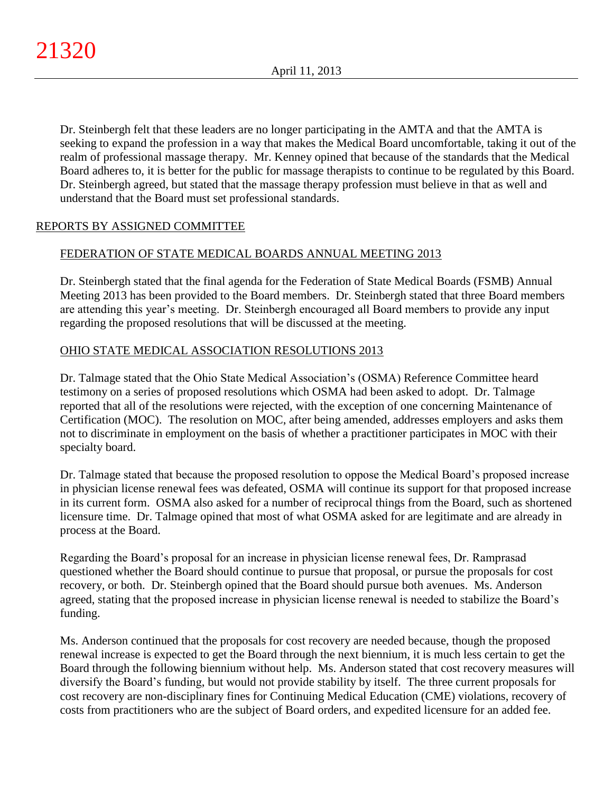Dr. Steinbergh felt that these leaders are no longer participating in the AMTA and that the AMTA is seeking to expand the profession in a way that makes the Medical Board uncomfortable, taking it out of the realm of professional massage therapy. Mr. Kenney opined that because of the standards that the Medical Board adheres to, it is better for the public for massage therapists to continue to be regulated by this Board. Dr. Steinbergh agreed, but stated that the massage therapy profession must believe in that as well and understand that the Board must set professional standards.

# REPORTS BY ASSIGNED COMMITTEE

# FEDERATION OF STATE MEDICAL BOARDS ANNUAL MEETING 2013

Dr. Steinbergh stated that the final agenda for the Federation of State Medical Boards (FSMB) Annual Meeting 2013 has been provided to the Board members. Dr. Steinbergh stated that three Board members are attending this year's meeting. Dr. Steinbergh encouraged all Board members to provide any input regarding the proposed resolutions that will be discussed at the meeting.

# OHIO STATE MEDICAL ASSOCIATION RESOLUTIONS 2013

Dr. Talmage stated that the Ohio State Medical Association's (OSMA) Reference Committee heard testimony on a series of proposed resolutions which OSMA had been asked to adopt. Dr. Talmage reported that all of the resolutions were rejected, with the exception of one concerning Maintenance of Certification (MOC). The resolution on MOC, after being amended, addresses employers and asks them not to discriminate in employment on the basis of whether a practitioner participates in MOC with their specialty board.

Dr. Talmage stated that because the proposed resolution to oppose the Medical Board's proposed increase in physician license renewal fees was defeated, OSMA will continue its support for that proposed increase in its current form. OSMA also asked for a number of reciprocal things from the Board, such as shortened licensure time. Dr. Talmage opined that most of what OSMA asked for are legitimate and are already in process at the Board.

Regarding the Board's proposal for an increase in physician license renewal fees, Dr. Ramprasad questioned whether the Board should continue to pursue that proposal, or pursue the proposals for cost recovery, or both. Dr. Steinbergh opined that the Board should pursue both avenues. Ms. Anderson agreed, stating that the proposed increase in physician license renewal is needed to stabilize the Board's funding.

Ms. Anderson continued that the proposals for cost recovery are needed because, though the proposed renewal increase is expected to get the Board through the next biennium, it is much less certain to get the Board through the following biennium without help. Ms. Anderson stated that cost recovery measures will diversify the Board's funding, but would not provide stability by itself. The three current proposals for cost recovery are non-disciplinary fines for Continuing Medical Education (CME) violations, recovery of costs from practitioners who are the subject of Board orders, and expedited licensure for an added fee.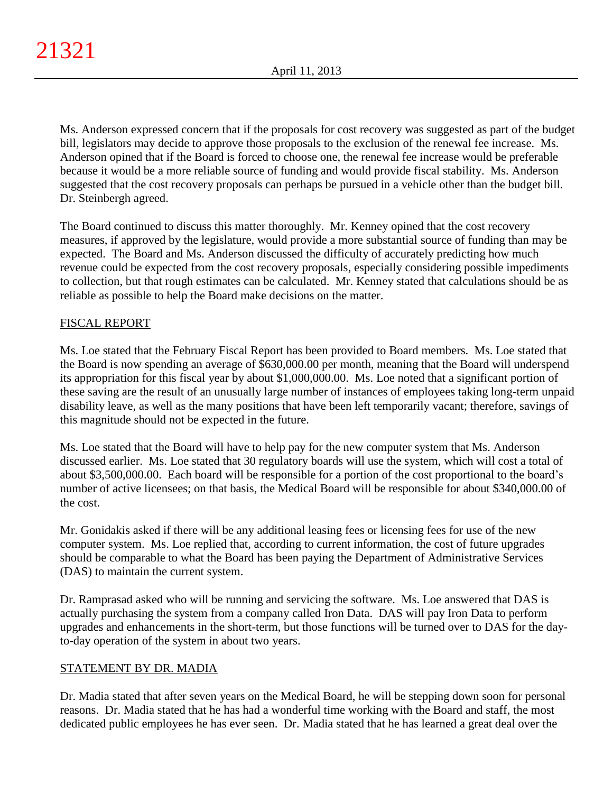Ms. Anderson expressed concern that if the proposals for cost recovery was suggested as part of the budget bill, legislators may decide to approve those proposals to the exclusion of the renewal fee increase. Ms. Anderson opined that if the Board is forced to choose one, the renewal fee increase would be preferable because it would be a more reliable source of funding and would provide fiscal stability. Ms. Anderson suggested that the cost recovery proposals can perhaps be pursued in a vehicle other than the budget bill. Dr. Steinbergh agreed.

The Board continued to discuss this matter thoroughly. Mr. Kenney opined that the cost recovery measures, if approved by the legislature, would provide a more substantial source of funding than may be expected. The Board and Ms. Anderson discussed the difficulty of accurately predicting how much revenue could be expected from the cost recovery proposals, especially considering possible impediments to collection, but that rough estimates can be calculated. Mr. Kenney stated that calculations should be as reliable as possible to help the Board make decisions on the matter.

# FISCAL REPORT

Ms. Loe stated that the February Fiscal Report has been provided to Board members. Ms. Loe stated that the Board is now spending an average of \$630,000.00 per month, meaning that the Board will underspend its appropriation for this fiscal year by about \$1,000,000.00. Ms. Loe noted that a significant portion of these saving are the result of an unusually large number of instances of employees taking long-term unpaid disability leave, as well as the many positions that have been left temporarily vacant; therefore, savings of this magnitude should not be expected in the future.

Ms. Loe stated that the Board will have to help pay for the new computer system that Ms. Anderson discussed earlier. Ms. Loe stated that 30 regulatory boards will use the system, which will cost a total of about \$3,500,000.00. Each board will be responsible for a portion of the cost proportional to the board's number of active licensees; on that basis, the Medical Board will be responsible for about \$340,000.00 of the cost.

Mr. Gonidakis asked if there will be any additional leasing fees or licensing fees for use of the new computer system. Ms. Loe replied that, according to current information, the cost of future upgrades should be comparable to what the Board has been paying the Department of Administrative Services (DAS) to maintain the current system.

Dr. Ramprasad asked who will be running and servicing the software. Ms. Loe answered that DAS is actually purchasing the system from a company called Iron Data. DAS will pay Iron Data to perform upgrades and enhancements in the short-term, but those functions will be turned over to DAS for the dayto-day operation of the system in about two years.

# STATEMENT BY DR. MADIA

Dr. Madia stated that after seven years on the Medical Board, he will be stepping down soon for personal reasons. Dr. Madia stated that he has had a wonderful time working with the Board and staff, the most dedicated public employees he has ever seen. Dr. Madia stated that he has learned a great deal over the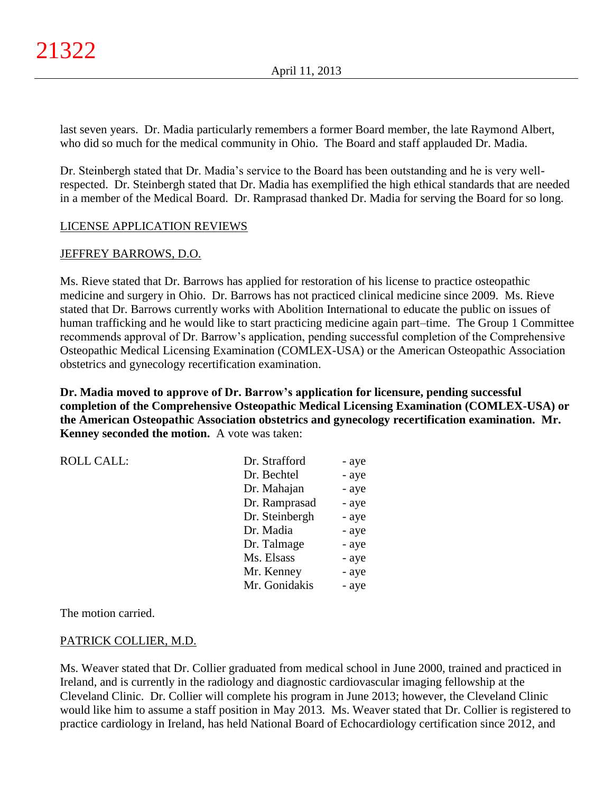last seven years. Dr. Madia particularly remembers a former Board member, the late Raymond Albert, who did so much for the medical community in Ohio. The Board and staff applauded Dr. Madia.

Dr. Steinbergh stated that Dr. Madia's service to the Board has been outstanding and he is very wellrespected. Dr. Steinbergh stated that Dr. Madia has exemplified the high ethical standards that are needed in a member of the Medical Board. Dr. Ramprasad thanked Dr. Madia for serving the Board for so long.

# LICENSE APPLICATION REVIEWS

# JEFFREY BARROWS, D.O.

Ms. Rieve stated that Dr. Barrows has applied for restoration of his license to practice osteopathic medicine and surgery in Ohio. Dr. Barrows has not practiced clinical medicine since 2009. Ms. Rieve stated that Dr. Barrows currently works with Abolition International to educate the public on issues of human trafficking and he would like to start practicing medicine again part–time. The Group 1 Committee recommends approval of Dr. Barrow's application, pending successful completion of the Comprehensive Osteopathic Medical Licensing Examination (COMLEX-USA) or the American Osteopathic Association obstetrics and gynecology recertification examination.

**Dr. Madia moved to approve of Dr. Barrow's application for licensure, pending successful completion of the Comprehensive Osteopathic Medical Licensing Examination (COMLEX-USA) or the American Osteopathic Association obstetrics and gynecology recertification examination. Mr. Kenney seconded the motion.** A vote was taken:

| <b>ROLL CALL:</b> | Dr. Strafford  | - aye |
|-------------------|----------------|-------|
|                   | Dr. Bechtel    | - aye |
|                   | Dr. Mahajan    | - aye |
|                   | Dr. Ramprasad  | - aye |
|                   | Dr. Steinbergh | - aye |
|                   | Dr. Madia      | - aye |
|                   | Dr. Talmage    | - aye |
|                   | Ms. Elsass     | - aye |
|                   | Mr. Kenney     | - aye |
|                   | Mr. Gonidakis  | - aye |

The motion carried.

## PATRICK COLLIER, M.D.

Ms. Weaver stated that Dr. Collier graduated from medical school in June 2000, trained and practiced in Ireland, and is currently in the radiology and diagnostic cardiovascular imaging fellowship at the Cleveland Clinic. Dr. Collier will complete his program in June 2013; however, the Cleveland Clinic would like him to assume a staff position in May 2013. Ms. Weaver stated that Dr. Collier is registered to practice cardiology in Ireland, has held National Board of Echocardiology certification since 2012, and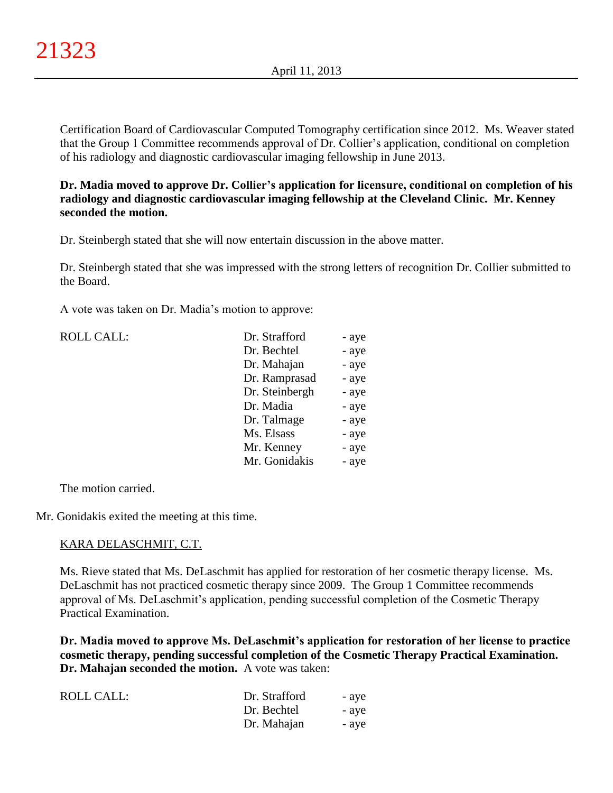Certification Board of Cardiovascular Computed Tomography certification since 2012. Ms. Weaver stated that the Group 1 Committee recommends approval of Dr. Collier's application, conditional on completion of his radiology and diagnostic cardiovascular imaging fellowship in June 2013.

## **Dr. Madia moved to approve Dr. Collier's application for licensure, conditional on completion of his radiology and diagnostic cardiovascular imaging fellowship at the Cleveland Clinic. Mr. Kenney seconded the motion.**

Dr. Steinbergh stated that she will now entertain discussion in the above matter.

Dr. Steinbergh stated that she was impressed with the strong letters of recognition Dr. Collier submitted to the Board.

A vote was taken on Dr. Madia's motion to approve:

| <b>ROLL CALL:</b> | Dr. Strafford  | - aye |
|-------------------|----------------|-------|
|                   | Dr. Bechtel    | - aye |
|                   | Dr. Mahajan    | - aye |
|                   | Dr. Ramprasad  | - aye |
|                   | Dr. Steinbergh | - aye |
|                   | Dr. Madia      | - aye |
|                   | Dr. Talmage    | - aye |
|                   | Ms. Elsass     | - aye |
|                   | Mr. Kenney     | - aye |
|                   | Mr. Gonidakis  | - aye |
|                   |                |       |

The motion carried.

Mr. Gonidakis exited the meeting at this time.

#### KARA DELASCHMIT, C.T.

Ms. Rieve stated that Ms. DeLaschmit has applied for restoration of her cosmetic therapy license. Ms. DeLaschmit has not practiced cosmetic therapy since 2009. The Group 1 Committee recommends approval of Ms. DeLaschmit's application, pending successful completion of the Cosmetic Therapy Practical Examination.

**Dr. Madia moved to approve Ms. DeLaschmit's application for restoration of her license to practice cosmetic therapy, pending successful completion of the Cosmetic Therapy Practical Examination. Dr. Mahajan seconded the motion.** A vote was taken:

| <b>ROLL CALL:</b> | Dr. Strafford | - ave |
|-------------------|---------------|-------|
|                   | Dr. Bechtel   | - ave |
|                   | Dr. Mahajan   | - ave |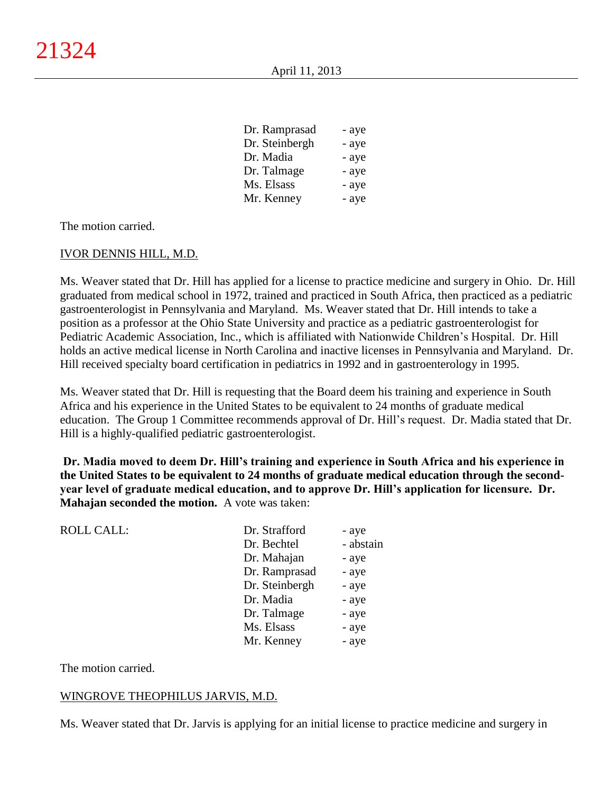| - aye |
|-------|
| - aye |
| - aye |
| - aye |
| - aye |
| - aye |
|       |

The motion carried.

## IVOR DENNIS HILL, M.D.

Ms. Weaver stated that Dr. Hill has applied for a license to practice medicine and surgery in Ohio. Dr. Hill graduated from medical school in 1972, trained and practiced in South Africa, then practiced as a pediatric gastroenterologist in Pennsylvania and Maryland. Ms. Weaver stated that Dr. Hill intends to take a position as a professor at the Ohio State University and practice as a pediatric gastroenterologist for Pediatric Academic Association, Inc., which is affiliated with Nationwide Children's Hospital. Dr. Hill holds an active medical license in North Carolina and inactive licenses in Pennsylvania and Maryland. Dr. Hill received specialty board certification in pediatrics in 1992 and in gastroenterology in 1995.

Ms. Weaver stated that Dr. Hill is requesting that the Board deem his training and experience in South Africa and his experience in the United States to be equivalent to 24 months of graduate medical education. The Group 1 Committee recommends approval of Dr. Hill's request. Dr. Madia stated that Dr. Hill is a highly-qualified pediatric gastroenterologist.

**Dr. Madia moved to deem Dr. Hill's training and experience in South Africa and his experience in the United States to be equivalent to 24 months of graduate medical education through the secondyear level of graduate medical education, and to approve Dr. Hill's application for licensure. Dr. Mahajan seconded the motion.** A vote was taken:

| <b>ROLL CALL:</b> | Dr. Strafford  | - aye     |
|-------------------|----------------|-----------|
|                   | Dr. Bechtel    | - abstain |
|                   | Dr. Mahajan    | - aye     |
|                   | Dr. Ramprasad  | - aye     |
|                   | Dr. Steinbergh | - aye     |
|                   | Dr. Madia      | - aye     |
|                   | Dr. Talmage    | - aye     |
|                   | Ms. Elsass     | - aye     |
|                   | Mr. Kenney     | - aye     |
|                   |                |           |

The motion carried.

#### WINGROVE THEOPHILUS JARVIS, M.D.

Ms. Weaver stated that Dr. Jarvis is applying for an initial license to practice medicine and surgery in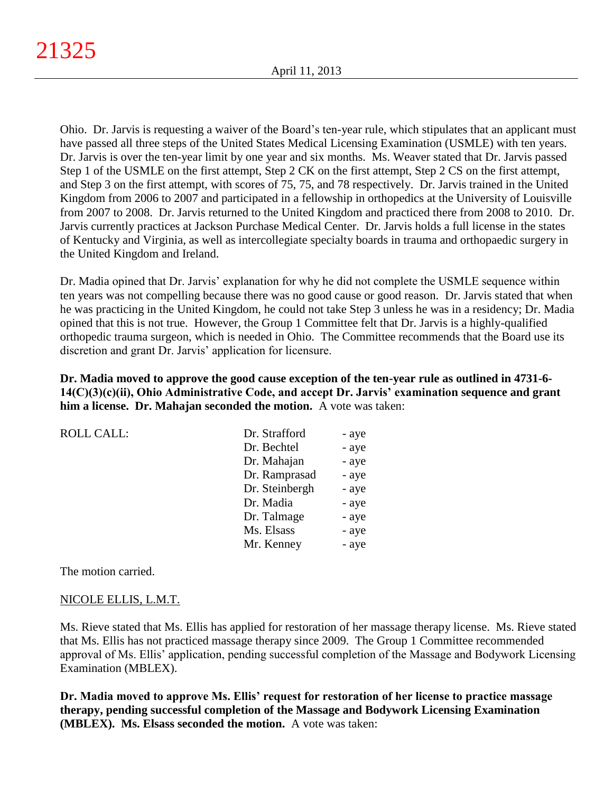Ohio. Dr. Jarvis is requesting a waiver of the Board's ten-year rule, which stipulates that an applicant must have passed all three steps of the United States Medical Licensing Examination (USMLE) with ten years. Dr. Jarvis is over the ten-year limit by one year and six months. Ms. Weaver stated that Dr. Jarvis passed Step 1 of the USMLE on the first attempt, Step 2 CK on the first attempt, Step 2 CS on the first attempt, and Step 3 on the first attempt, with scores of 75, 75, and 78 respectively. Dr. Jarvis trained in the United Kingdom from 2006 to 2007 and participated in a fellowship in orthopedics at the University of Louisville from 2007 to 2008. Dr. Jarvis returned to the United Kingdom and practiced there from 2008 to 2010. Dr. Jarvis currently practices at Jackson Purchase Medical Center. Dr. Jarvis holds a full license in the states of Kentucky and Virginia, as well as intercollegiate specialty boards in trauma and orthopaedic surgery in the United Kingdom and Ireland.

Dr. Madia opined that Dr. Jarvis' explanation for why he did not complete the USMLE sequence within ten years was not compelling because there was no good cause or good reason. Dr. Jarvis stated that when he was practicing in the United Kingdom, he could not take Step 3 unless he was in a residency; Dr. Madia opined that this is not true. However, the Group 1 Committee felt that Dr. Jarvis is a highly-qualified orthopedic trauma surgeon, which is needed in Ohio. The Committee recommends that the Board use its discretion and grant Dr. Jarvis' application for licensure.

**Dr. Madia moved to approve the good cause exception of the ten-year rule as outlined in 4731-6- 14(C)(3)(c)(ii), Ohio Administrative Code, and accept Dr. Jarvis' examination sequence and grant him a license. Dr. Mahajan seconded the motion.** A vote was taken:

| <b>ROLL CALL:</b> | Dr. Strafford  | - aye |
|-------------------|----------------|-------|
|                   | Dr. Bechtel    | - aye |
|                   | Dr. Mahajan    | - aye |
|                   | Dr. Ramprasad  | - aye |
|                   | Dr. Steinbergh | - aye |
|                   | Dr. Madia      | - aye |
|                   | Dr. Talmage    | - aye |
|                   | Ms. Elsass     | - aye |
|                   | Mr. Kenney     | - aye |
|                   |                |       |

The motion carried.

#### NICOLE ELLIS, L.M.T.

Ms. Rieve stated that Ms. Ellis has applied for restoration of her massage therapy license. Ms. Rieve stated that Ms. Ellis has not practiced massage therapy since 2009. The Group 1 Committee recommended approval of Ms. Ellis' application, pending successful completion of the Massage and Bodywork Licensing Examination (MBLEX).

**Dr. Madia moved to approve Ms. Ellis' request for restoration of her license to practice massage therapy, pending successful completion of the Massage and Bodywork Licensing Examination (MBLEX). Ms. Elsass seconded the motion.** A vote was taken: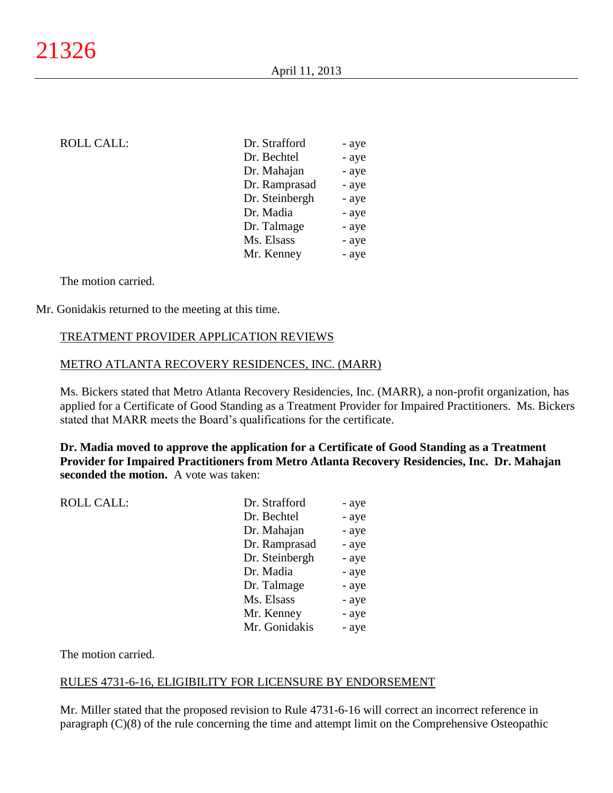## ROLL CALL:

| Dr. Strafford  | - aye |
|----------------|-------|
| Dr. Bechtel    | - aye |
| Dr. Mahajan    | - aye |
| Dr. Ramprasad  | - aye |
| Dr. Steinbergh | - aye |
| Dr. Madia      | - aye |
| Dr. Talmage    | - aye |
| Ms. Elsass     | - aye |
| Mr. Kenney     | - aye |
|                |       |

The motion carried.

Mr. Gonidakis returned to the meeting at this time.

## TREATMENT PROVIDER APPLICATION REVIEWS

#### METRO ATLANTA RECOVERY RESIDENCES, INC. (MARR)

Ms. Bickers stated that Metro Atlanta Recovery Residencies, Inc. (MARR), a non-profit organization, has applied for a Certificate of Good Standing as a Treatment Provider for Impaired Practitioners. Ms. Bickers stated that MARR meets the Board's qualifications for the certificate.

**Dr. Madia moved to approve the application for a Certificate of Good Standing as a Treatment Provider for Impaired Practitioners from Metro Atlanta Recovery Residencies, Inc. Dr. Mahajan seconded the motion.** A vote was taken:

| <b>ROLL CALL:</b> | Dr. Strafford  | - aye |
|-------------------|----------------|-------|
|                   | Dr. Bechtel    | - aye |
|                   | Dr. Mahajan    | - aye |
|                   | Dr. Ramprasad  | - aye |
|                   | Dr. Steinbergh | - aye |
|                   | Dr. Madia      | - aye |
|                   | Dr. Talmage    | - aye |
|                   | Ms. Elsass     | - aye |
|                   | Mr. Kenney     | - aye |
|                   | Mr. Gonidakis  | - aye |
|                   |                |       |

The motion carried.

#### RULES 4731-6-16, ELIGIBILITY FOR LICENSURE BY ENDORSEMENT

Mr. Miller stated that the proposed revision to Rule 4731-6-16 will correct an incorrect reference in paragraph (C)(8) of the rule concerning the time and attempt limit on the Comprehensive Osteopathic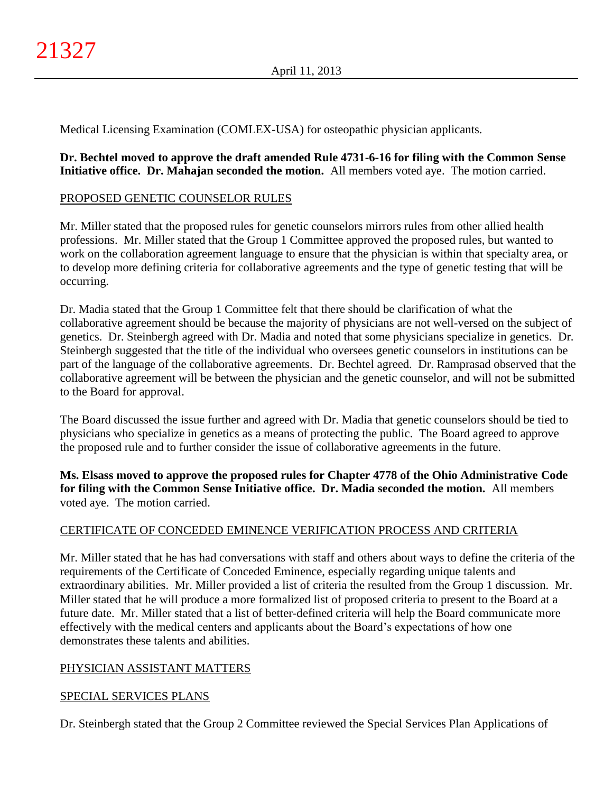Medical Licensing Examination (COMLEX-USA) for osteopathic physician applicants.

**Dr. Bechtel moved to approve the draft amended Rule 4731-6-16 for filing with the Common Sense Initiative office. Dr. Mahajan seconded the motion.** All members voted aye. The motion carried.

## PROPOSED GENETIC COUNSELOR RULES

Mr. Miller stated that the proposed rules for genetic counselors mirrors rules from other allied health professions. Mr. Miller stated that the Group 1 Committee approved the proposed rules, but wanted to work on the collaboration agreement language to ensure that the physician is within that specialty area, or to develop more defining criteria for collaborative agreements and the type of genetic testing that will be occurring.

Dr. Madia stated that the Group 1 Committee felt that there should be clarification of what the collaborative agreement should be because the majority of physicians are not well-versed on the subject of genetics. Dr. Steinbergh agreed with Dr. Madia and noted that some physicians specialize in genetics. Dr. Steinbergh suggested that the title of the individual who oversees genetic counselors in institutions can be part of the language of the collaborative agreements. Dr. Bechtel agreed. Dr. Ramprasad observed that the collaborative agreement will be between the physician and the genetic counselor, and will not be submitted to the Board for approval.

The Board discussed the issue further and agreed with Dr. Madia that genetic counselors should be tied to physicians who specialize in genetics as a means of protecting the public. The Board agreed to approve the proposed rule and to further consider the issue of collaborative agreements in the future.

**Ms. Elsass moved to approve the proposed rules for Chapter 4778 of the Ohio Administrative Code for filing with the Common Sense Initiative office. Dr. Madia seconded the motion.** All members voted aye. The motion carried.

## CERTIFICATE OF CONCEDED EMINENCE VERIFICATION PROCESS AND CRITERIA

Mr. Miller stated that he has had conversations with staff and others about ways to define the criteria of the requirements of the Certificate of Conceded Eminence, especially regarding unique talents and extraordinary abilities. Mr. Miller provided a list of criteria the resulted from the Group 1 discussion. Mr. Miller stated that he will produce a more formalized list of proposed criteria to present to the Board at a future date. Mr. Miller stated that a list of better-defined criteria will help the Board communicate more effectively with the medical centers and applicants about the Board's expectations of how one demonstrates these talents and abilities.

## PHYSICIAN ASSISTANT MATTERS

## SPECIAL SERVICES PLANS

Dr. Steinbergh stated that the Group 2 Committee reviewed the Special Services Plan Applications of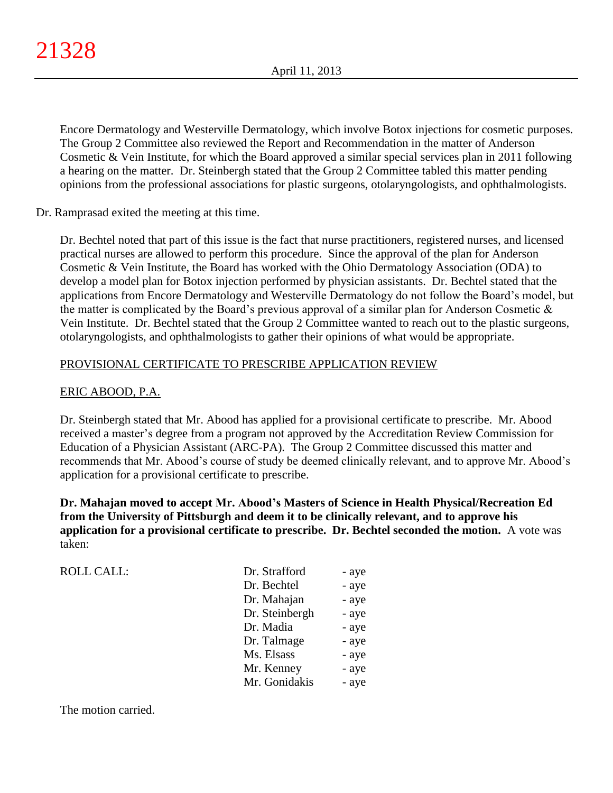Encore Dermatology and Westerville Dermatology, which involve Botox injections for cosmetic purposes. The Group 2 Committee also reviewed the Report and Recommendation in the matter of Anderson Cosmetic & Vein Institute, for which the Board approved a similar special services plan in 2011 following a hearing on the matter. Dr. Steinbergh stated that the Group 2 Committee tabled this matter pending opinions from the professional associations for plastic surgeons, otolaryngologists, and ophthalmologists.

Dr. Ramprasad exited the meeting at this time.

Dr. Bechtel noted that part of this issue is the fact that nurse practitioners, registered nurses, and licensed practical nurses are allowed to perform this procedure. Since the approval of the plan for Anderson Cosmetic & Vein Institute, the Board has worked with the Ohio Dermatology Association (ODA) to develop a model plan for Botox injection performed by physician assistants. Dr. Bechtel stated that the applications from Encore Dermatology and Westerville Dermatology do not follow the Board's model, but the matter is complicated by the Board's previous approval of a similar plan for Anderson Cosmetic & Vein Institute. Dr. Bechtel stated that the Group 2 Committee wanted to reach out to the plastic surgeons, otolaryngologists, and ophthalmologists to gather their opinions of what would be appropriate.

## PROVISIONAL CERTIFICATE TO PRESCRIBE APPLICATION REVIEW

# ERIC ABOOD, P.A.

Dr. Steinbergh stated that Mr. Abood has applied for a provisional certificate to prescribe. Mr. Abood received a master's degree from a program not approved by the Accreditation Review Commission for Education of a Physician Assistant (ARC-PA). The Group 2 Committee discussed this matter and recommends that Mr. Abood's course of study be deemed clinically relevant, and to approve Mr. Abood's application for a provisional certificate to prescribe.

**Dr. Mahajan moved to accept Mr. Abood's Masters of Science in Health Physical/Recreation Ed from the University of Pittsburgh and deem it to be clinically relevant, and to approve his application for a provisional certificate to prescribe. Dr. Bechtel seconded the motion.** A vote was taken:

| <b>ROLL CALL:</b> | Dr. Strafford  | - aye |
|-------------------|----------------|-------|
|                   | Dr. Bechtel    | - aye |
|                   | Dr. Mahajan    | - aye |
|                   | Dr. Steinbergh | - aye |
|                   | Dr. Madia      | - aye |
|                   | Dr. Talmage    | - aye |
|                   | Ms. Elsass     | - aye |
|                   | Mr. Kenney     | - aye |
|                   | Mr. Gonidakis  | - aye |

The motion carried.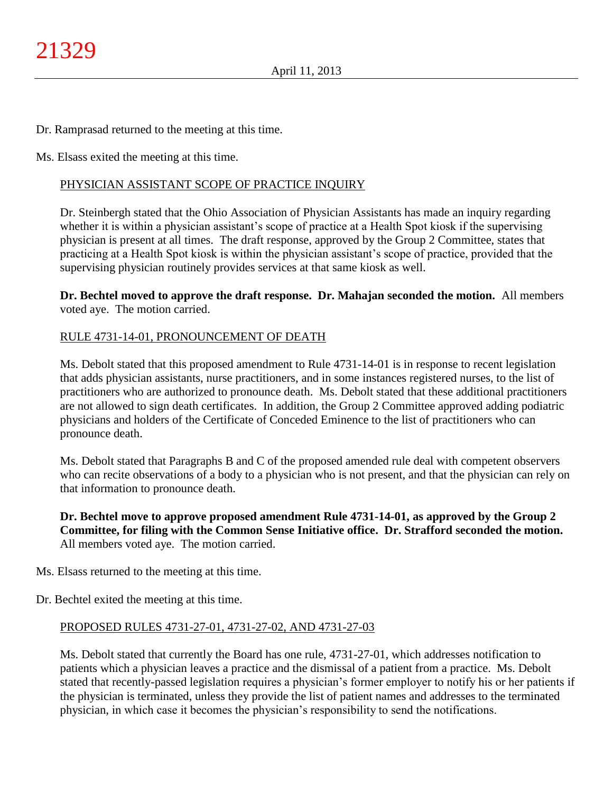Dr. Ramprasad returned to the meeting at this time.

Ms. Elsass exited the meeting at this time.

## PHYSICIAN ASSISTANT SCOPE OF PRACTICE INQUIRY

Dr. Steinbergh stated that the Ohio Association of Physician Assistants has made an inquiry regarding whether it is within a physician assistant's scope of practice at a Health Spot kiosk if the supervising physician is present at all times. The draft response, approved by the Group 2 Committee, states that practicing at a Health Spot kiosk is within the physician assistant's scope of practice, provided that the supervising physician routinely provides services at that same kiosk as well.

**Dr. Bechtel moved to approve the draft response. Dr. Mahajan seconded the motion.** All members voted aye. The motion carried.

#### RULE 4731-14-01, PRONOUNCEMENT OF DEATH

Ms. Debolt stated that this proposed amendment to Rule 4731-14-01 is in response to recent legislation that adds physician assistants, nurse practitioners, and in some instances registered nurses, to the list of practitioners who are authorized to pronounce death. Ms. Debolt stated that these additional practitioners are not allowed to sign death certificates. In addition, the Group 2 Committee approved adding podiatric physicians and holders of the Certificate of Conceded Eminence to the list of practitioners who can pronounce death.

Ms. Debolt stated that Paragraphs B and C of the proposed amended rule deal with competent observers who can recite observations of a body to a physician who is not present, and that the physician can rely on that information to pronounce death.

**Dr. Bechtel move to approve proposed amendment Rule 4731-14-01, as approved by the Group 2 Committee, for filing with the Common Sense Initiative office. Dr. Strafford seconded the motion.** All members voted aye. The motion carried.

Ms. Elsass returned to the meeting at this time.

Dr. Bechtel exited the meeting at this time.

#### PROPOSED RULES 4731-27-01, 4731-27-02, AND 4731-27-03

Ms. Debolt stated that currently the Board has one rule, 4731-27-01, which addresses notification to patients which a physician leaves a practice and the dismissal of a patient from a practice. Ms. Debolt stated that recently-passed legislation requires a physician's former employer to notify his or her patients if the physician is terminated, unless they provide the list of patient names and addresses to the terminated physician, in which case it becomes the physician's responsibility to send the notifications.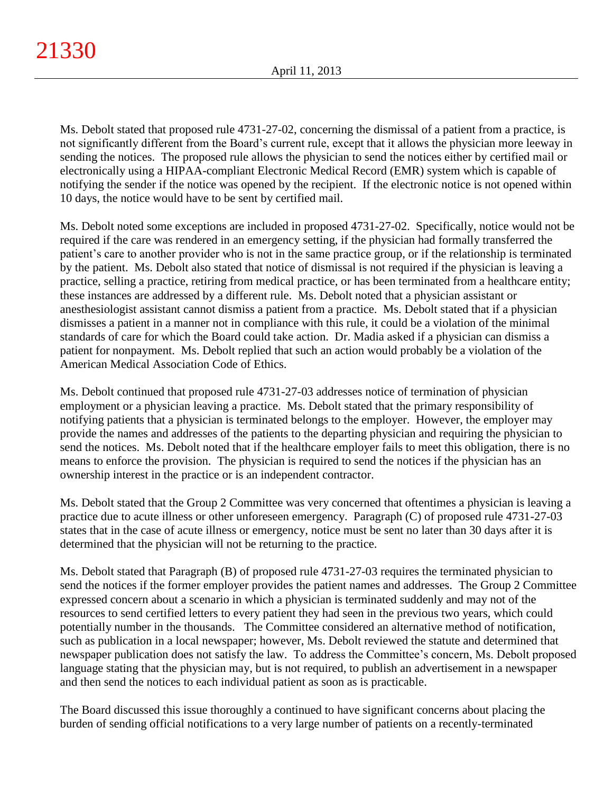Ms. Debolt stated that proposed rule 4731-27-02, concerning the dismissal of a patient from a practice, is not significantly different from the Board's current rule, except that it allows the physician more leeway in sending the notices. The proposed rule allows the physician to send the notices either by certified mail or electronically using a HIPAA-compliant Electronic Medical Record (EMR) system which is capable of notifying the sender if the notice was opened by the recipient. If the electronic notice is not opened within 10 days, the notice would have to be sent by certified mail.

Ms. Debolt noted some exceptions are included in proposed 4731-27-02. Specifically, notice would not be required if the care was rendered in an emergency setting, if the physician had formally transferred the patient's care to another provider who is not in the same practice group, or if the relationship is terminated by the patient. Ms. Debolt also stated that notice of dismissal is not required if the physician is leaving a practice, selling a practice, retiring from medical practice, or has been terminated from a healthcare entity; these instances are addressed by a different rule. Ms. Debolt noted that a physician assistant or anesthesiologist assistant cannot dismiss a patient from a practice. Ms. Debolt stated that if a physician dismisses a patient in a manner not in compliance with this rule, it could be a violation of the minimal standards of care for which the Board could take action. Dr. Madia asked if a physician can dismiss a patient for nonpayment. Ms. Debolt replied that such an action would probably be a violation of the American Medical Association Code of Ethics.

Ms. Debolt continued that proposed rule 4731-27-03 addresses notice of termination of physician employment or a physician leaving a practice. Ms. Debolt stated that the primary responsibility of notifying patients that a physician is terminated belongs to the employer. However, the employer may provide the names and addresses of the patients to the departing physician and requiring the physician to send the notices. Ms. Debolt noted that if the healthcare employer fails to meet this obligation, there is no means to enforce the provision. The physician is required to send the notices if the physician has an ownership interest in the practice or is an independent contractor.

Ms. Debolt stated that the Group 2 Committee was very concerned that oftentimes a physician is leaving a practice due to acute illness or other unforeseen emergency. Paragraph (C) of proposed rule 4731-27-03 states that in the case of acute illness or emergency, notice must be sent no later than 30 days after it is determined that the physician will not be returning to the practice.

Ms. Debolt stated that Paragraph (B) of proposed rule 4731-27-03 requires the terminated physician to send the notices if the former employer provides the patient names and addresses. The Group 2 Committee expressed concern about a scenario in which a physician is terminated suddenly and may not of the resources to send certified letters to every patient they had seen in the previous two years, which could potentially number in the thousands. The Committee considered an alternative method of notification, such as publication in a local newspaper; however, Ms. Debolt reviewed the statute and determined that newspaper publication does not satisfy the law. To address the Committee's concern, Ms. Debolt proposed language stating that the physician may, but is not required, to publish an advertisement in a newspaper and then send the notices to each individual patient as soon as is practicable.

The Board discussed this issue thoroughly a continued to have significant concerns about placing the burden of sending official notifications to a very large number of patients on a recently-terminated